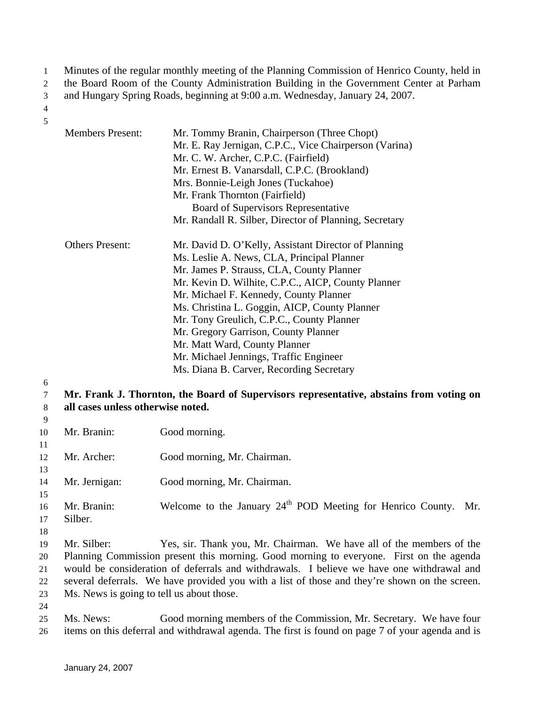Minutes of the regular monthly meeting of the Planning Commission of Henrico County, held in 1

the Board Room of the County Administration Building in the Government Center at Parham 2

and Hungary Spring Roads, beginning at 9:00 a.m. Wednesday, January 24, 2007. 3

### 4 5

- Members Present: Mr. Tommy Branin, Chairperson (Three Chopt) Mr. E. Ray Jernigan, C.P.C., Vice Chairperson (Varina) Mr. C. W. Archer, C.P.C. (Fairfield) Mr. Ernest B. Vanarsdall, C.P.C. (Brookland) Mrs. Bonnie-Leigh Jones (Tuckahoe) Mr. Frank Thornton (Fairfield) Board of Supervisors Representative Mr. Randall R. Silber, Director of Planning, Secretary Others Present: Mr. David D. O'Kelly, Assistant Director of Planning Ms. Leslie A. News, CLA, Principal Planner Mr. James P. Strauss, CLA, County Planner Mr. Kevin D. Wilhite, C.P.C., AICP, County Planner Mr. Michael F. Kennedy, County Planner Ms. Christina L. Goggin, AICP, County Planner Mr. Tony Greulich, C.P.C., County Planner Mr. Gregory Garrison, County Planner Mr. Matt Ward, County Planner Mr. Michael Jennings, Traffic Engineer Ms. Diana B. Carver, Recording Secretary
- 6 7

8

## **Mr. Frank J. Thornton, the Board of Supervisors representative, abstains from voting on all cases unless otherwise noted.**

- 9 10 11 12 13 14 15 16 17 18 19 20 21 22 23 24 Mr. Branin: Good morning. Mr. Archer: Good morning, Mr. Chairman. Mr. Jernigan: Good morning, Mr. Chairman. Mr. Branin: Welcome to the January  $24<sup>th</sup>$  POD Meeting for Henrico County. Mr. Silber. Mr. Silber: Yes, sir. Thank you, Mr. Chairman. We have all of the members of the Planning Commission present this morning. Good morning to everyone. First on the agenda would be consideration of deferrals and withdrawals. I believe we have one withdrawal and several deferrals. We have provided you with a list of those and they're shown on the screen. Ms. News is going to tell us about those.
- 25 26 Ms. News: Good morning members of the Commission, Mr. Secretary. We have four items on this deferral and withdrawal agenda. The first is found on page 7 of your agenda and is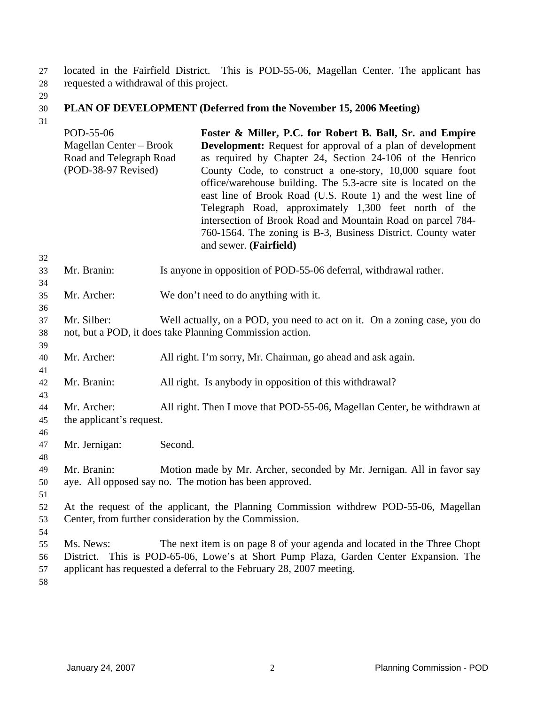located in the Fairfield District. This is POD-55-06, Magellan Center. The applicant has requested a withdrawal of this project. 27 28

29

#### 30 **PLAN OF DEVELOPMENT (Deferred from the November 15, 2006 Meeting)**

|                      | POD-55-06<br>Magellan Center - Brook<br>Road and Telegraph Road<br>(POD-38-97 Revised)                                                         |                                                                                                                                      | Foster & Miller, P.C. for Robert B. Ball, Sr. and Empire<br><b>Development:</b> Request for approval of a plan of development<br>as required by Chapter 24, Section 24-106 of the Henrico<br>County Code, to construct a one-story, 10,000 square foot<br>office/warehouse building. The 5.3-acre site is located on the<br>east line of Brook Road (U.S. Route 1) and the west line of<br>Telegraph Road, approximately 1,300 feet north of the<br>intersection of Brook Road and Mountain Road on parcel 784-<br>760-1564. The zoning is B-3, Business District. County water<br>and sewer. (Fairfield) |  |
|----------------------|------------------------------------------------------------------------------------------------------------------------------------------------|--------------------------------------------------------------------------------------------------------------------------------------|-----------------------------------------------------------------------------------------------------------------------------------------------------------------------------------------------------------------------------------------------------------------------------------------------------------------------------------------------------------------------------------------------------------------------------------------------------------------------------------------------------------------------------------------------------------------------------------------------------------|--|
| 32<br>33<br>34       | Mr. Branin:                                                                                                                                    |                                                                                                                                      | Is anyone in opposition of POD-55-06 deferral, withdrawal rather.                                                                                                                                                                                                                                                                                                                                                                                                                                                                                                                                         |  |
| 35<br>36             | Mr. Archer:                                                                                                                                    |                                                                                                                                      | We don't need to do anything with it.                                                                                                                                                                                                                                                                                                                                                                                                                                                                                                                                                                     |  |
| 37<br>38<br>39       | Mr. Silber:                                                                                                                                    | Well actually, on a POD, you need to act on it. On a zoning case, you do<br>not, but a POD, it does take Planning Commission action. |                                                                                                                                                                                                                                                                                                                                                                                                                                                                                                                                                                                                           |  |
| 40<br>41             | Mr. Archer:                                                                                                                                    |                                                                                                                                      | All right. I'm sorry, Mr. Chairman, go ahead and ask again.                                                                                                                                                                                                                                                                                                                                                                                                                                                                                                                                               |  |
| 42<br>43             | Mr. Branin:                                                                                                                                    |                                                                                                                                      | All right. Is anybody in opposition of this withdrawal?                                                                                                                                                                                                                                                                                                                                                                                                                                                                                                                                                   |  |
| 44<br>45             | Mr. Archer:<br>the applicant's request.                                                                                                        |                                                                                                                                      | All right. Then I move that POD-55-06, Magellan Center, be withdrawn at                                                                                                                                                                                                                                                                                                                                                                                                                                                                                                                                   |  |
| 46<br>47<br>48       | Mr. Jernigan:                                                                                                                                  | Second.                                                                                                                              |                                                                                                                                                                                                                                                                                                                                                                                                                                                                                                                                                                                                           |  |
| 49<br>50<br>51       | Mr. Branin:                                                                                                                                    |                                                                                                                                      | Motion made by Mr. Archer, seconded by Mr. Jernigan. All in favor say<br>aye. All opposed say no. The motion has been approved.                                                                                                                                                                                                                                                                                                                                                                                                                                                                           |  |
| 52<br>53<br>54       | At the request of the applicant, the Planning Commission withdrew POD-55-06, Magellan<br>Center, from further consideration by the Commission. |                                                                                                                                      |                                                                                                                                                                                                                                                                                                                                                                                                                                                                                                                                                                                                           |  |
| 55<br>56<br>57<br>58 | Ms. News:                                                                                                                                      |                                                                                                                                      | The next item is on page 8 of your agenda and located in the Three Chopt<br>District. This is POD-65-06, Lowe's at Short Pump Plaza, Garden Center Expansion. The<br>applicant has requested a deferral to the February 28, 2007 meeting.                                                                                                                                                                                                                                                                                                                                                                 |  |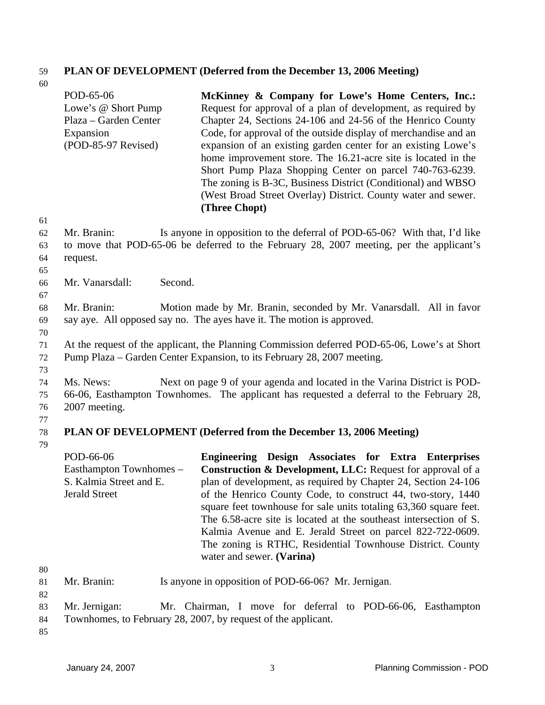# 59 **PLAN OF DEVELOPMENT (Deferred from the December 13, 2006 Meeting)**

| 60 |                         |         |                                                                                              |
|----|-------------------------|---------|----------------------------------------------------------------------------------------------|
|    | POD-65-06               |         | McKinney & Company for Lowe's Home Centers, Inc.:                                            |
|    | Lowe's @ Short Pump     |         | Request for approval of a plan of development, as required by                                |
|    | Plaza – Garden Center   |         | Chapter 24, Sections 24-106 and 24-56 of the Henrico County                                  |
|    | Expansion               |         | Code, for approval of the outside display of merchandise and an                              |
|    | (POD-85-97 Revised)     |         | expansion of an existing garden center for an existing Lowe's                                |
|    |                         |         | home improvement store. The 16.21-acre site is located in the                                |
|    |                         |         | Short Pump Plaza Shopping Center on parcel 740-763-6239.                                     |
|    |                         |         | The zoning is B-3C, Business District (Conditional) and WBSO                                 |
|    |                         |         | (West Broad Street Overlay) District. County water and sewer.                                |
|    |                         |         |                                                                                              |
|    |                         |         | (Three Chopt)                                                                                |
| 61 |                         |         |                                                                                              |
| 62 | Mr. Branin:             |         | Is anyone in opposition to the deferral of POD-65-06? With that, I'd like                    |
| 63 |                         |         | to move that POD-65-06 be deferred to the February 28, 2007 meeting, per the applicant's     |
| 64 | request.                |         |                                                                                              |
| 65 |                         |         |                                                                                              |
| 66 | Mr. Vanarsdall:         | Second. |                                                                                              |
| 67 |                         |         |                                                                                              |
| 68 | Mr. Branin:             |         | Motion made by Mr. Branin, seconded by Mr. Vanarsdall. All in favor                          |
| 69 |                         |         | say aye. All opposed say no. The ayes have it. The motion is approved.                       |
| 70 |                         |         |                                                                                              |
| 71 |                         |         | At the request of the applicant, the Planning Commission deferred POD-65-06, Lowe's at Short |
| 72 |                         |         | Pump Plaza – Garden Center Expansion, to its February 28, 2007 meeting.                      |
| 73 |                         |         |                                                                                              |
| 74 | Ms. News:               |         | Next on page 9 of your agenda and located in the Varina District is POD-                     |
| 75 |                         |         | 66-06, Easthampton Townhomes. The applicant has requested a deferral to the February 28,     |
| 76 | 2007 meeting.           |         |                                                                                              |
| 77 |                         |         |                                                                                              |
| 78 |                         |         | PLAN OF DEVELOPMENT (Deferred from the December 13, 2006 Meeting)                            |
| 79 |                         |         |                                                                                              |
|    | POD-66-06               |         | Engineering Design Associates for Extra Enterprises                                          |
|    | Easthampton Townhomes – |         | <b>Construction &amp; Development, LLC: Request for approval of a</b>                        |
|    | S. Kalmia Street and E. |         | plan of development, as required by Chapter 24, Section 24-106                               |
|    | <b>Jerald Street</b>    |         | of the Henrico County Code, to construct 44, two-story, 1440                                 |
|    |                         |         |                                                                                              |
|    |                         |         | square feet townhouse for sale units totaling 63,360 square feet.                            |
|    |                         |         | The 6.58-acre site is located at the southeast intersection of S.                            |
|    |                         |         | Kalmia Avenue and E. Jerald Street on parcel 822-722-0609.                                   |
|    |                         |         | The zoning is RTHC, Residential Townhouse District. County                                   |
|    |                         |         | water and sewer. (Varina)                                                                    |
| 80 |                         |         |                                                                                              |
| 81 | Mr. Branin:             |         | Is anyone in opposition of POD-66-06? Mr. Jernigan.                                          |
| 82 |                         |         |                                                                                              |
| 83 | Mr. Jernigan:           |         | Mr. Chairman, I move for deferral to POD-66-06, Easthampton                                  |
| 84 |                         |         | Townhomes, to February 28, 2007, by request of the applicant.                                |
| 85 |                         |         |                                                                                              |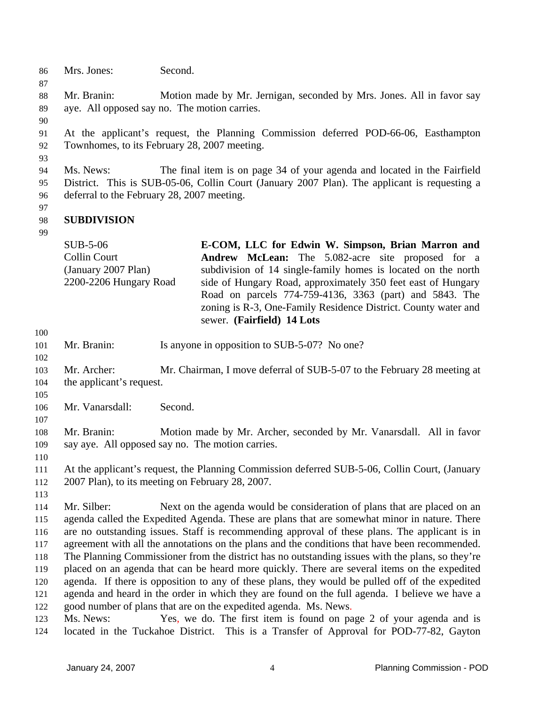86 Mrs. Jones: Second.

88 89 Mr. Branin: Motion made by Mr. Jernigan, seconded by Mrs. Jones. All in favor say aye. All opposed say no. The motion carries.

90

93

87

91 92 At the applicant's request, the Planning Commission deferred POD-66-06, Easthampton Townhomes, to its February 28, 2007 meeting.

94 95 96 Ms. News: The final item is on page 34 of your agenda and located in the Fairfield District. This is SUB-05-06, Collin Court (January 2007 Plan). The applicant is requesting a deferral to the February 28, 2007 meeting.

97

99

#### 98 **SUBDIVISION**

| $SUB-5-06$             | E-COM, LLC for Edwin W. Simpson, Brian Marron and              |
|------------------------|----------------------------------------------------------------|
| Collin Court           | <b>Andrew McLean:</b> The 5.082-acre site proposed for a       |
| (January 2007 Plan)    | subdivision of 14 single-family homes is located on the north  |
| 2200-2206 Hungary Road | side of Hungary Road, approximately 350 feet east of Hungary   |
|                        | Road on parcels 774-759-4136, 3363 (part) and 5843. The        |
|                        | zoning is R-3, One-Family Residence District. County water and |
|                        | sewer. (Fairfield) 14 Lots                                     |

100

102

101 Mr. Branin: Is anyone in opposition to SUB-5-07? No one?

- 103 104 Mr. Archer: Mr. Chairman, I move deferral of SUB-5-07 to the February 28 meeting at the applicant's request.
- 105 106 Mr. Vanarsdall: Second.
- 107

108 109 Mr. Branin: Motion made by Mr. Archer, seconded by Mr. Vanarsdall. All in favor say aye. All opposed say no. The motion carries.

110

111 112 At the applicant's request, the Planning Commission deferred SUB-5-06, Collin Court, (January 2007 Plan), to its meeting on February 28, 2007.

113

114 115 116 117 118 119 120 121 122 Mr. Silber: Next on the agenda would be consideration of plans that are placed on an agenda called the Expedited Agenda. These are plans that are somewhat minor in nature. There are no outstanding issues. Staff is recommending approval of these plans. The applicant is in agreement with all the annotations on the plans and the conditions that have been recommended. The Planning Commissioner from the district has no outstanding issues with the plans, so they're placed on an agenda that can be heard more quickly. There are several items on the expedited agenda. If there is opposition to any of these plans, they would be pulled off of the expedited agenda and heard in the order in which they are found on the full agenda. I believe we have a good number of plans that are on the expedited agenda. Ms. News.

123 124 Ms. News: Yes, we do. The first item is found on page 2 of your agenda and is located in the Tuckahoe District. This is a Transfer of Approval for POD-77-82, Gayton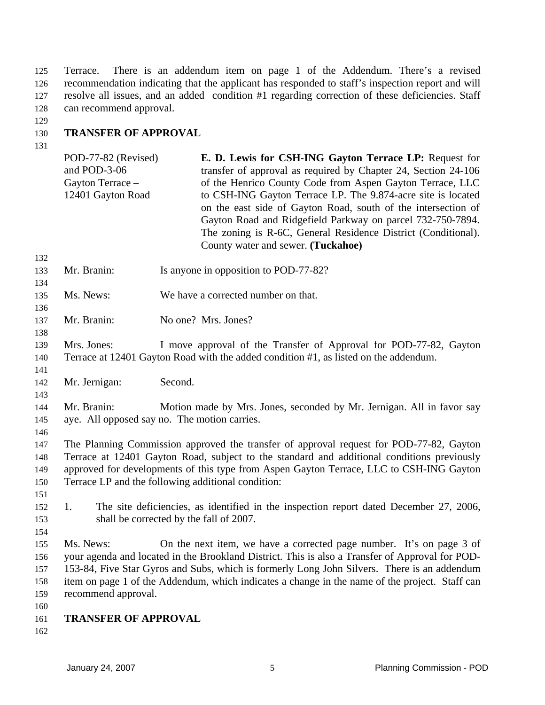Terrace. There is an addendum item on page 1 of the Addendum. There's a revised recommendation indicating that the applicant has responded to staff's inspection report and will resolve all issues, and an added condition #1 regarding correction of these deficiencies. Staff can recommend approval. 125 126 127 128

129

#### 130 **TRANSFER OF APPROVAL**

|            | POD-77-82 (Revised)<br>and POD-3-06<br>Gayton Terrace -<br>12401 Gayton Road               | E. D. Lewis for CSH-ING Gayton Terrace LP: Request for<br>transfer of approval as required by Chapter 24, Section 24-106<br>of the Henrico County Code from Aspen Gayton Terrace, LLC<br>to CSH-ING Gayton Terrace LP. The 9.874-acre site is located<br>on the east side of Gayton Road, south of the intersection of<br>Gayton Road and Ridgefield Parkway on parcel 732-750-7894.<br>The zoning is R-6C, General Residence District (Conditional).<br>County water and sewer. (Tuckahoe) |  |
|------------|--------------------------------------------------------------------------------------------|---------------------------------------------------------------------------------------------------------------------------------------------------------------------------------------------------------------------------------------------------------------------------------------------------------------------------------------------------------------------------------------------------------------------------------------------------------------------------------------------|--|
| 132        |                                                                                            |                                                                                                                                                                                                                                                                                                                                                                                                                                                                                             |  |
| 133<br>134 | Mr. Branin:                                                                                | Is anyone in opposition to POD-77-82?                                                                                                                                                                                                                                                                                                                                                                                                                                                       |  |
| 135        | Ms. News:                                                                                  | We have a corrected number on that.                                                                                                                                                                                                                                                                                                                                                                                                                                                         |  |
| 136        |                                                                                            |                                                                                                                                                                                                                                                                                                                                                                                                                                                                                             |  |
| 137<br>138 | Mr. Branin:                                                                                | No one? Mrs. Jones?                                                                                                                                                                                                                                                                                                                                                                                                                                                                         |  |
| 139        | Mrs. Jones:                                                                                | I move approval of the Transfer of Approval for POD-77-82, Gayton                                                                                                                                                                                                                                                                                                                                                                                                                           |  |
| 140        |                                                                                            | Terrace at 12401 Gayton Road with the added condition #1, as listed on the addendum.                                                                                                                                                                                                                                                                                                                                                                                                        |  |
| 141        |                                                                                            |                                                                                                                                                                                                                                                                                                                                                                                                                                                                                             |  |
| 142        | Mr. Jernigan:                                                                              | Second.                                                                                                                                                                                                                                                                                                                                                                                                                                                                                     |  |
| 143        |                                                                                            |                                                                                                                                                                                                                                                                                                                                                                                                                                                                                             |  |
| 144        | Mr. Branin:                                                                                | Motion made by Mrs. Jones, seconded by Mr. Jernigan. All in favor say                                                                                                                                                                                                                                                                                                                                                                                                                       |  |
| 145        |                                                                                            | aye. All opposed say no. The motion carries.                                                                                                                                                                                                                                                                                                                                                                                                                                                |  |
| 146        |                                                                                            |                                                                                                                                                                                                                                                                                                                                                                                                                                                                                             |  |
| 147        |                                                                                            | The Planning Commission approved the transfer of approval request for POD-77-82, Gayton                                                                                                                                                                                                                                                                                                                                                                                                     |  |
| 148        | Terrace at 12401 Gayton Road, subject to the standard and additional conditions previously |                                                                                                                                                                                                                                                                                                                                                                                                                                                                                             |  |
| 149        | approved for developments of this type from Aspen Gayton Terrace, LLC to CSH-ING Gayton    |                                                                                                                                                                                                                                                                                                                                                                                                                                                                                             |  |
| 150        |                                                                                            | Terrace LP and the following additional condition:                                                                                                                                                                                                                                                                                                                                                                                                                                          |  |
| 151        |                                                                                            |                                                                                                                                                                                                                                                                                                                                                                                                                                                                                             |  |
| 152        | 1.                                                                                         | The site deficiencies, as identified in the inspection report dated December 27, 2006,                                                                                                                                                                                                                                                                                                                                                                                                      |  |
| 153        |                                                                                            | shall be corrected by the fall of 2007.                                                                                                                                                                                                                                                                                                                                                                                                                                                     |  |
| 154        |                                                                                            |                                                                                                                                                                                                                                                                                                                                                                                                                                                                                             |  |
| 155        | Ms. News:                                                                                  | On the next item, we have a corrected page number. It's on page 3 of                                                                                                                                                                                                                                                                                                                                                                                                                        |  |
| 156        |                                                                                            | your agenda and located in the Brookland District. This is also a Transfer of Approval for POD-                                                                                                                                                                                                                                                                                                                                                                                             |  |
| 157        |                                                                                            | 153-84, Five Star Gyros and Subs, which is formerly Long John Silvers. There is an addendum                                                                                                                                                                                                                                                                                                                                                                                                 |  |
| 158        |                                                                                            | item on page 1 of the Addendum, which indicates a change in the name of the project. Staff can                                                                                                                                                                                                                                                                                                                                                                                              |  |
| 159        | recommend approval.                                                                        |                                                                                                                                                                                                                                                                                                                                                                                                                                                                                             |  |
| 160        |                                                                                            |                                                                                                                                                                                                                                                                                                                                                                                                                                                                                             |  |
| 161        | <b>TRANSFER OF APPROVAL</b>                                                                |                                                                                                                                                                                                                                                                                                                                                                                                                                                                                             |  |
| 162        |                                                                                            |                                                                                                                                                                                                                                                                                                                                                                                                                                                                                             |  |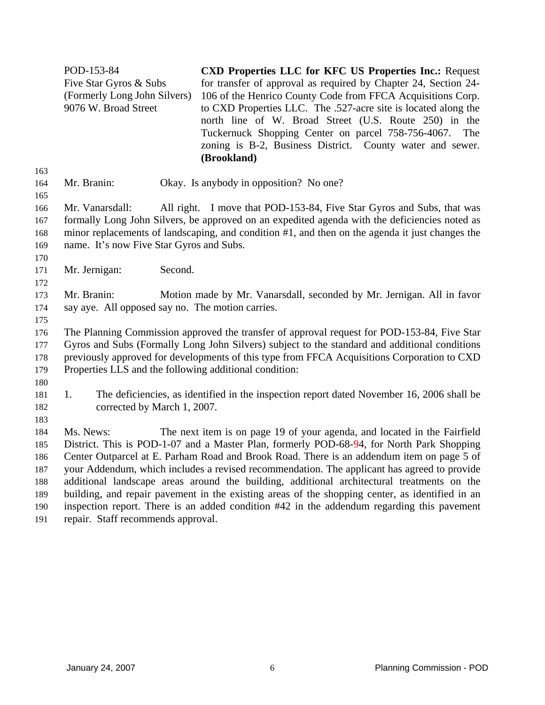|            | POD-153-84                                                                                    | <b>CXD Properties LLC for KFC US Properties Inc.: Request</b>                                                                 |  |
|------------|-----------------------------------------------------------------------------------------------|-------------------------------------------------------------------------------------------------------------------------------|--|
|            | Five Star Gyros & Subs                                                                        | for transfer of approval as required by Chapter 24, Section 24-                                                               |  |
|            | (Formerly Long John Silvers)<br>9076 W. Broad Street                                          | 106 of the Henrico County Code from FFCA Acquisitions Corp.<br>to CXD Properties LLC. The .527-acre site is located along the |  |
|            |                                                                                               | north line of W. Broad Street (U.S. Route 250) in the                                                                         |  |
|            |                                                                                               | Tuckernuck Shopping Center on parcel 758-756-4067.<br>The                                                                     |  |
|            |                                                                                               | zoning is B-2, Business District. County water and sewer.                                                                     |  |
|            |                                                                                               | (Brookland)                                                                                                                   |  |
| 163<br>164 | Mr. Branin:                                                                                   | Okay. Is anybody in opposition? No one?                                                                                       |  |
| 165        |                                                                                               |                                                                                                                               |  |
| 166        | Mr. Vanarsdall:                                                                               | All right. I move that POD-153-84, Five Star Gyros and Subs, that was                                                         |  |
| 167        |                                                                                               | formally Long John Silvers, be approved on an expedited agenda with the deficiencies noted as                                 |  |
| 168        |                                                                                               | minor replacements of landscaping, and condition #1, and then on the agenda it just changes the                               |  |
| 169        | name. It's now Five Star Gyros and Subs.                                                      |                                                                                                                               |  |
| 170        |                                                                                               |                                                                                                                               |  |
| 171<br>172 | Second.<br>Mr. Jernigan:                                                                      |                                                                                                                               |  |
| 173        | Mr. Branin:                                                                                   | Motion made by Mr. Vanarsdall, seconded by Mr. Jernigan. All in favor                                                         |  |
| 174        | say aye. All opposed say no. The motion carries.                                              |                                                                                                                               |  |
| 175        |                                                                                               |                                                                                                                               |  |
| 176        |                                                                                               | The Planning Commission approved the transfer of approval request for POD-153-84, Five Star                                   |  |
| 177        | Gyros and Subs (Formally Long John Silvers) subject to the standard and additional conditions |                                                                                                                               |  |
| 178        | previously approved for developments of this type from FFCA Acquisitions Corporation to CXD   |                                                                                                                               |  |
| 179        | Properties LLS and the following additional condition:                                        |                                                                                                                               |  |
| 180        |                                                                                               |                                                                                                                               |  |
| 181<br>182 | 1.<br>corrected by March 1, 2007.                                                             | The deficiencies, as identified in the inspection report dated November 16, 2006 shall be                                     |  |
| 183        |                                                                                               |                                                                                                                               |  |
| 184        | Ms. News:                                                                                     | The next item is on page 19 of your agenda, and located in the Fairfield                                                      |  |
| 185        |                                                                                               | District. This is POD-1-07 and a Master Plan, formerly POD-68-94, for North Park Shopping                                     |  |
| 186        |                                                                                               | Center Outparcel at E. Parham Road and Brook Road. There is an addendum item on page 5 of                                     |  |
| 187        |                                                                                               | your Addendum, which includes a revised recommendation. The applicant has agreed to provide                                   |  |
| 188        |                                                                                               | additional landscape areas around the building, additional architectural treatments on the                                    |  |
| 189        |                                                                                               | building, and repair pavement in the existing areas of the shopping center, as identified in an                               |  |
| 190        | inspection report. There is an added condition #42 in the addendum regarding this pavement    |                                                                                                                               |  |

191 repair. Staff recommends approval.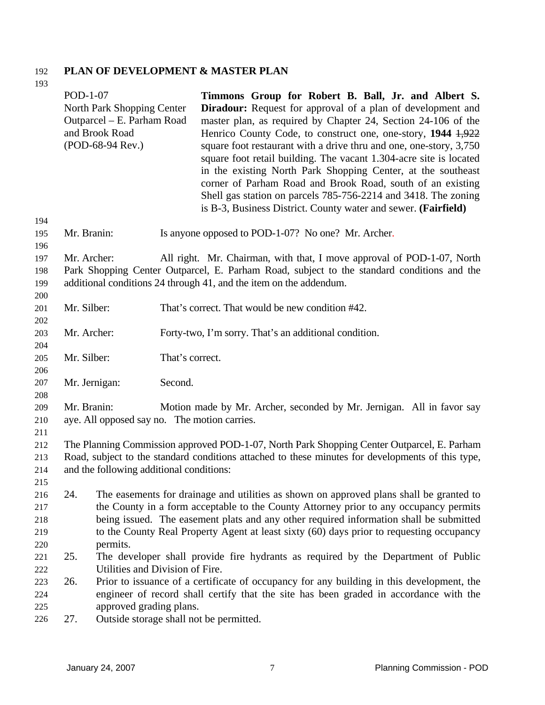# 192 **PLAN OF DEVELOPMENT & MASTER PLAN**

| 193                             |             |                                                                                                                                                                                    |                 |                                                                                                                                                                                                                                                                                                                                                                                                                                                                                                                                                                                                                                                                          |
|---------------------------------|-------------|------------------------------------------------------------------------------------------------------------------------------------------------------------------------------------|-----------------|--------------------------------------------------------------------------------------------------------------------------------------------------------------------------------------------------------------------------------------------------------------------------------------------------------------------------------------------------------------------------------------------------------------------------------------------------------------------------------------------------------------------------------------------------------------------------------------------------------------------------------------------------------------------------|
|                                 |             | POD-1-07<br>North Park Shopping Center<br>Outparcel – E. Parham Road<br>and Brook Road<br>(POD-68-94 Rev.)                                                                         |                 | Timmons Group for Robert B. Ball, Jr. and Albert S.<br><b>Diradour:</b> Request for approval of a plan of development and<br>master plan, as required by Chapter 24, Section 24-106 of the<br>Henrico County Code, to construct one, one-story, 1944 1,922<br>square foot restaurant with a drive thru and one, one-story, 3,750<br>square foot retail building. The vacant 1.304-acre site is located<br>in the existing North Park Shopping Center, at the southeast<br>corner of Parham Road and Brook Road, south of an existing<br>Shell gas station on parcels 785-756-2214 and 3418. The zoning<br>is B-3, Business District. County water and sewer. (Fairfield) |
| 194                             |             |                                                                                                                                                                                    |                 |                                                                                                                                                                                                                                                                                                                                                                                                                                                                                                                                                                                                                                                                          |
| 195                             | Mr. Branin: |                                                                                                                                                                                    |                 | Is anyone opposed to POD-1-07? No one? Mr. Archer.                                                                                                                                                                                                                                                                                                                                                                                                                                                                                                                                                                                                                       |
| 196<br>197<br>198<br>199<br>200 | Mr. Archer: |                                                                                                                                                                                    |                 | All right. Mr. Chairman, with that, I move approval of POD-1-07, North<br>Park Shopping Center Outparcel, E. Parham Road, subject to the standard conditions and the<br>additional conditions 24 through 41, and the item on the addendum.                                                                                                                                                                                                                                                                                                                                                                                                                               |
| 201                             | Mr. Silber: |                                                                                                                                                                                    |                 | That's correct. That would be new condition #42.                                                                                                                                                                                                                                                                                                                                                                                                                                                                                                                                                                                                                         |
| 202                             |             |                                                                                                                                                                                    |                 |                                                                                                                                                                                                                                                                                                                                                                                                                                                                                                                                                                                                                                                                          |
| 203                             | Mr. Archer: |                                                                                                                                                                                    |                 | Forty-two, I'm sorry. That's an additional condition.                                                                                                                                                                                                                                                                                                                                                                                                                                                                                                                                                                                                                    |
| 204                             |             |                                                                                                                                                                                    |                 |                                                                                                                                                                                                                                                                                                                                                                                                                                                                                                                                                                                                                                                                          |
| 205                             | Mr. Silber: |                                                                                                                                                                                    | That's correct. |                                                                                                                                                                                                                                                                                                                                                                                                                                                                                                                                                                                                                                                                          |
| 206                             |             |                                                                                                                                                                                    |                 |                                                                                                                                                                                                                                                                                                                                                                                                                                                                                                                                                                                                                                                                          |
| 207<br>208                      |             | Mr. Jernigan:                                                                                                                                                                      | Second.         |                                                                                                                                                                                                                                                                                                                                                                                                                                                                                                                                                                                                                                                                          |
| 209                             | Mr. Branin: |                                                                                                                                                                                    |                 | Motion made by Mr. Archer, seconded by Mr. Jernigan. All in favor say                                                                                                                                                                                                                                                                                                                                                                                                                                                                                                                                                                                                    |
| 210                             |             | aye. All opposed say no. The motion carries.                                                                                                                                       |                 |                                                                                                                                                                                                                                                                                                                                                                                                                                                                                                                                                                                                                                                                          |
| 211                             |             |                                                                                                                                                                                    |                 |                                                                                                                                                                                                                                                                                                                                                                                                                                                                                                                                                                                                                                                                          |
| 212                             |             |                                                                                                                                                                                    |                 | The Planning Commission approved POD-1-07, North Park Shopping Center Outparcel, E. Parham                                                                                                                                                                                                                                                                                                                                                                                                                                                                                                                                                                               |
| 213                             |             |                                                                                                                                                                                    |                 | Road, subject to the standard conditions attached to these minutes for developments of this type,                                                                                                                                                                                                                                                                                                                                                                                                                                                                                                                                                                        |
| 214                             |             | and the following additional conditions:                                                                                                                                           |                 |                                                                                                                                                                                                                                                                                                                                                                                                                                                                                                                                                                                                                                                                          |
| 215                             |             |                                                                                                                                                                                    |                 |                                                                                                                                                                                                                                                                                                                                                                                                                                                                                                                                                                                                                                                                          |
| 216                             | 24.         |                                                                                                                                                                                    |                 | The easements for drainage and utilities as shown on approved plans shall be granted to                                                                                                                                                                                                                                                                                                                                                                                                                                                                                                                                                                                  |
| 217<br>218                      |             |                                                                                                                                                                                    |                 | the County in a form acceptable to the County Attorney prior to any occupancy permits                                                                                                                                                                                                                                                                                                                                                                                                                                                                                                                                                                                    |
| 219                             |             | being issued. The easement plats and any other required information shall be submitted<br>to the County Real Property Agent at least sixty (60) days prior to requesting occupancy |                 |                                                                                                                                                                                                                                                                                                                                                                                                                                                                                                                                                                                                                                                                          |
| 220                             |             | permits.                                                                                                                                                                           |                 |                                                                                                                                                                                                                                                                                                                                                                                                                                                                                                                                                                                                                                                                          |
| 221                             | 25.         |                                                                                                                                                                                    |                 | The developer shall provide fire hydrants as required by the Department of Public                                                                                                                                                                                                                                                                                                                                                                                                                                                                                                                                                                                        |
| 222                             |             | Utilities and Division of Fire.                                                                                                                                                    |                 |                                                                                                                                                                                                                                                                                                                                                                                                                                                                                                                                                                                                                                                                          |
| 223                             | 26.         |                                                                                                                                                                                    |                 | Prior to issuance of a certificate of occupancy for any building in this development, the                                                                                                                                                                                                                                                                                                                                                                                                                                                                                                                                                                                |
| 224                             |             |                                                                                                                                                                                    |                 | engineer of record shall certify that the site has been graded in accordance with the                                                                                                                                                                                                                                                                                                                                                                                                                                                                                                                                                                                    |
| 225                             |             | approved grading plans.                                                                                                                                                            |                 |                                                                                                                                                                                                                                                                                                                                                                                                                                                                                                                                                                                                                                                                          |
| 226                             | 27.         |                                                                                                                                                                                    |                 | Outside storage shall not be permitted.                                                                                                                                                                                                                                                                                                                                                                                                                                                                                                                                                                                                                                  |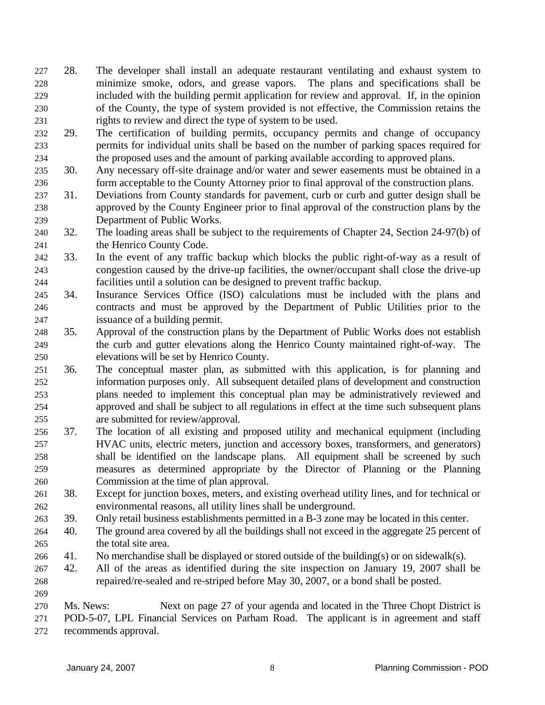- 28. The developer shall install an adequate restaurant ventilating and exhaust system to minimize smoke, odors, and grease vapors. The plans and specifications shall be included with the building permit application for review and approval. If, in the opinion of the County, the type of system provided is not effective, the Commission retains the rights to review and direct the type of system to be used. 227 228 229 230 231
- 232 233 234 29. The certification of building permits, occupancy permits and change of occupancy permits for individual units shall be based on the number of parking spaces required for the proposed uses and the amount of parking available according to approved plans.
- 235 236 30. Any necessary off-site drainage and/or water and sewer easements must be obtained in a form acceptable to the County Attorney prior to final approval of the construction plans.
- 237 238 239 31. Deviations from County standards for pavement, curb or curb and gutter design shall be approved by the County Engineer prior to final approval of the construction plans by the Department of Public Works.
- 240 241 32. The loading areas shall be subject to the requirements of Chapter 24, Section 24-97(b) of the Henrico County Code.
- 242 243 244 33. In the event of any traffic backup which blocks the public right-of-way as a result of congestion caused by the drive-up facilities, the owner/occupant shall close the drive-up facilities until a solution can be designed to prevent traffic backup.
- 245 246 247 34. Insurance Services Office (ISO) calculations must be included with the plans and contracts and must be approved by the Department of Public Utilities prior to the issuance of a building permit.
- 248 249 250 35. Approval of the construction plans by the Department of Public Works does not establish the curb and gutter elevations along the Henrico County maintained right-of-way. The elevations will be set by Henrico County.
- 251 252 253 254 255 36. The conceptual master plan, as submitted with this application, is for planning and information purposes only. All subsequent detailed plans of development and construction plans needed to implement this conceptual plan may be administratively reviewed and approved and shall be subject to all regulations in effect at the time such subsequent plans are submitted for review/approval.
- 256 257 258 259 260 37. The location of all existing and proposed utility and mechanical equipment (including HVAC units, electric meters, junction and accessory boxes, transformers, and generators) shall be identified on the landscape plans. All equipment shall be screened by such measures as determined appropriate by the Director of Planning or the Planning Commission at the time of plan approval.
- 261 262 38. Except for junction boxes, meters, and existing overhead utility lines, and for technical or environmental reasons, all utility lines shall be underground.
- 263 39. Only retail business establishments permitted in a B-3 zone may be located in this center.
- 264 265 40. The ground area covered by all the buildings shall not exceed in the aggregate 25 percent of the total site area.
- 266 41. No merchandise shall be displayed or stored outside of the building(s) or on sidewalk(s).
- 267 268 42. All of the areas as identified during the site inspection on January 19, 2007 shall be repaired/re-sealed and re-striped before May 30, 2007, or a bond shall be posted.
- 269

<sup>270</sup>  271 272 Ms. News: Next on page 27 of your agenda and located in the Three Chopt District is POD-5-07, LPL Financial Services on Parham Road. The applicant is in agreement and staff recommends approval.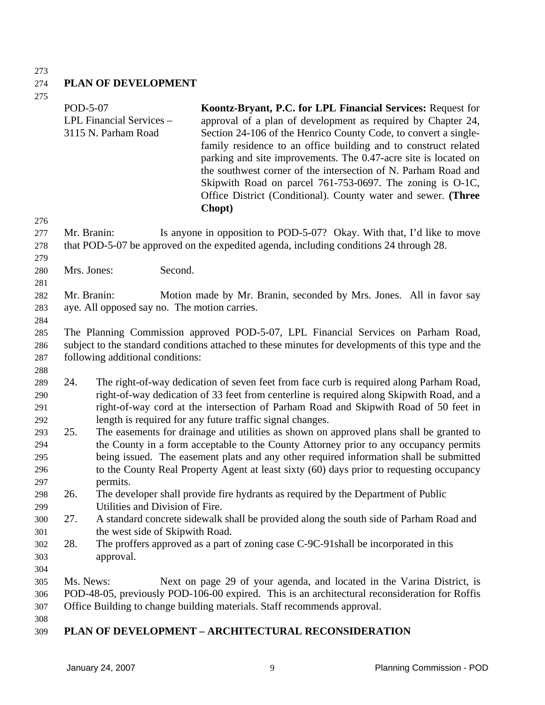### 273

#### 274 **PLAN OF DEVELOPMENT**

275

| 275        | POD-5-07    | LPL Financial Services -<br>3115 N. Parham Road | Koontz-Bryant, P.C. for LPL Financial Services: Request for<br>approval of a plan of development as required by Chapter 24,<br>Section 24-106 of the Henrico County Code, to convert a single-<br>family residence to an office building and to construct related<br>parking and site improvements. The 0.47-acre site is located on |
|------------|-------------|-------------------------------------------------|--------------------------------------------------------------------------------------------------------------------------------------------------------------------------------------------------------------------------------------------------------------------------------------------------------------------------------------|
|            |             |                                                 | the southwest corner of the intersection of N. Parham Road and<br>Skipwith Road on parcel 761-753-0697. The zoning is O-1C,<br>Office District (Conditional). County water and sewer. (Three<br>Chopt)                                                                                                                               |
| 276        |             |                                                 |                                                                                                                                                                                                                                                                                                                                      |
| 277<br>278 | Mr. Branin: |                                                 | Is anyone in opposition to POD-5-07? Okay. With that, I'd like to move<br>that POD-5-07 be approved on the expedited agenda, including conditions 24 through 28.                                                                                                                                                                     |
| 279        |             |                                                 |                                                                                                                                                                                                                                                                                                                                      |
| 280        | Mrs. Jones: | Second.                                         |                                                                                                                                                                                                                                                                                                                                      |
| 281        |             |                                                 |                                                                                                                                                                                                                                                                                                                                      |
| 282        | Mr. Branin: |                                                 | Motion made by Mr. Branin, seconded by Mrs. Jones. All in favor say                                                                                                                                                                                                                                                                  |
| 283        |             | aye. All opposed say no. The motion carries.    |                                                                                                                                                                                                                                                                                                                                      |
| 284        |             |                                                 |                                                                                                                                                                                                                                                                                                                                      |
| 285        |             |                                                 | The Planning Commission approved POD-5-07, LPL Financial Services on Parham Road,                                                                                                                                                                                                                                                    |
| 286        |             |                                                 | subject to the standard conditions attached to these minutes for developments of this type and the                                                                                                                                                                                                                                   |
| 287        |             | following additional conditions:                |                                                                                                                                                                                                                                                                                                                                      |
| 288        |             |                                                 |                                                                                                                                                                                                                                                                                                                                      |
| 289        | 24.         |                                                 | The right-of-way dedication of seven feet from face curb is required along Parham Road,                                                                                                                                                                                                                                              |
| 290        |             |                                                 | right-of-way dedication of 33 feet from centerline is required along Skipwith Road, and a                                                                                                                                                                                                                                            |
| 291        |             |                                                 | right-of-way cord at the intersection of Parham Road and Skipwith Road of 50 feet in<br>length is required for any future traffic signal changes.                                                                                                                                                                                    |
| 292        | 25.         |                                                 | The easements for drainage and utilities as shown on approved plans shall be granted to                                                                                                                                                                                                                                              |
| 293<br>294 |             |                                                 | the County in a form acceptable to the County Attorney prior to any occupancy permits                                                                                                                                                                                                                                                |
| 295        |             |                                                 | being issued. The easement plats and any other required information shall be submitted                                                                                                                                                                                                                                               |
| 296        |             |                                                 | to the County Real Property Agent at least sixty (60) days prior to requesting occupancy                                                                                                                                                                                                                                             |
| 297        |             | permits.                                        |                                                                                                                                                                                                                                                                                                                                      |
| 298        | 26.         |                                                 | The developer shall provide fire hydrants as required by the Department of Public                                                                                                                                                                                                                                                    |
| 299        |             | Utilities and Division of Fire.                 |                                                                                                                                                                                                                                                                                                                                      |
| 300        | 27.         |                                                 | A standard concrete sidewalk shall be provided along the south side of Parham Road and                                                                                                                                                                                                                                               |
| 301        |             | the west side of Skipwith Road.                 |                                                                                                                                                                                                                                                                                                                                      |
| 302        | 28.         |                                                 | The proffers approved as a part of zoning case C-9C-91 shall be incorporated in this                                                                                                                                                                                                                                                 |
| 303        |             | approval.                                       |                                                                                                                                                                                                                                                                                                                                      |
| 304        |             |                                                 |                                                                                                                                                                                                                                                                                                                                      |
| 305        | Ms. News:   |                                                 | Next on page 29 of your agenda, and located in the Varina District, is                                                                                                                                                                                                                                                               |
| 306        |             |                                                 | POD-48-05, previously POD-106-00 expired. This is an architectural reconsideration for Roffis                                                                                                                                                                                                                                        |
| 307        |             |                                                 | Office Building to change building materials. Staff recommends approval.                                                                                                                                                                                                                                                             |
| 308        |             |                                                 |                                                                                                                                                                                                                                                                                                                                      |

#### 309 **PLAN OF DEVELOPMENT – ARCHITECTURAL RECONSIDERATION**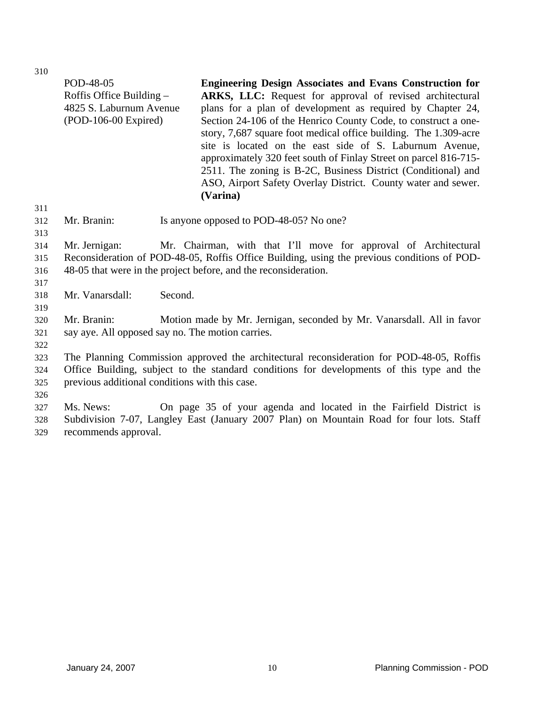|            | POD-48-05<br>Roffis Office Building -<br>4825 S. Laburnum Avenue<br>$(POD-106-00$ Expired) |         | <b>Engineering Design Associates and Evans Construction for</b><br>ARKS, LLC: Request for approval of revised architectural<br>plans for a plan of development as required by Chapter 24,<br>Section 24-106 of the Henrico County Code, to construct a one-<br>story, 7,687 square foot medical office building. The 1.309-acre<br>site is located on the east side of S. Laburnum Avenue,<br>approximately 320 feet south of Finlay Street on parcel 816-715-<br>2511. The zoning is B-2C, Business District (Conditional) and<br>ASO, Airport Safety Overlay District. County water and sewer.<br>(Varina) |
|------------|--------------------------------------------------------------------------------------------|---------|--------------------------------------------------------------------------------------------------------------------------------------------------------------------------------------------------------------------------------------------------------------------------------------------------------------------------------------------------------------------------------------------------------------------------------------------------------------------------------------------------------------------------------------------------------------------------------------------------------------|
| 311        |                                                                                            |         |                                                                                                                                                                                                                                                                                                                                                                                                                                                                                                                                                                                                              |
| 312<br>313 | Mr. Branin:                                                                                |         | Is anyone opposed to POD-48-05? No one?                                                                                                                                                                                                                                                                                                                                                                                                                                                                                                                                                                      |
| 314        | Mr. Jernigan:                                                                              |         | Mr. Chairman, with that I'll move for approval of Architectural                                                                                                                                                                                                                                                                                                                                                                                                                                                                                                                                              |
| 315        |                                                                                            |         | Reconsideration of POD-48-05, Roffis Office Building, using the previous conditions of POD-                                                                                                                                                                                                                                                                                                                                                                                                                                                                                                                  |
| 316        | 48-05 that were in the project before, and the reconsideration.                            |         |                                                                                                                                                                                                                                                                                                                                                                                                                                                                                                                                                                                                              |
| 317        |                                                                                            |         |                                                                                                                                                                                                                                                                                                                                                                                                                                                                                                                                                                                                              |
| 318<br>319 | Mr. Vanarsdall:                                                                            | Second. |                                                                                                                                                                                                                                                                                                                                                                                                                                                                                                                                                                                                              |
| 320        | Mr. Branin:                                                                                |         | Motion made by Mr. Jernigan, seconded by Mr. Vanarsdall. All in favor                                                                                                                                                                                                                                                                                                                                                                                                                                                                                                                                        |
| 321        | say aye. All opposed say no. The motion carries.                                           |         |                                                                                                                                                                                                                                                                                                                                                                                                                                                                                                                                                                                                              |
| 322        |                                                                                            |         |                                                                                                                                                                                                                                                                                                                                                                                                                                                                                                                                                                                                              |
| 323        |                                                                                            |         | The Planning Commission approved the architectural reconsideration for POD-48-05, Roffis                                                                                                                                                                                                                                                                                                                                                                                                                                                                                                                     |
| 324        |                                                                                            |         | Office Building, subject to the standard conditions for developments of this type and the                                                                                                                                                                                                                                                                                                                                                                                                                                                                                                                    |
| 325        | previous additional conditions with this case.                                             |         |                                                                                                                                                                                                                                                                                                                                                                                                                                                                                                                                                                                                              |
| 326        |                                                                                            |         |                                                                                                                                                                                                                                                                                                                                                                                                                                                                                                                                                                                                              |
| 327        | Ms. News:                                                                                  |         | On page 35 of your agenda and located in the Fairfield District is                                                                                                                                                                                                                                                                                                                                                                                                                                                                                                                                           |
| 328        |                                                                                            |         | Subdivision 7-07, Langley East (January 2007 Plan) on Mountain Road for four lots. Staff                                                                                                                                                                                                                                                                                                                                                                                                                                                                                                                     |
| 329        | recommends approval.                                                                       |         |                                                                                                                                                                                                                                                                                                                                                                                                                                                                                                                                                                                                              |
|            |                                                                                            |         |                                                                                                                                                                                                                                                                                                                                                                                                                                                                                                                                                                                                              |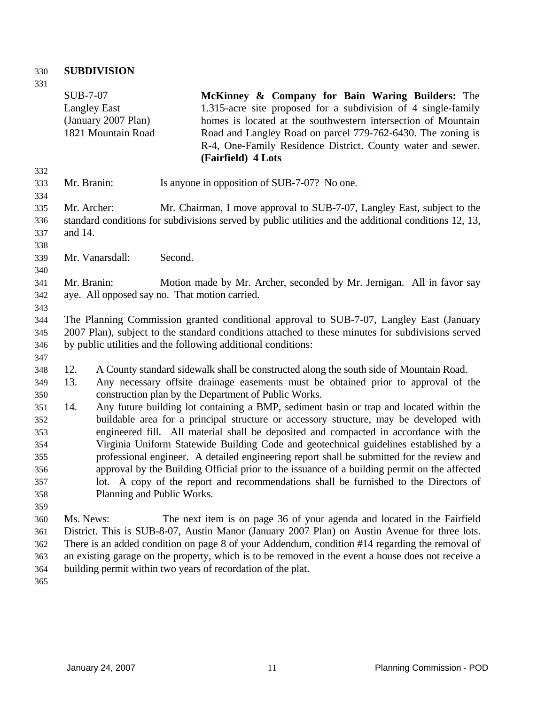# 330 **SUBDIVISION**

| ۰.<br>I<br>٠<br>v<br>×<br>× |  |
|-----------------------------|--|

| 331        |                                                                                       |                                                                                                                            |  |
|------------|---------------------------------------------------------------------------------------|----------------------------------------------------------------------------------------------------------------------------|--|
|            | <b>SUB-7-07</b>                                                                       | McKinney & Company for Bain Waring Builders: The                                                                           |  |
|            | <b>Langley East</b>                                                                   | 1.315-acre site proposed for a subdivision of 4 single-family                                                              |  |
|            | (January 2007 Plan)                                                                   | homes is located at the southwestern intersection of Mountain                                                              |  |
|            | 1821 Mountain Road                                                                    | Road and Langley Road on parcel 779-762-6430. The zoning is<br>R-4, One-Family Residence District. County water and sewer. |  |
|            |                                                                                       | (Fairfield) 4 Lots                                                                                                         |  |
| 332        |                                                                                       |                                                                                                                            |  |
| 333        | Mr. Branin:                                                                           | Is anyone in opposition of SUB-7-07? No one.                                                                               |  |
| 334        |                                                                                       |                                                                                                                            |  |
| 335        | Mr. Archer:                                                                           | Mr. Chairman, I move approval to SUB-7-07, Langley East, subject to the                                                    |  |
| 336        |                                                                                       | standard conditions for subdivisions served by public utilities and the additional conditions 12, 13,                      |  |
| 337        | and 14.                                                                               |                                                                                                                            |  |
| 338        |                                                                                       |                                                                                                                            |  |
| 339        | Mr. Vanarsdall:<br>Second.                                                            |                                                                                                                            |  |
| 340        |                                                                                       |                                                                                                                            |  |
| 341        | Mr. Branin:                                                                           | Motion made by Mr. Archer, seconded by Mr. Jernigan. All in favor say                                                      |  |
| 342        | aye. All opposed say no. That motion carried.                                         |                                                                                                                            |  |
| 343<br>344 |                                                                                       | The Planning Commission granted conditional approval to SUB-7-07, Langley East (January                                    |  |
| 345        |                                                                                       | 2007 Plan), subject to the standard conditions attached to these minutes for subdivisions served                           |  |
| 346        |                                                                                       | by public utilities and the following additional conditions:                                                               |  |
| 347        |                                                                                       |                                                                                                                            |  |
| 348        | 12.                                                                                   | A County standard sidewalk shall be constructed along the south side of Mountain Road.                                     |  |
| 349        | 13.                                                                                   | Any necessary offsite drainage easements must be obtained prior to approval of the                                         |  |
| 350        |                                                                                       | construction plan by the Department of Public Works.                                                                       |  |
| 351        | 14.                                                                                   | Any future building lot containing a BMP, sediment basin or trap and located within the                                    |  |
| 352        |                                                                                       | buildable area for a principal structure or accessory structure, may be developed with                                     |  |
| 353        | engineered fill. All material shall be deposited and compacted in accordance with the |                                                                                                                            |  |
| 354        |                                                                                       | Virginia Uniform Statewide Building Code and geotechnical guidelines established by a                                      |  |
| 355        |                                                                                       | professional engineer. A detailed engineering report shall be submitted for the review and                                 |  |
| 356        |                                                                                       | approval by the Building Official prior to the issuance of a building permit on the affected                               |  |
| 357        | lot. A copy of the report and recommendations shall be furnished to the Directors of  |                                                                                                                            |  |
| 358        | Planning and Public Works.                                                            |                                                                                                                            |  |
| 359        |                                                                                       |                                                                                                                            |  |
| 360        | Ms. News:                                                                             | The next item is on page 36 of your agenda and located in the Fairfield                                                    |  |
| 361        |                                                                                       | District. This is SUB-8-07, Austin Manor (January 2007 Plan) on Austin Avenue for three lots.                              |  |
| 362        |                                                                                       | There is an added condition on page 8 of your Addendum, condition #14 regarding the removal of                             |  |
| 363        |                                                                                       | an existing garage on the property, which is to be removed in the event a house does not receive a                         |  |
| 364        | building permit within two years of recordation of the plat.                          |                                                                                                                            |  |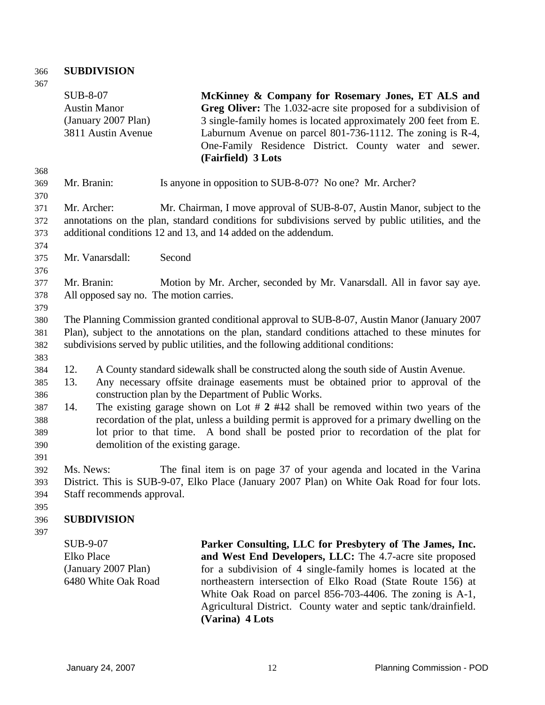# 366 **SUBDIVISION**

| 367 |                            |                                                                                                                                                                      |
|-----|----------------------------|----------------------------------------------------------------------------------------------------------------------------------------------------------------------|
|     | <b>SUB-8-07</b>            | McKinney & Company for Rosemary Jones, ET ALS and                                                                                                                    |
|     | <b>Austin Manor</b>        | Greg Oliver: The 1.032-acre site proposed for a subdivision of                                                                                                       |
|     | (January 2007 Plan)        | 3 single-family homes is located approximately 200 feet from E.                                                                                                      |
|     | 3811 Austin Avenue         | Laburnum Avenue on parcel 801-736-1112. The zoning is R-4,                                                                                                           |
|     |                            | One-Family Residence District. County water and sewer.                                                                                                               |
|     |                            | (Fairfield) 3 Lots                                                                                                                                                   |
| 368 |                            |                                                                                                                                                                      |
| 369 | Mr. Branin:                | Is anyone in opposition to SUB-8-07? No one? Mr. Archer?                                                                                                             |
| 370 |                            |                                                                                                                                                                      |
| 371 | Mr. Archer:                | Mr. Chairman, I move approval of SUB-8-07, Austin Manor, subject to the                                                                                              |
| 372 |                            | annotations on the plan, standard conditions for subdivisions served by public utilities, and the                                                                    |
| 373 |                            | additional conditions 12 and 13, and 14 added on the addendum.                                                                                                       |
| 374 |                            |                                                                                                                                                                      |
| 375 | Mr. Vanarsdall:            | Second                                                                                                                                                               |
| 376 |                            |                                                                                                                                                                      |
| 377 | Mr. Branin:                | Motion by Mr. Archer, seconded by Mr. Vanarsdall. All in favor say aye.                                                                                              |
| 378 |                            | All opposed say no. The motion carries.                                                                                                                              |
| 379 |                            |                                                                                                                                                                      |
| 380 |                            | The Planning Commission granted conditional approval to SUB-8-07, Austin Manor (January 2007)                                                                        |
| 381 |                            | Plan), subject to the annotations on the plan, standard conditions attached to these minutes for                                                                     |
| 382 |                            | subdivisions served by public utilities, and the following additional conditions:                                                                                    |
| 383 |                            |                                                                                                                                                                      |
| 384 | 12.                        | A County standard sidewalk shall be constructed along the south side of Austin Avenue.                                                                               |
| 385 | 13.                        | Any necessary offsite drainage easements must be obtained prior to approval of the                                                                                   |
| 386 |                            | construction plan by the Department of Public Works.                                                                                                                 |
| 387 | 14.                        | The existing garage shown on Lot $\# 2 \# 12$ shall be removed within two years of the                                                                               |
| 388 |                            | recordation of the plat, unless a building permit is approved for a primary dwelling on the                                                                          |
|     |                            | lot prior to that time. A bond shall be posted prior to recordation of the plat for                                                                                  |
| 389 |                            |                                                                                                                                                                      |
| 390 |                            | demolition of the existing garage.                                                                                                                                   |
| 391 | Ms. News:                  |                                                                                                                                                                      |
| 392 |                            | The final item is on page 37 of your agenda and located in the Varina<br>District. This is SUB-9-07, Elko Place (January 2007 Plan) on White Oak Road for four lots. |
| 393 |                            |                                                                                                                                                                      |
| 394 | Staff recommends approval. |                                                                                                                                                                      |
| 395 |                            |                                                                                                                                                                      |
| 396 | <b>SUBDIVISION</b>         |                                                                                                                                                                      |
| 397 |                            |                                                                                                                                                                      |
|     | SUB-9-07                   | Parker Consulting, LLC for Presbytery of The James, Inc.                                                                                                             |
|     | <b>Elko Place</b>          | and West End Developers, LLC: The 4.7-acre site proposed                                                                                                             |
|     | (January 2007 Plan)        | for a subdivision of 4 single-family homes is located at the                                                                                                         |
|     | 6480 White Oak Road        | northeastern intersection of Elko Road (State Route 156) at                                                                                                          |
|     |                            | White Oak Road on parcel 856-703-4406. The zoning is A-1,                                                                                                            |
|     |                            | Agricultural District. County water and septic tank/drainfield.                                                                                                      |
|     |                            | (Varina) 4 Lots                                                                                                                                                      |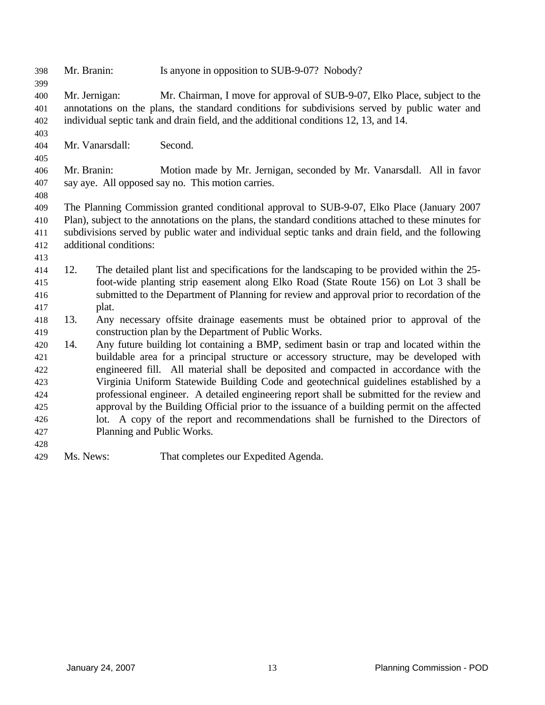| 398                             | Mr. Branin: |                            | Is anyone in opposition to SUB-9-07? Nobody?                                                                                                                                                                                                                        |
|---------------------------------|-------------|----------------------------|---------------------------------------------------------------------------------------------------------------------------------------------------------------------------------------------------------------------------------------------------------------------|
| 399<br>400<br>401<br>402<br>403 |             | Mr. Jernigan:              | Mr. Chairman, I move for approval of SUB-9-07, Elko Place, subject to the<br>annotations on the plans, the standard conditions for subdivisions served by public water and<br>individual septic tank and drain field, and the additional conditions 12, 13, and 14. |
| 404<br>405                      |             | Mr. Vanarsdall:            | Second.                                                                                                                                                                                                                                                             |
| 406<br>407<br>408               | Mr. Branin: |                            | Motion made by Mr. Jernigan, seconded by Mr. Vanarsdall. All in favor<br>say aye. All opposed say no. This motion carries.                                                                                                                                          |
| 409                             |             |                            | The Planning Commission granted conditional approval to SUB-9-07, Elko Place (January 2007                                                                                                                                                                          |
| 410                             |             |                            | Plan), subject to the annotations on the plans, the standard conditions attached to these minutes for                                                                                                                                                               |
| 411                             |             |                            | subdivisions served by public water and individual septic tanks and drain field, and the following                                                                                                                                                                  |
| 412                             |             | additional conditions:     |                                                                                                                                                                                                                                                                     |
| 413                             |             |                            |                                                                                                                                                                                                                                                                     |
| 414<br>415                      | 12.         |                            | The detailed plant list and specifications for the landscaping to be provided within the 25-<br>foot-wide planting strip easement along Elko Road (State Route 156) on Lot 3 shall be                                                                               |
| 416                             |             |                            | submitted to the Department of Planning for review and approval prior to recordation of the                                                                                                                                                                         |
| 417                             |             | plat.                      |                                                                                                                                                                                                                                                                     |
| 418                             | 13.         |                            | Any necessary offsite drainage easements must be obtained prior to approval of the                                                                                                                                                                                  |
| 419                             |             |                            | construction plan by the Department of Public Works.                                                                                                                                                                                                                |
| 420                             | 14.         |                            | Any future building lot containing a BMP, sediment basin or trap and located within the                                                                                                                                                                             |
| 421                             |             |                            | buildable area for a principal structure or accessory structure, may be developed with                                                                                                                                                                              |
| 422                             |             |                            | engineered fill. All material shall be deposited and compacted in accordance with the                                                                                                                                                                               |
| 423                             |             |                            | Virginia Uniform Statewide Building Code and geotechnical guidelines established by a                                                                                                                                                                               |
| 424                             |             |                            | professional engineer. A detailed engineering report shall be submitted for the review and                                                                                                                                                                          |
| 425                             |             |                            | approval by the Building Official prior to the issuance of a building permit on the affected                                                                                                                                                                        |
| 426                             |             |                            | lot. A copy of the report and recommendations shall be furnished to the Directors of                                                                                                                                                                                |
| 427                             |             | Planning and Public Works. |                                                                                                                                                                                                                                                                     |
| 428                             |             |                            |                                                                                                                                                                                                                                                                     |
| 429                             | Ms. News:   |                            | That completes our Expedited Agenda.                                                                                                                                                                                                                                |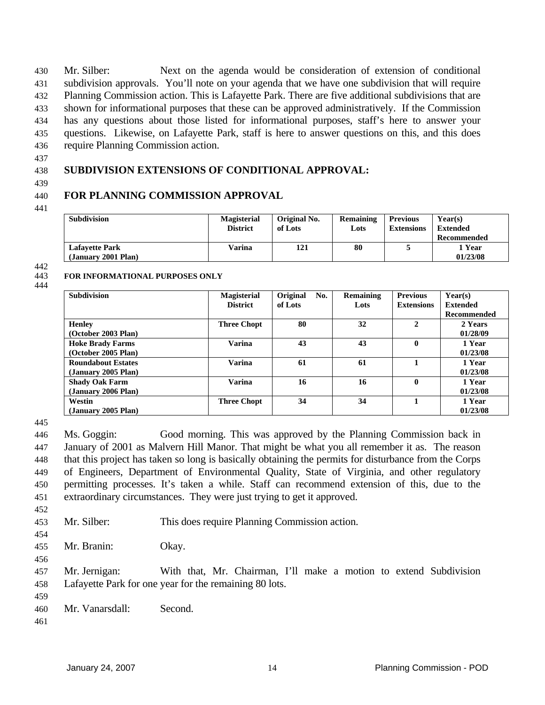Mr. Silber: Next on the agenda would be consideration of extension of conditional subdivision approvals. You'll note on your agenda that we have one subdivision that will require Planning Commission action. This is Lafayette Park. There are five additional subdivisions that are shown for informational purposes that these can be approved administratively. If the Commission has any questions about those listed for informational purposes, staff's here to answer your questions. Likewise, on Lafayette Park, staff is here to answer questions on this, and this does require Planning Commission action. 430 431 432 433 434 435 436

437

#### 438 **SUBDIVISION EXTENSIONS OF CONDITIONAL APPROVAL:**

439

#### 440 **FOR PLANNING COMMISSION APPROVAL**

**FOR INFORMATIONAL PURPOSES ONLY** 

441

| <b>Subdivision</b>                           | <b>Magisterial</b><br><b>District</b> | Original No.<br>of Lots | Remaining<br>Lots | <b>Previous</b><br><b>Extensions</b> | Year(s)<br><b>Extended</b><br>Recommended |
|----------------------------------------------|---------------------------------------|-------------------------|-------------------|--------------------------------------|-------------------------------------------|
| <b>Lafavette Park</b><br>(January 2001 Plan) | Varina                                | 121                     | 80                |                                      | l Year<br>01/23/08                        |

442 443

### 444

| <b>Subdivision</b>                               | <b>Magisterial</b><br><b>District</b> | Original<br>No.<br>of Lots | Remaining<br>Lots | <b>Previous</b><br><b>Extensions</b> | Year(s)<br><b>Extended</b><br><b>Recommended</b> |
|--------------------------------------------------|---------------------------------------|----------------------------|-------------------|--------------------------------------|--------------------------------------------------|
| <b>Henley</b><br>(October 2003 Plan)             | <b>Three Chopt</b>                    | 80                         | 32                | $\mathbf{2}$                         | 2 Years<br>01/28/09                              |
| <b>Hoke Brady Farms</b><br>(October 2005 Plan)   | Varina                                | 43                         | 43                | $\mathbf{0}$                         | 1 Year<br>01/23/08                               |
| <b>Roundabout Estates</b><br>(January 2005 Plan) | <b>Varina</b>                         | 61                         | 61                |                                      | 1 Year<br>01/23/08                               |
| <b>Shady Oak Farm</b><br>(January 2006 Plan)     | <b>Varina</b>                         | 16                         | 16                | $\mathbf{0}$                         | 1 Year<br>01/23/08                               |
| Westin<br>(January 2005 Plan)                    | <b>Three Chopt</b>                    | 34                         | 34                |                                      | 1 Year<br>01/23/08                               |

445

446 447 448 449 450 451 Ms. Goggin: Good morning. This was approved by the Planning Commission back in January of 2001 as Malvern Hill Manor. That might be what you all remember it as. The reason that this project has taken so long is basically obtaining the permits for disturbance from the Corps of Engineers, Department of Environmental Quality, State of Virginia, and other regulatory permitting processes. It's taken a while. Staff can recommend extension of this, due to the extraordinary circumstances. They were just trying to get it approved.

452

453 Mr. Silber: This does require Planning Commission action.

454

Mr. Branin: Okay.

455 456

457 458 Mr. Jernigan: With that, Mr. Chairman, I'll make a motion to extend Subdivision Lafayette Park for one year for the remaining 80 lots.

- 459
- 460 Mr. Vanarsdall: Second.
- 461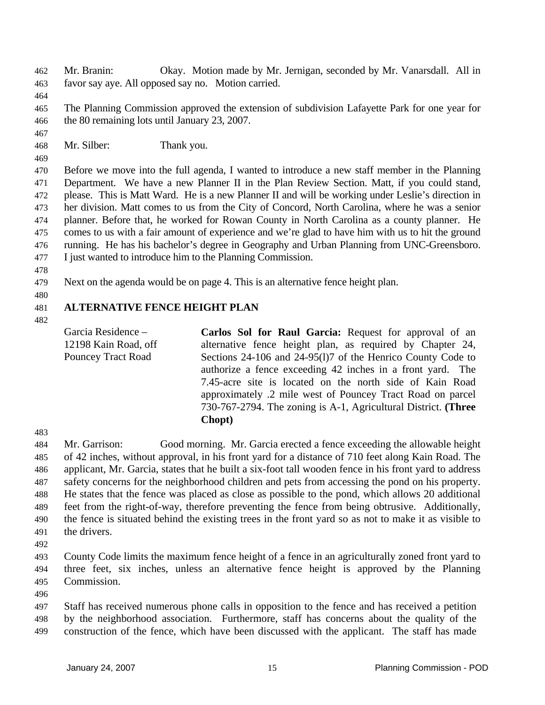Mr. Branin: Okay. Motion made by Mr. Jernigan, seconded by Mr. Vanarsdall. All in favor say aye. All opposed say no. Motion carried. 462 463

464

467

469

465 466 The Planning Commission approved the extension of subdivision Lafayette Park for one year for the 80 remaining lots until January 23, 2007.

468 Mr. Silber: Thank you.

470 471 472 473 474 475 476 477 Before we move into the full agenda, I wanted to introduce a new staff member in the Planning Department. We have a new Planner II in the Plan Review Section. Matt, if you could stand, please. This is Matt Ward. He is a new Planner II and will be working under Leslie's direction in her division. Matt comes to us from the City of Concord, North Carolina, where he was a senior planner. Before that, he worked for Rowan County in North Carolina as a county planner. He comes to us with a fair amount of experience and we're glad to have him with us to hit the ground running. He has his bachelor's degree in Geography and Urban Planning from UNC-Greensboro. I just wanted to introduce him to the Planning Commission.

- 478
- 479 Next on the agenda would be on page 4. This is an alternative fence height plan.
- 480
- 481 **ALTERNATIVE FENCE HEIGHT PLAN**

482

Garcia Residence – 12198 Kain Road, off Pouncey Tract Road **Carlos Sol for Raul Garcia:** Request for approval of an alternative fence height plan, as required by Chapter 24, Sections 24-106 and 24-95(l)7 of the Henrico County Code to authorize a fence exceeding 42 inches in a front yard. The 7.45-acre site is located on the north side of Kain Road approximately .2 mile west of Pouncey Tract Road on parcel 730-767-2794. The zoning is A-1, Agricultural District. **(Three Chopt)** 

483

484 485 486 487 488 489 490 491 Mr. Garrison: Good morning. Mr. Garcia erected a fence exceeding the allowable height of 42 inches, without approval, in his front yard for a distance of 710 feet along Kain Road. The applicant, Mr. Garcia, states that he built a six-foot tall wooden fence in his front yard to address safety concerns for the neighborhood children and pets from accessing the pond on his property. He states that the fence was placed as close as possible to the pond, which allows 20 additional feet from the right-of-way, therefore preventing the fence from being obtrusive. Additionally, the fence is situated behind the existing trees in the front yard so as not to make it as visible to the drivers.

492

493 494 495 County Code limits the maximum fence height of a fence in an agriculturally zoned front yard to three feet, six inches, unless an alternative fence height is approved by the Planning Commission.

496

497 498 499 Staff has received numerous phone calls in opposition to the fence and has received a petition by the neighborhood association. Furthermore, staff has concerns about the quality of the construction of the fence, which have been discussed with the applicant. The staff has made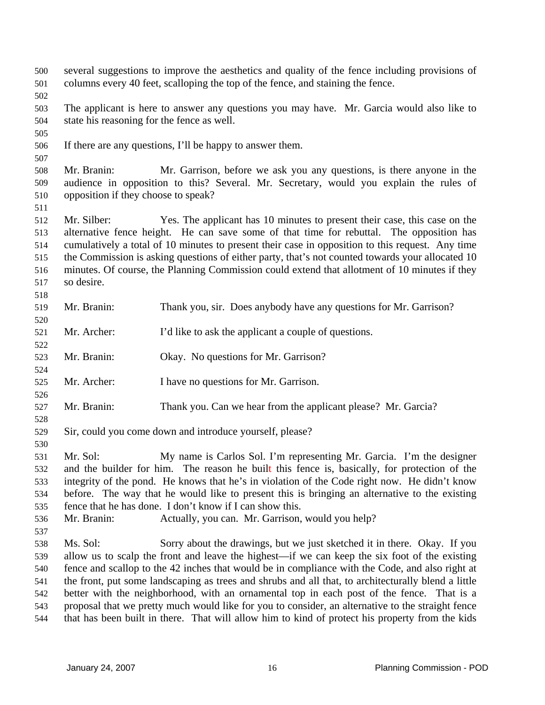| 500<br>501 | several suggestions to improve the aesthetics and quality of the fence including provisions of<br>columns every 40 feet, scalloping the top of the fence, and staining the fence. |                                                                                                     |  |  |
|------------|-----------------------------------------------------------------------------------------------------------------------------------------------------------------------------------|-----------------------------------------------------------------------------------------------------|--|--|
| 502        |                                                                                                                                                                                   |                                                                                                     |  |  |
| 503        | The applicant is here to answer any questions you may have. Mr. Garcia would also like to                                                                                         |                                                                                                     |  |  |
| 504        | state his reasoning for the fence as well.                                                                                                                                        |                                                                                                     |  |  |
| 505        |                                                                                                                                                                                   |                                                                                                     |  |  |
| 506        |                                                                                                                                                                                   | If there are any questions, I'll be happy to answer them.                                           |  |  |
| 507        |                                                                                                                                                                                   |                                                                                                     |  |  |
| 508        | Mr. Branin:                                                                                                                                                                       | Mr. Garrison, before we ask you any questions, is there anyone in the                               |  |  |
|            |                                                                                                                                                                                   | audience in opposition to this? Several. Mr. Secretary, would you explain the rules of              |  |  |
| 509        | opposition if they choose to speak?                                                                                                                                               |                                                                                                     |  |  |
| 510        |                                                                                                                                                                                   |                                                                                                     |  |  |
| 511        |                                                                                                                                                                                   |                                                                                                     |  |  |
| 512        | Mr. Silber:                                                                                                                                                                       | Yes. The applicant has 10 minutes to present their case, this case on the                           |  |  |
| 513        |                                                                                                                                                                                   | alternative fence height. He can save some of that time for rebuttal. The opposition has            |  |  |
| 514        |                                                                                                                                                                                   | cumulatively a total of 10 minutes to present their case in opposition to this request. Any time    |  |  |
| 515        |                                                                                                                                                                                   | the Commission is asking questions of either party, that's not counted towards your allocated 10    |  |  |
| 516        |                                                                                                                                                                                   | minutes. Of course, the Planning Commission could extend that allotment of 10 minutes if they       |  |  |
| 517        | so desire.                                                                                                                                                                        |                                                                                                     |  |  |
| 518        |                                                                                                                                                                                   |                                                                                                     |  |  |
| 519        | Mr. Branin:                                                                                                                                                                       | Thank you, sir. Does anybody have any questions for Mr. Garrison?                                   |  |  |
| 520        |                                                                                                                                                                                   |                                                                                                     |  |  |
| 521        | Mr. Archer:                                                                                                                                                                       | I'd like to ask the applicant a couple of questions.                                                |  |  |
| 522        |                                                                                                                                                                                   |                                                                                                     |  |  |
| 523        | Mr. Branin:                                                                                                                                                                       | Okay. No questions for Mr. Garrison?                                                                |  |  |
| 524        |                                                                                                                                                                                   |                                                                                                     |  |  |
| 525        | Mr. Archer:                                                                                                                                                                       | I have no questions for Mr. Garrison.                                                               |  |  |
| 526        |                                                                                                                                                                                   |                                                                                                     |  |  |
| 527        | Mr. Branin:                                                                                                                                                                       | Thank you. Can we hear from the applicant please? Mr. Garcia?                                       |  |  |
| 528        |                                                                                                                                                                                   |                                                                                                     |  |  |
| 529        |                                                                                                                                                                                   | Sir, could you come down and introduce yourself, please?                                            |  |  |
| 530        |                                                                                                                                                                                   |                                                                                                     |  |  |
| 531        | Mr. Sol:                                                                                                                                                                          | My name is Carlos Sol. I'm representing Mr. Garcia. I'm the designer                                |  |  |
| 532        |                                                                                                                                                                                   | and the builder for him. The reason he built this fence is, basically, for protection of the        |  |  |
| 533        |                                                                                                                                                                                   | integrity of the pond. He knows that he's in violation of the Code right now. He didn't know        |  |  |
| 534        |                                                                                                                                                                                   | before. The way that he would like to present this is bringing an alternative to the existing       |  |  |
| 535        |                                                                                                                                                                                   | fence that he has done. I don't know if I can show this.                                            |  |  |
| 536        | Mr. Branin:                                                                                                                                                                       | Actually, you can. Mr. Garrison, would you help?                                                    |  |  |
| 537        |                                                                                                                                                                                   |                                                                                                     |  |  |
| 538        | Ms. Sol:                                                                                                                                                                          | Sorry about the drawings, but we just sketched it in there. Okay. If you                            |  |  |
| 539        |                                                                                                                                                                                   | allow us to scalp the front and leave the highest—if we can keep the six foot of the existing       |  |  |
| 540        |                                                                                                                                                                                   | fence and scallop to the 42 inches that would be in compliance with the Code, and also right at     |  |  |
| 541        |                                                                                                                                                                                   | the front, put some landscaping as trees and shrubs and all that, to architecturally blend a little |  |  |
| 542        |                                                                                                                                                                                   | better with the neighborhood, with an ornamental top in each post of the fence. That is a           |  |  |
| 543        |                                                                                                                                                                                   | proposal that we pretty much would like for you to consider, an alternative to the straight fence   |  |  |
| 544        |                                                                                                                                                                                   | that has been built in there. That will allow him to kind of protect his property from the kids     |  |  |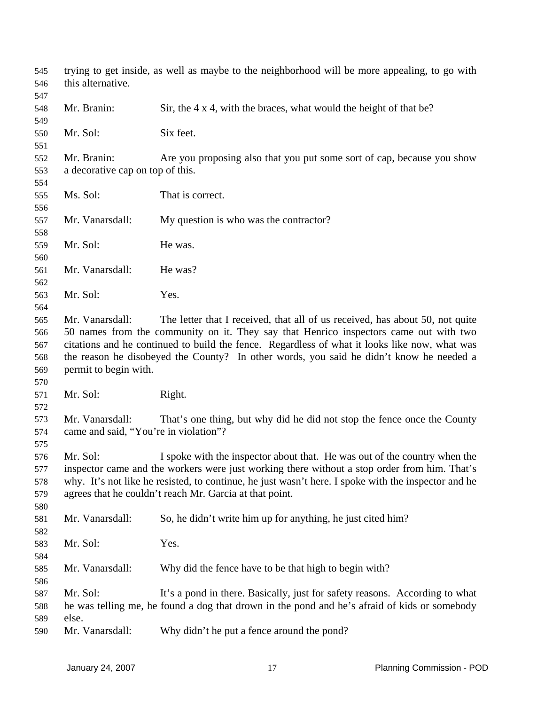| 545<br>546 | this alternative.                     | trying to get inside, as well as maybe to the neighborhood will be more appealing, to go with       |
|------------|---------------------------------------|-----------------------------------------------------------------------------------------------------|
| 547        |                                       |                                                                                                     |
| 548        | Mr. Branin:                           | Sir, the $4 \times 4$ , with the braces, what would the height of that be?                          |
| 549        |                                       |                                                                                                     |
| 550        | Mr. Sol:                              | Six feet.                                                                                           |
| 551        |                                       |                                                                                                     |
| 552        | Mr. Branin:                           | Are you proposing also that you put some sort of cap, because you show                              |
| 553        | a decorative cap on top of this.      |                                                                                                     |
| 554        |                                       |                                                                                                     |
| 555        | Ms. Sol:                              | That is correct.                                                                                    |
| 556        |                                       |                                                                                                     |
| 557        | Mr. Vanarsdall:                       | My question is who was the contractor?                                                              |
| 558        |                                       |                                                                                                     |
| 559        | Mr. Sol:                              | He was.                                                                                             |
| 560        |                                       |                                                                                                     |
| 561        | Mr. Vanarsdall:                       | He was?                                                                                             |
| 562        |                                       |                                                                                                     |
| 563        | Mr. Sol:                              | Yes.                                                                                                |
| 564        |                                       |                                                                                                     |
| 565        | Mr. Vanarsdall:                       | The letter that I received, that all of us received, has about 50, not quite                        |
| 566        |                                       | 50 names from the community on it. They say that Henrico inspectors came out with two               |
| 567        |                                       | citations and he continued to build the fence. Regardless of what it looks like now, what was       |
| 568        |                                       | the reason he disobeyed the County? In other words, you said he didn't know he needed a             |
| 569        | permit to begin with.                 |                                                                                                     |
| 570        |                                       |                                                                                                     |
| 571        | Mr. Sol:                              | Right.                                                                                              |
| 572        |                                       |                                                                                                     |
| 573        | Mr. Vanarsdall:                       | That's one thing, but why did he did not stop the fence once the County                             |
| 574        | came and said, "You're in violation"? |                                                                                                     |
| 575        |                                       |                                                                                                     |
| 576        | Mr. Sol:                              | I spoke with the inspector about that. He was out of the country when the                           |
| 577        |                                       | inspector came and the workers were just working there without a stop order from him. That's        |
| 578        |                                       | why. It's not like he resisted, to continue, he just wasn't here. I spoke with the inspector and he |
| 579        |                                       | agrees that he couldn't reach Mr. Garcia at that point.                                             |
|            |                                       |                                                                                                     |
| 580        | Mr. Vanarsdall:                       |                                                                                                     |
| 581        |                                       | So, he didn't write him up for anything, he just cited him?                                         |
| 582        |                                       |                                                                                                     |
| 583        | Mr. Sol:                              | Yes.                                                                                                |
| 584        |                                       |                                                                                                     |
| 585        | Mr. Vanarsdall:                       | Why did the fence have to be that high to begin with?                                               |
| 586        |                                       |                                                                                                     |
| 587        | Mr. Sol:                              | It's a pond in there. Basically, just for safety reasons. According to what                         |
| 588        |                                       | he was telling me, he found a dog that drown in the pond and he's afraid of kids or somebody        |
| 589        | else.                                 |                                                                                                     |
| 590        | Mr. Vanarsdall:                       | Why didn't he put a fence around the pond?                                                          |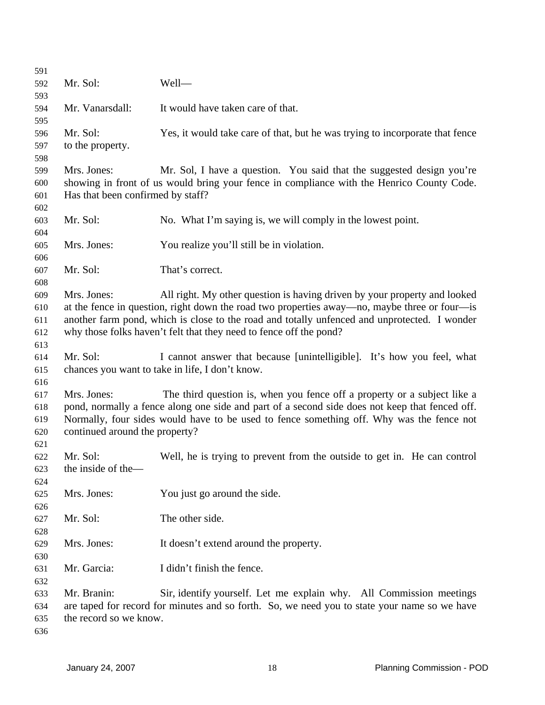| 591 |                                   |                                                                                                |
|-----|-----------------------------------|------------------------------------------------------------------------------------------------|
| 592 | Mr. Sol:                          | Well-                                                                                          |
| 593 |                                   |                                                                                                |
| 594 | Mr. Vanarsdall:                   | It would have taken care of that.                                                              |
| 595 |                                   |                                                                                                |
| 596 | Mr. Sol:                          | Yes, it would take care of that, but he was trying to incorporate that fence                   |
| 597 | to the property.                  |                                                                                                |
| 598 |                                   |                                                                                                |
| 599 | Mrs. Jones:                       | Mr. Sol, I have a question. You said that the suggested design you're                          |
| 600 |                                   | showing in front of us would bring your fence in compliance with the Henrico County Code.      |
| 601 | Has that been confirmed by staff? |                                                                                                |
| 602 |                                   |                                                                                                |
| 603 | Mr. Sol:                          | No. What I'm saying is, we will comply in the lowest point.                                    |
| 604 |                                   |                                                                                                |
| 605 | Mrs. Jones:                       | You realize you'll still be in violation.                                                      |
| 606 |                                   |                                                                                                |
| 607 | Mr. Sol:                          | That's correct.                                                                                |
| 608 |                                   |                                                                                                |
| 609 | Mrs. Jones:                       | All right. My other question is having driven by your property and looked                      |
| 610 |                                   | at the fence in question, right down the road two properties away—no, maybe three or four—is   |
| 611 |                                   | another farm pond, which is close to the road and totally unfenced and unprotected. I wonder   |
| 612 |                                   | why those folks haven't felt that they need to fence off the pond?                             |
| 613 |                                   |                                                                                                |
| 614 | Mr. Sol:                          | I cannot answer that because [unintelligible]. It's how you feel, what                         |
| 615 |                                   | chances you want to take in life, I don't know.                                                |
| 616 |                                   |                                                                                                |
| 617 | Mrs. Jones:                       | The third question is, when you fence off a property or a subject like a                       |
| 618 |                                   | pond, normally a fence along one side and part of a second side does not keep that fenced off. |
| 619 |                                   | Normally, four sides would have to be used to fence something off. Why was the fence not       |
| 620 | continued around the property?    |                                                                                                |
| 621 |                                   |                                                                                                |
| 622 | Mr. Sol:                          | Well, he is trying to prevent from the outside to get in. He can control                       |
| 623 | the inside of the-                |                                                                                                |
| 624 |                                   |                                                                                                |
| 625 | Mrs. Jones:                       | You just go around the side.                                                                   |
| 626 |                                   |                                                                                                |
| 627 | Mr. Sol:                          | The other side.                                                                                |
| 628 |                                   |                                                                                                |
| 629 | Mrs. Jones:                       | It doesn't extend around the property.                                                         |
| 630 |                                   |                                                                                                |
| 631 | Mr. Garcia:                       | I didn't finish the fence.                                                                     |
| 632 |                                   |                                                                                                |
| 633 | Mr. Branin:                       | Sir, identify yourself. Let me explain why. All Commission meetings                            |
| 634 |                                   | are taped for record for minutes and so forth. So, we need you to state your name so we have   |
| 635 | the record so we know.            |                                                                                                |
| 636 |                                   |                                                                                                |
|     |                                   |                                                                                                |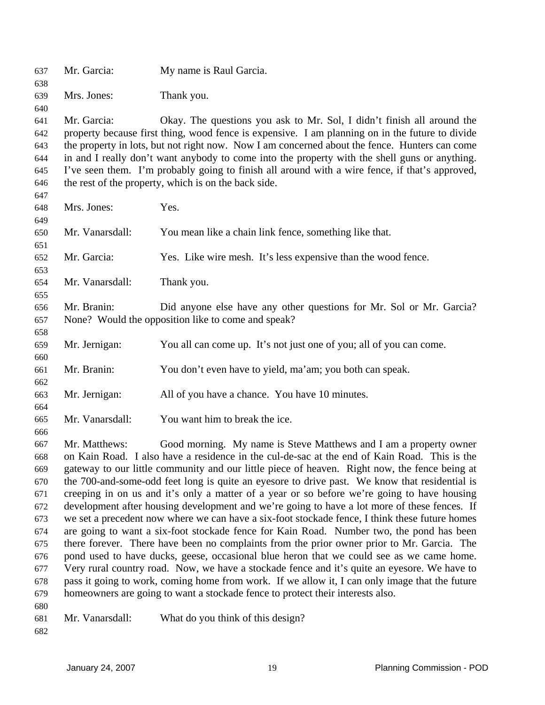| 637 | Mr. Garcia:     | My name is Raul Garcia.                                                                         |
|-----|-----------------|-------------------------------------------------------------------------------------------------|
| 638 |                 |                                                                                                 |
| 639 | Mrs. Jones:     | Thank you.                                                                                      |
| 640 |                 |                                                                                                 |
| 641 | Mr. Garcia:     | Okay. The questions you ask to Mr. Sol, I didn't finish all around the                          |
| 642 |                 | property because first thing, wood fence is expensive. I am planning on in the future to divide |
| 643 |                 | the property in lots, but not right now. Now I am concerned about the fence. Hunters can come   |
| 644 |                 | in and I really don't want anybody to come into the property with the shell guns or anything.   |
| 645 |                 | I've seen them. I'm probably going to finish all around with a wire fence, if that's approved,  |
| 646 |                 | the rest of the property, which is on the back side.                                            |
| 647 |                 |                                                                                                 |
| 648 | Mrs. Jones:     | Yes.                                                                                            |
| 649 |                 |                                                                                                 |
| 650 | Mr. Vanarsdall: | You mean like a chain link fence, something like that.                                          |
| 651 |                 |                                                                                                 |
| 652 | Mr. Garcia:     | Yes. Like wire mesh. It's less expensive than the wood fence.                                   |
| 653 |                 |                                                                                                 |
| 654 | Mr. Vanarsdall: | Thank you.                                                                                      |
| 655 |                 |                                                                                                 |
| 656 | Mr. Branin:     | Did anyone else have any other questions for Mr. Sol or Mr. Garcia?                             |
| 657 |                 | None? Would the opposition like to come and speak?                                              |
| 658 |                 |                                                                                                 |
| 659 | Mr. Jernigan:   | You all can come up. It's not just one of you; all of you can come.                             |
| 660 |                 |                                                                                                 |
| 661 | Mr. Branin:     | You don't even have to yield, ma'am; you both can speak.                                        |
| 662 |                 |                                                                                                 |
| 663 | Mr. Jernigan:   | All of you have a chance. You have 10 minutes.                                                  |
| 664 |                 |                                                                                                 |
| 665 | Mr. Vanarsdall: | You want him to break the ice.                                                                  |
| 666 |                 |                                                                                                 |
| 667 | Mr. Matthews:   | Good morning. My name is Steve Matthews and I am a property owner                               |
| 668 |                 | on Kain Road. I also have a residence in the cul-de-sac at the end of Kain Road. This is the    |
| 669 |                 | gateway to our little community and our little piece of heaven. Right now, the fence being at   |
| 670 |                 | the 700-and-some-odd feet long is quite an eyesore to drive past. We know that residential is   |
| 671 |                 | creeping in on us and it's only a matter of a year or so before we're going to have housing     |
| 672 |                 | development after housing development and we're going to have a lot more of these fences. If    |
| 673 |                 | we set a precedent now where we can have a six-foot stockade fence, I think these future homes  |
| 674 |                 | are going to want a six-foot stockade fence for Kain Road. Number two, the pond has been        |
| 675 |                 | there forever. There have been no complaints from the prior owner prior to Mr. Garcia. The      |
| 676 |                 | pond used to have ducks, geese, occasional blue heron that we could see as we came home.        |
| 677 |                 | Very rural country road. Now, we have a stockade fence and it's quite an eyesore. We have to    |
| 678 |                 | pass it going to work, coming home from work. If we allow it, I can only image that the future  |
| 679 |                 | homeowners are going to want a stockade fence to protect their interests also.                  |
| 680 |                 |                                                                                                 |
| 681 | Mr. Vanarsdall: | What do you think of this design?                                                               |
| 682 |                 |                                                                                                 |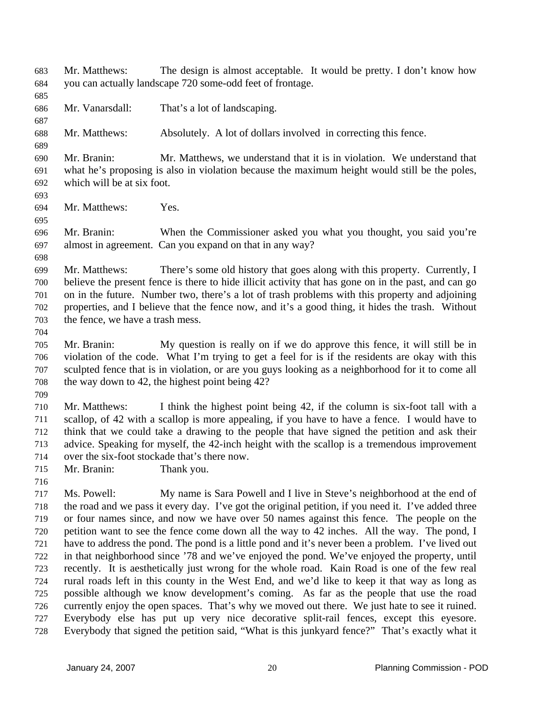Mr. Matthews: The design is almost acceptable. It would be pretty. I don't know how you can actually landscape 720 some-odd feet of frontage. 683 684 685 686 687 688 689 690 691 692 693 694 695 696 697 698 699 700 701 702 703 704 705 706 707 708 709 710 711 712 713 714 715 716 717 718 719 720 721 722 723 724 725 726 727 728 Mr. Vanarsdall: That's a lot of landscaping. Mr. Matthews: Absolutely. A lot of dollars involved in correcting this fence. Mr. Branin: Mr. Matthews, we understand that it is in violation. We understand that what he's proposing is also in violation because the maximum height would still be the poles, which will be at six foot. Mr. Matthews: Yes. Mr. Branin: When the Commissioner asked you what you thought, you said you're almost in agreement. Can you expand on that in any way? Mr. Matthews: There's some old history that goes along with this property. Currently, I believe the present fence is there to hide illicit activity that has gone on in the past, and can go on in the future. Number two, there's a lot of trash problems with this property and adjoining properties, and I believe that the fence now, and it's a good thing, it hides the trash. Without the fence, we have a trash mess. Mr. Branin: My question is really on if we do approve this fence, it will still be in violation of the code. What I'm trying to get a feel for is if the residents are okay with this sculpted fence that is in violation, or are you guys looking as a neighborhood for it to come all the way down to 42, the highest point being 42? Mr. Matthews: I think the highest point being 42, if the column is six-foot tall with a scallop, of 42 with a scallop is more appealing, if you have to have a fence. I would have to think that we could take a drawing to the people that have signed the petition and ask their advice. Speaking for myself, the 42-inch height with the scallop is a tremendous improvement over the six-foot stockade that's there now. Mr. Branin: Thank you. Ms. Powell: My name is Sara Powell and I live in Steve's neighborhood at the end of the road and we pass it every day. I've got the original petition, if you need it. I've added three or four names since, and now we have over 50 names against this fence. The people on the petition want to see the fence come down all the way to 42 inches. All the way. The pond, I have to address the pond. The pond is a little pond and it's never been a problem. I've lived out in that neighborhood since '78 and we've enjoyed the pond. We've enjoyed the property, until recently. It is aesthetically just wrong for the whole road. Kain Road is one of the few real rural roads left in this county in the West End, and we'd like to keep it that way as long as possible although we know development's coming. As far as the people that use the road currently enjoy the open spaces. That's why we moved out there. We just hate to see it ruined. Everybody else has put up very nice decorative split-rail fences, except this eyesore. Everybody that signed the petition said, "What is this junkyard fence?" That's exactly what it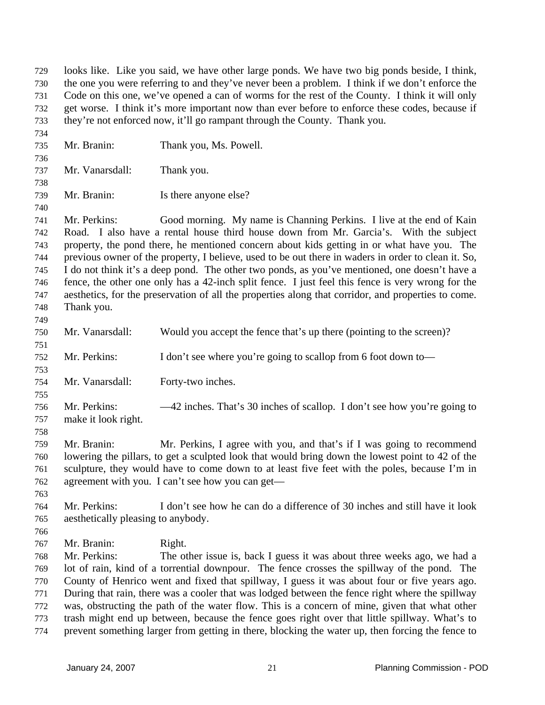looks like. Like you said, we have other large ponds. We have two big ponds beside, I think, the one you were referring to and they've never been a problem. I think if we don't enforce the Code on this one, we've opened a can of worms for the rest of the County. I think it will only get worse. I think it's more important now than ever before to enforce these codes, because if they're not enforced now, it'll go rampant through the County. Thank you. 729 730 731 732 733 734 735 736 737 738 739 740 741 742 743 744 745 746 747 748 749 750 751 752 753 754 755 756 757 758 759 760 761 762 763 764 765 766 767 768 769 770 771 772 773 774 Mr. Branin: Thank you, Ms. Powell. Mr. Vanarsdall: Thank you. Mr. Branin: Is there anyone else? Mr. Perkins: Good morning. My name is Channing Perkins. I live at the end of Kain Road. I also have a rental house third house down from Mr. Garcia's. With the subject property, the pond there, he mentioned concern about kids getting in or what have you. The previous owner of the property, I believe, used to be out there in waders in order to clean it. So, I do not think it's a deep pond. The other two ponds, as you've mentioned, one doesn't have a fence, the other one only has a 42-inch split fence. I just feel this fence is very wrong for the aesthetics, for the preservation of all the properties along that corridor, and properties to come. Thank you. Mr. Vanarsdall: Would you accept the fence that's up there (pointing to the screen)? Mr. Perkins: I don't see where you're going to scallop from 6 foot down to— Mr. Vanarsdall: Forty-two inches. Mr. Perkins:  $-42$  inches. That's 30 inches of scallop. I don't see how you're going to make it look right. Mr. Branin: Mr. Perkins, I agree with you, and that's if I was going to recommend lowering the pillars, to get a sculpted look that would bring down the lowest point to 42 of the sculpture, they would have to come down to at least five feet with the poles, because I'm in agreement with you. I can't see how you can get— Mr. Perkins: I don't see how he can do a difference of 30 inches and still have it look aesthetically pleasing to anybody. Mr. Branin: Right. Mr. Perkins: The other issue is, back I guess it was about three weeks ago, we had a lot of rain, kind of a torrential downpour. The fence crosses the spillway of the pond. The County of Henrico went and fixed that spillway, I guess it was about four or five years ago. During that rain, there was a cooler that was lodged between the fence right where the spillway was, obstructing the path of the water flow. This is a concern of mine, given that what other trash might end up between, because the fence goes right over that little spillway. What's to prevent something larger from getting in there, blocking the water up, then forcing the fence to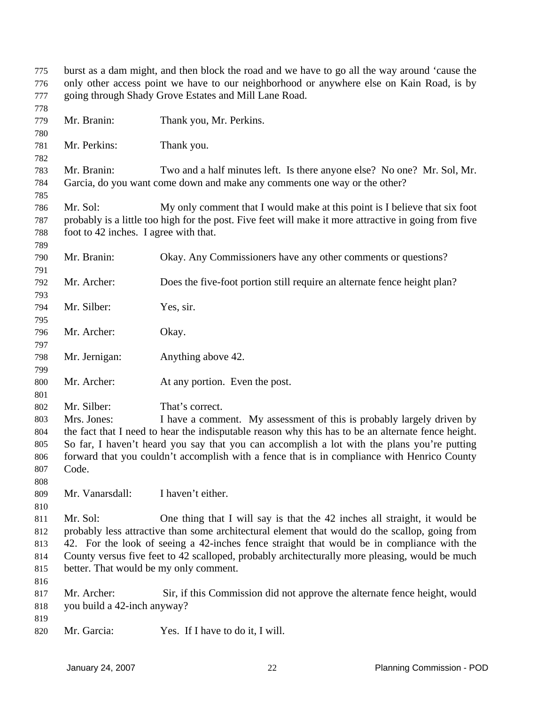| 775<br>776 | burst as a dam might, and then block the road and we have to go all the way around 'cause the<br>only other access point we have to our neighborhood or anywhere else on Kain Road, is by |                                                                                                       |  |  |
|------------|-------------------------------------------------------------------------------------------------------------------------------------------------------------------------------------------|-------------------------------------------------------------------------------------------------------|--|--|
| 777        | going through Shady Grove Estates and Mill Lane Road.                                                                                                                                     |                                                                                                       |  |  |
| 778        |                                                                                                                                                                                           |                                                                                                       |  |  |
| 779        | Mr. Branin:                                                                                                                                                                               | Thank you, Mr. Perkins.                                                                               |  |  |
| 780        |                                                                                                                                                                                           |                                                                                                       |  |  |
| 781        | Mr. Perkins:                                                                                                                                                                              | Thank you.                                                                                            |  |  |
| 782        |                                                                                                                                                                                           |                                                                                                       |  |  |
| 783        | Mr. Branin:                                                                                                                                                                               | Two and a half minutes left. Is there anyone else? No one? Mr. Sol, Mr.                               |  |  |
| 784        |                                                                                                                                                                                           | Garcia, do you want come down and make any comments one way or the other?                             |  |  |
| 785        |                                                                                                                                                                                           |                                                                                                       |  |  |
| 786        | Mr. Sol:                                                                                                                                                                                  | My only comment that I would make at this point is I believe that six foot                            |  |  |
| 787        |                                                                                                                                                                                           | probably is a little too high for the post. Five feet will make it more attractive in going from five |  |  |
| 788        | foot to 42 inches. I agree with that.                                                                                                                                                     |                                                                                                       |  |  |
| 789        |                                                                                                                                                                                           |                                                                                                       |  |  |
| 790        | Mr. Branin:                                                                                                                                                                               | Okay. Any Commissioners have any other comments or questions?                                         |  |  |
| 791        |                                                                                                                                                                                           |                                                                                                       |  |  |
| 792        | Mr. Archer:                                                                                                                                                                               | Does the five-foot portion still require an alternate fence height plan?                              |  |  |
| 793        |                                                                                                                                                                                           |                                                                                                       |  |  |
| 794        | Mr. Silber:                                                                                                                                                                               | Yes, sir.                                                                                             |  |  |
| 795        |                                                                                                                                                                                           |                                                                                                       |  |  |
| 796        | Mr. Archer:                                                                                                                                                                               | Okay.                                                                                                 |  |  |
| 797        |                                                                                                                                                                                           |                                                                                                       |  |  |
| 798        | Mr. Jernigan:                                                                                                                                                                             | Anything above 42.                                                                                    |  |  |
| 799        | Mr. Archer:                                                                                                                                                                               |                                                                                                       |  |  |
| 800<br>801 |                                                                                                                                                                                           | At any portion. Even the post.                                                                        |  |  |
| 802        | Mr. Silber:                                                                                                                                                                               | That's correct.                                                                                       |  |  |
| 803        | Mrs. Jones:                                                                                                                                                                               | I have a comment. My assessment of this is probably largely driven by                                 |  |  |
| 804        |                                                                                                                                                                                           | the fact that I need to hear the indisputable reason why this has to be an alternate fence height.    |  |  |
| 805        |                                                                                                                                                                                           | So far, I haven't heard you say that you can accomplish a lot with the plans you're putting           |  |  |
| 806        |                                                                                                                                                                                           | forward that you couldn't accomplish with a fence that is in compliance with Henrico County           |  |  |
| 807        | Code.                                                                                                                                                                                     |                                                                                                       |  |  |
| 808        |                                                                                                                                                                                           |                                                                                                       |  |  |
| 809        | Mr. Vanarsdall:                                                                                                                                                                           | I haven't either.                                                                                     |  |  |
| 810        |                                                                                                                                                                                           |                                                                                                       |  |  |
| 811        | Mr. Sol:                                                                                                                                                                                  | One thing that I will say is that the 42 inches all straight, it would be                             |  |  |
| 812        |                                                                                                                                                                                           | probably less attractive than some architectural element that would do the scallop, going from        |  |  |
| 813        | 42. For the look of seeing a 42-inches fence straight that would be in compliance with the                                                                                                |                                                                                                       |  |  |
| 814        |                                                                                                                                                                                           | County versus five feet to 42 scalloped, probably architecturally more pleasing, would be much        |  |  |
| 815        | better. That would be my only comment.                                                                                                                                                    |                                                                                                       |  |  |
| 816        |                                                                                                                                                                                           |                                                                                                       |  |  |
| 817        | Mr. Archer:                                                                                                                                                                               | Sir, if this Commission did not approve the alternate fence height, would                             |  |  |
| 818        | you build a 42-inch anyway?                                                                                                                                                               |                                                                                                       |  |  |
| 819        |                                                                                                                                                                                           |                                                                                                       |  |  |
| 820        | Mr. Garcia:                                                                                                                                                                               | Yes. If I have to do it, I will.                                                                      |  |  |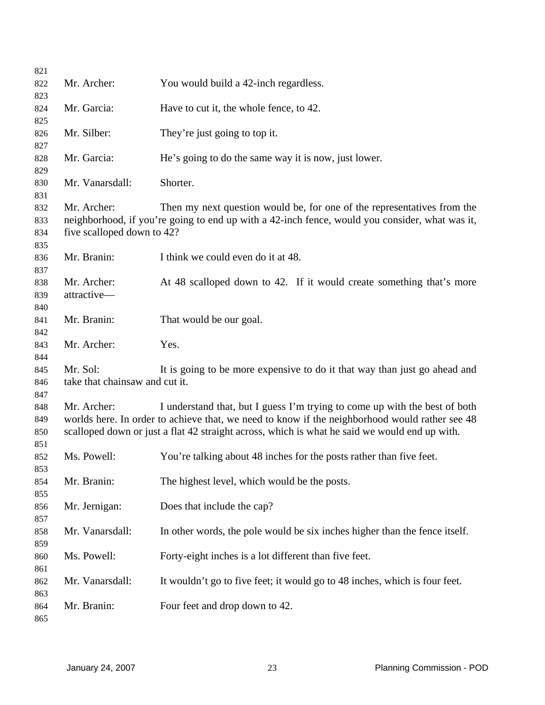| 821        |                                |                                                                                                |
|------------|--------------------------------|------------------------------------------------------------------------------------------------|
| 822        | Mr. Archer:                    | You would build a 42-inch regardless.                                                          |
| 823        |                                |                                                                                                |
| 824        | Mr. Garcia:                    | Have to cut it, the whole fence, to 42.                                                        |
| 825        |                                |                                                                                                |
| 826        | Mr. Silber:                    | They're just going to top it.                                                                  |
| 827        |                                |                                                                                                |
| 828        | Mr. Garcia:                    | He's going to do the same way it is now, just lower.                                           |
| 829        |                                |                                                                                                |
| 830        | Mr. Vanarsdall:                | Shorter.                                                                                       |
| 831        |                                |                                                                                                |
| 832        | Mr. Archer:                    | Then my next question would be, for one of the representatives from the                        |
| 833        |                                | neighborhood, if you're going to end up with a 42-inch fence, would you consider, what was it, |
| 834        | five scalloped down to 42?     |                                                                                                |
| 835        |                                |                                                                                                |
| 836        | Mr. Branin:                    | I think we could even do it at 48.                                                             |
| 837        |                                |                                                                                                |
| 838        | Mr. Archer:                    | At 48 scalloped down to 42. If it would create something that's more                           |
| 839        | attractive-                    |                                                                                                |
| 840        |                                |                                                                                                |
| 841        | Mr. Branin:                    | That would be our goal.                                                                        |
| 842        |                                |                                                                                                |
| 843        | Mr. Archer:                    | Yes.                                                                                           |
| 844        |                                |                                                                                                |
| 845        | Mr. Sol:                       | It is going to be more expensive to do it that way than just go ahead and                      |
| 846        | take that chainsaw and cut it. |                                                                                                |
| 847<br>848 | Mr. Archer:                    | I understand that, but I guess I'm trying to come up with the best of both                     |
| 849        |                                | worlds here. In order to achieve that, we need to know if the neighborhood would rather see 48 |
| 850        |                                | scalloped down or just a flat 42 straight across, which is what he said we would end up with.  |
| 851        |                                |                                                                                                |
| 852        | Ms. Powell:                    | You're talking about 48 inches for the posts rather than five feet.                            |
| 853        |                                |                                                                                                |
| 854        | Mr. Branin:                    | The highest level, which would be the posts.                                                   |
| 855        |                                |                                                                                                |
| 856        | Mr. Jernigan:                  | Does that include the cap?                                                                     |
| 857        |                                |                                                                                                |
| 858        | Mr. Vanarsdall:                | In other words, the pole would be six inches higher than the fence itself.                     |
| 859        |                                |                                                                                                |
| 860        | Ms. Powell:                    | Forty-eight inches is a lot different than five feet.                                          |
| 861        |                                |                                                                                                |
| 862        | Mr. Vanarsdall:                | It wouldn't go to five feet; it would go to 48 inches, which is four feet.                     |
| 863        |                                |                                                                                                |
| 864        | Mr. Branin:                    | Four feet and drop down to 42.                                                                 |
| 865        |                                |                                                                                                |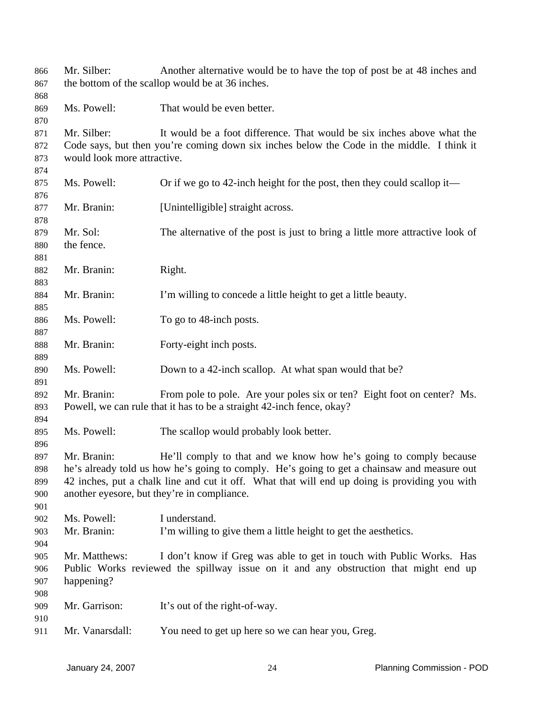| 866 | Mr. Silber:                 | Another alternative would be to have the top of post be at 48 inches and                      |
|-----|-----------------------------|-----------------------------------------------------------------------------------------------|
| 867 |                             | the bottom of the scallop would be at 36 inches.                                              |
| 868 |                             |                                                                                               |
| 869 | Ms. Powell:                 | That would be even better.                                                                    |
| 870 |                             |                                                                                               |
| 871 | Mr. Silber:                 | It would be a foot difference. That would be six inches above what the                        |
| 872 |                             | Code says, but then you're coming down six inches below the Code in the middle. I think it    |
| 873 | would look more attractive. |                                                                                               |
| 874 |                             |                                                                                               |
| 875 | Ms. Powell:                 | Or if we go to 42-inch height for the post, then they could scallop it—                       |
| 876 |                             |                                                                                               |
| 877 | Mr. Branin:                 | [Unintelligible] straight across.                                                             |
| 878 |                             |                                                                                               |
| 879 | Mr. Sol:                    | The alternative of the post is just to bring a little more attractive look of                 |
| 880 | the fence.                  |                                                                                               |
| 881 |                             |                                                                                               |
| 882 | Mr. Branin:                 | Right.                                                                                        |
| 883 |                             |                                                                                               |
| 884 | Mr. Branin:                 | I'm willing to concede a little height to get a little beauty.                                |
| 885 |                             |                                                                                               |
| 886 | Ms. Powell:                 | To go to 48-inch posts.                                                                       |
| 887 |                             |                                                                                               |
| 888 | Mr. Branin:                 | Forty-eight inch posts.                                                                       |
| 889 |                             |                                                                                               |
| 890 | Ms. Powell:                 | Down to a 42-inch scallop. At what span would that be?                                        |
| 891 |                             |                                                                                               |
| 892 | Mr. Branin:                 | From pole to pole. Are your poles six or ten? Eight foot on center? Ms.                       |
| 893 |                             | Powell, we can rule that it has to be a straight 42-inch fence, okay?                         |
| 894 |                             |                                                                                               |
| 895 | Ms. Powell:                 | The scallop would probably look better.                                                       |
| 896 |                             |                                                                                               |
| 897 | Mr. Branin:                 | He'll comply to that and we know how he's going to comply because                             |
| 898 |                             | he's already told us how he's going to comply. He's going to get a chainsaw and measure out   |
| 899 |                             | 42 inches, put a chalk line and cut it off. What that will end up doing is providing you with |
| 900 |                             | another eyesore, but they're in compliance.                                                   |
| 901 |                             |                                                                                               |
| 902 | Ms. Powell:                 | I understand.                                                                                 |
| 903 | Mr. Branin:                 | I'm willing to give them a little height to get the aesthetics.                               |
| 904 |                             |                                                                                               |
| 905 | Mr. Matthews:               | I don't know if Greg was able to get in touch with Public Works. Has                          |
| 906 |                             | Public Works reviewed the spillway issue on it and any obstruction that might end up          |
| 907 | happening?                  |                                                                                               |
| 908 |                             |                                                                                               |
| 909 | Mr. Garrison:               | It's out of the right-of-way.                                                                 |
| 910 |                             |                                                                                               |
| 911 | Mr. Vanarsdall:             | You need to get up here so we can hear you, Greg.                                             |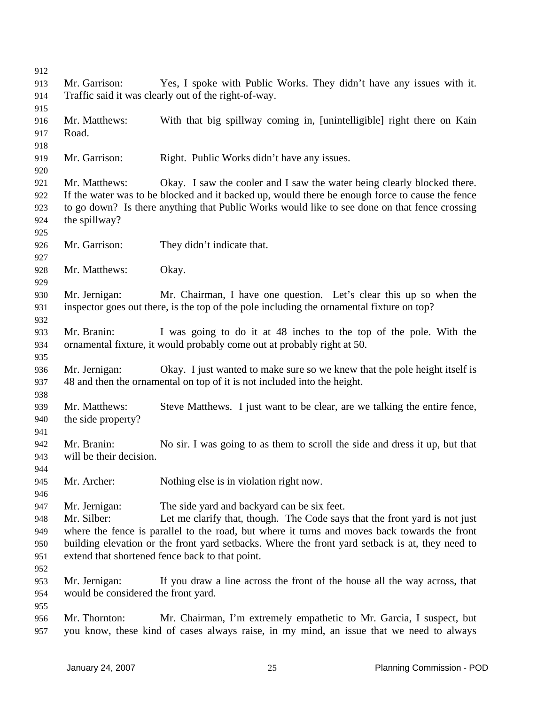| 912 |                                                      |                                                                                                 |  |  |
|-----|------------------------------------------------------|-------------------------------------------------------------------------------------------------|--|--|
| 913 | Mr. Garrison:                                        | Yes, I spoke with Public Works. They didn't have any issues with it.                            |  |  |
| 914 | Traffic said it was clearly out of the right-of-way. |                                                                                                 |  |  |
| 915 |                                                      |                                                                                                 |  |  |
| 916 | Mr. Matthews:                                        | With that big spillway coming in, [unintelligible] right there on Kain                          |  |  |
| 917 | Road.                                                |                                                                                                 |  |  |
| 918 |                                                      |                                                                                                 |  |  |
| 919 | Mr. Garrison:                                        | Right. Public Works didn't have any issues.                                                     |  |  |
| 920 |                                                      |                                                                                                 |  |  |
| 921 | Mr. Matthews:                                        | Okay. I saw the cooler and I saw the water being clearly blocked there.                         |  |  |
| 922 |                                                      | If the water was to be blocked and it backed up, would there be enough force to cause the fence |  |  |
| 923 |                                                      | to go down? Is there anything that Public Works would like to see done on that fence crossing   |  |  |
| 924 | the spillway?                                        |                                                                                                 |  |  |
| 925 |                                                      |                                                                                                 |  |  |
| 926 | Mr. Garrison:                                        | They didn't indicate that.                                                                      |  |  |
| 927 |                                                      |                                                                                                 |  |  |
| 928 | Mr. Matthews:                                        | Okay.                                                                                           |  |  |
| 929 |                                                      |                                                                                                 |  |  |
| 930 | Mr. Jernigan:                                        | Mr. Chairman, I have one question. Let's clear this up so when the                              |  |  |
| 931 |                                                      | inspector goes out there, is the top of the pole including the ornamental fixture on top?       |  |  |
| 932 |                                                      |                                                                                                 |  |  |
| 933 | Mr. Branin:                                          | I was going to do it at 48 inches to the top of the pole. With the                              |  |  |
| 934 |                                                      | ornamental fixture, it would probably come out at probably right at 50.                         |  |  |
| 935 |                                                      |                                                                                                 |  |  |
| 936 | Mr. Jernigan:                                        | Okay. I just wanted to make sure so we knew that the pole height itself is                      |  |  |
| 937 |                                                      | 48 and then the ornamental on top of it is not included into the height.                        |  |  |
| 938 |                                                      |                                                                                                 |  |  |
| 939 | Mr. Matthews:                                        | Steve Matthews. I just want to be clear, are we talking the entire fence,                       |  |  |
| 940 | the side property?                                   |                                                                                                 |  |  |
| 941 |                                                      |                                                                                                 |  |  |
| 942 | Mr. Branin:                                          | No sir. I was going to as them to scroll the side and dress it up, but that                     |  |  |
| 943 | will be their decision.                              |                                                                                                 |  |  |
| 944 |                                                      |                                                                                                 |  |  |
| 945 | Mr. Archer:                                          | Nothing else is in violation right now.                                                         |  |  |
| 946 |                                                      |                                                                                                 |  |  |
| 947 | Mr. Jernigan:                                        | The side yard and backyard can be six feet.                                                     |  |  |
| 948 | Mr. Silber:                                          | Let me clarify that, though. The Code says that the front yard is not just                      |  |  |
| 949 |                                                      | where the fence is parallel to the road, but where it turns and moves back towards the front    |  |  |
| 950 |                                                      | building elevation or the front yard setbacks. Where the front yard setback is at, they need to |  |  |
| 951 |                                                      | extend that shortened fence back to that point.                                                 |  |  |
| 952 |                                                      |                                                                                                 |  |  |
| 953 | Mr. Jernigan:                                        | If you draw a line across the front of the house all the way across, that                       |  |  |
| 954 | would be considered the front yard.                  |                                                                                                 |  |  |
| 955 |                                                      |                                                                                                 |  |  |
| 956 | Mr. Thornton:                                        | Mr. Chairman, I'm extremely empathetic to Mr. Garcia, I suspect, but                            |  |  |
| 957 |                                                      | you know, these kind of cases always raise, in my mind, an issue that we need to always         |  |  |
|     |                                                      |                                                                                                 |  |  |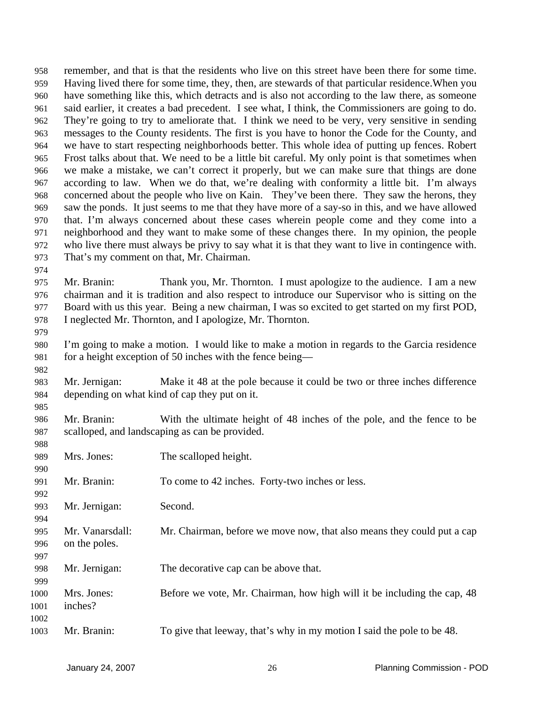remember, and that is that the residents who live on this street have been there for some time. Having lived there for some time, they, then, are stewards of that particular residence.When you have something like this, which detracts and is also not according to the law there, as someone said earlier, it creates a bad precedent. I see what, I think, the Commissioners are going to do. They're going to try to ameliorate that. I think we need to be very, very sensitive in sending messages to the County residents. The first is you have to honor the Code for the County, and we have to start respecting neighborhoods better. This whole idea of putting up fences. Robert Frost talks about that. We need to be a little bit careful. My only point is that sometimes when we make a mistake, we can't correct it properly, but we can make sure that things are done according to law. When we do that, we're dealing with conformity a little bit. I'm always concerned about the people who live on Kain. They've been there. They saw the herons, they saw the ponds. It just seems to me that they have more of a say-so in this, and we have allowed that. I'm always concerned about these cases wherein people come and they come into a neighborhood and they want to make some of these changes there. In my opinion, the people who live there must always be privy to say what it is that they want to live in contingence with. That's my comment on that, Mr. Chairman. 958 959 960 961 962 963 964 965 966 967 968 969 970 971 972 973 974

975 976 977 978 Mr. Branin: Thank you, Mr. Thornton. I must apologize to the audience. I am a new chairman and it is tradition and also respect to introduce our Supervisor who is sitting on the Board with us this year. Being a new chairman, I was so excited to get started on my first POD, I neglected Mr. Thornton, and I apologize, Mr. Thornton.

979

980 981 I'm going to make a motion. I would like to make a motion in regards to the Garcia residence for a height exception of 50 inches with the fence being—

982

985

989

983 984 Mr. Jernigan: Make it 48 at the pole because it could be two or three inches difference depending on what kind of cap they put on it.

986 987 Mr. Branin: With the ultimate height of 48 inches of the pole, and the fence to be scalloped, and landscaping as can be provided.

| <b>200</b>   |                        |                                                                         |
|--------------|------------------------|-------------------------------------------------------------------------|
| 989          | Mrs. Jones:            | The scalloped height.                                                   |
| 990          |                        |                                                                         |
| 991          | Mr. Branin:            | To come to 42 inches. Forty-two inches or less.                         |
| 992          |                        |                                                                         |
| 993          | Mr. Jernigan:          | Second.                                                                 |
| 994          |                        |                                                                         |
| 995          | Mr. Vanarsdall:        | Mr. Chairman, before we move now, that also means they could put a cap  |
| 996          | on the poles.          |                                                                         |
| 997          |                        |                                                                         |
| 998          | Mr. Jernigan:          | The decorative cap can be above that.                                   |
| 999          |                        |                                                                         |
| 1000<br>1001 | Mrs. Jones:<br>inches? | Before we vote, Mr. Chairman, how high will it be including the cap, 48 |
| 1002         |                        |                                                                         |
| 1003         | Mr. Branin:            | To give that leeway, that's why in my motion I said the pole to be 48.  |
|              |                        |                                                                         |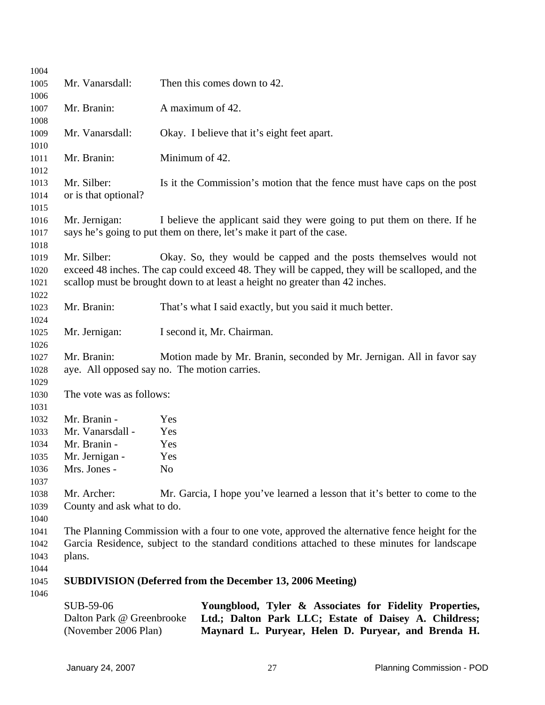|              | SUB-59-06<br>Dalton Park @ Greenbrooke<br>(November 2006 Plan)                                  | Youngblood, Tyler & Associates for Fidelity Properties,<br>Ltd.; Dalton Park LLC; Estate of Daisey A. Childress;<br>Maynard L. Puryear, Helen D. Puryear, and Brenda H. |  |  |
|--------------|-------------------------------------------------------------------------------------------------|-------------------------------------------------------------------------------------------------------------------------------------------------------------------------|--|--|
| 1045<br>1046 |                                                                                                 | <b>SUBDIVISION</b> (Deferred from the December 13, 2006 Meeting)                                                                                                        |  |  |
| 1044         |                                                                                                 |                                                                                                                                                                         |  |  |
| 1043         | plans.                                                                                          |                                                                                                                                                                         |  |  |
| 1042         | Garcia Residence, subject to the standard conditions attached to these minutes for landscape    |                                                                                                                                                                         |  |  |
| 1041         |                                                                                                 | The Planning Commission with a four to one vote, approved the alternative fence height for the                                                                          |  |  |
| 1040         |                                                                                                 |                                                                                                                                                                         |  |  |
| 1039         | County and ask what to do.                                                                      |                                                                                                                                                                         |  |  |
| 1038         | Mr. Archer:                                                                                     | Mr. Garcia, I hope you've learned a lesson that it's better to come to the                                                                                              |  |  |
| 1037         |                                                                                                 |                                                                                                                                                                         |  |  |
| 1036         | Mrs. Jones -                                                                                    | N <sub>o</sub>                                                                                                                                                          |  |  |
| 1035         | Mr. Jernigan -                                                                                  | Yes                                                                                                                                                                     |  |  |
| 1034         | Mr. Branin -                                                                                    | Yes                                                                                                                                                                     |  |  |
| 1033         | Mr. Vanarsdall -                                                                                | Yes                                                                                                                                                                     |  |  |
| 1031<br>1032 | Mr. Branin -                                                                                    | Yes                                                                                                                                                                     |  |  |
| 1030         | The vote was as follows:                                                                        |                                                                                                                                                                         |  |  |
| 1029         |                                                                                                 |                                                                                                                                                                         |  |  |
| 1028         |                                                                                                 | aye. All opposed say no. The motion carries.                                                                                                                            |  |  |
| 1026<br>1027 | Mr. Branin:                                                                                     | Motion made by Mr. Branin, seconded by Mr. Jernigan. All in favor say                                                                                                   |  |  |
| 1025         | Mr. Jernigan:                                                                                   | I second it, Mr. Chairman.                                                                                                                                              |  |  |
| 1024         |                                                                                                 |                                                                                                                                                                         |  |  |
| 1023         | Mr. Branin:                                                                                     | That's what I said exactly, but you said it much better.                                                                                                                |  |  |
| 1022         |                                                                                                 |                                                                                                                                                                         |  |  |
| 1021         |                                                                                                 | scallop must be brought down to at least a height no greater than 42 inches.                                                                                            |  |  |
| 1020         | exceed 48 inches. The cap could exceed 48. They will be capped, they will be scalloped, and the |                                                                                                                                                                         |  |  |
| 1019         | Mr. Silber:                                                                                     | Okay. So, they would be capped and the posts themselves would not                                                                                                       |  |  |
| 1018         |                                                                                                 |                                                                                                                                                                         |  |  |
| 1017         |                                                                                                 | says he's going to put them on there, let's make it part of the case.                                                                                                   |  |  |
| 1016         | Mr. Jernigan:                                                                                   | I believe the applicant said they were going to put them on there. If he                                                                                                |  |  |
| 1015         |                                                                                                 |                                                                                                                                                                         |  |  |
| 1014         | or is that optional?                                                                            |                                                                                                                                                                         |  |  |
| 1013         | Mr. Silber:                                                                                     | Is it the Commission's motion that the fence must have caps on the post                                                                                                 |  |  |
| 1012         |                                                                                                 |                                                                                                                                                                         |  |  |
| 1011         | Mr. Branin:                                                                                     | Minimum of 42.                                                                                                                                                          |  |  |
| 1010         |                                                                                                 |                                                                                                                                                                         |  |  |
| 1009         | Mr. Vanarsdall:                                                                                 | Okay. I believe that it's eight feet apart.                                                                                                                             |  |  |
| 1008         |                                                                                                 |                                                                                                                                                                         |  |  |
| 1006<br>1007 | Mr. Branin:                                                                                     | A maximum of 42.                                                                                                                                                        |  |  |
| 1005         | Mr. Vanarsdall:                                                                                 | Then this comes down to 42.                                                                                                                                             |  |  |
| 1004         |                                                                                                 |                                                                                                                                                                         |  |  |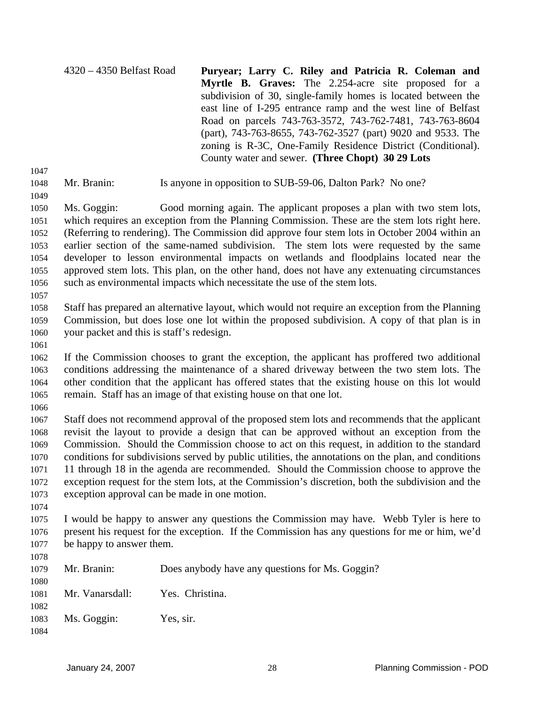4320 – 4350 Belfast Road **Puryear; Larry C. Riley and Patricia R. Coleman and Myrtle B. Graves:** The 2.254-acre site proposed for a subdivision of 30, single-family homes is located between the east line of I-295 entrance ramp and the west line of Belfast Road on parcels 743-763-3572, 743-762-7481, 743-763-8604 (part), 743-763-8655, 743-762-3527 (part) 9020 and 9533. The zoning is R-3C, One-Family Residence District (Conditional). County water and sewer. **(Three Chopt) 30 29 Lots** 

- 1047 1048
- Mr. Branin: Is anyone in opposition to SUB-59-06, Dalton Park? No one?
- 1049

1050 1051 1052 1053 1054 1055 1056 Ms. Goggin: Good morning again. The applicant proposes a plan with two stem lots, which requires an exception from the Planning Commission. These are the stem lots right here. (Referring to rendering). The Commission did approve four stem lots in October 2004 within an earlier section of the same-named subdivision. The stem lots were requested by the same developer to lesson environmental impacts on wetlands and floodplains located near the approved stem lots. This plan, on the other hand, does not have any extenuating circumstances such as environmental impacts which necessitate the use of the stem lots.

1057

1058 1059 1060 Staff has prepared an alternative layout, which would not require an exception from the Planning Commission, but does lose one lot within the proposed subdivision. A copy of that plan is in your packet and this is staff's redesign.

1061

1062 1063 1064 1065 If the Commission chooses to grant the exception, the applicant has proffered two additional conditions addressing the maintenance of a shared driveway between the two stem lots. The other condition that the applicant has offered states that the existing house on this lot would remain. Staff has an image of that existing house on that one lot.

1066

1067 1068 1069 1070 1071 1072 1073 Staff does not recommend approval of the proposed stem lots and recommends that the applicant revisit the layout to provide a design that can be approved without an exception from the Commission. Should the Commission choose to act on this request, in addition to the standard conditions for subdivisions served by public utilities, the annotations on the plan, and conditions 11 through 18 in the agenda are recommended. Should the Commission choose to approve the exception request for the stem lots, at the Commission's discretion, both the subdivision and the exception approval can be made in one motion.

1074

1078

1075 1076 1077 I would be happy to answer any questions the Commission may have. Webb Tyler is here to present his request for the exception. If the Commission has any questions for me or him, we'd be happy to answer them.

| 1079 | Mr. Branin:     | Does anybody have any questions for Ms. Goggin? |
|------|-----------------|-------------------------------------------------|
| 1080 |                 |                                                 |
| 1081 | Mr. Vanarsdall: | Yes. Christina.                                 |
| 1082 |                 |                                                 |
|      |                 |                                                 |
| 1083 | Ms. Goggin:     | Yes, sir.                                       |
| 1084 |                 |                                                 |
|      |                 |                                                 |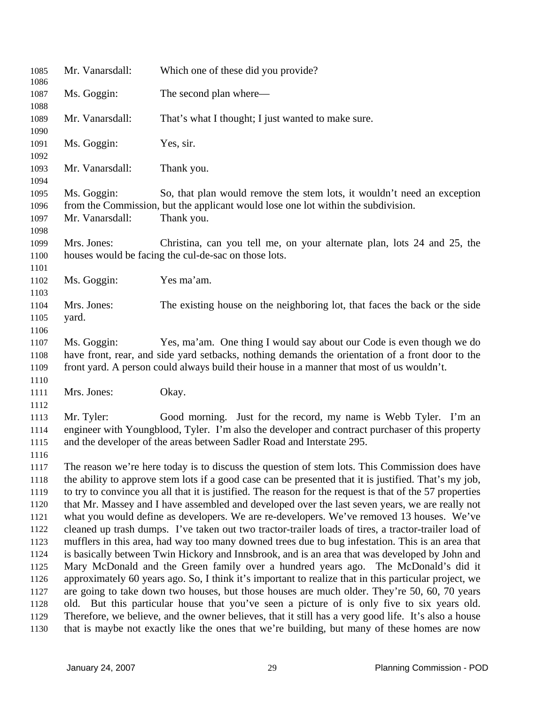| 1085<br>1086                         | Mr. Vanarsdall:                                                                                                                                                                                                                                                                       | Which one of these did you provide?                                                                                                                                                                                                           |  |
|--------------------------------------|---------------------------------------------------------------------------------------------------------------------------------------------------------------------------------------------------------------------------------------------------------------------------------------|-----------------------------------------------------------------------------------------------------------------------------------------------------------------------------------------------------------------------------------------------|--|
| 1087<br>1088                         | Ms. Goggin:                                                                                                                                                                                                                                                                           | The second plan where—                                                                                                                                                                                                                        |  |
| 1089<br>1090                         | Mr. Vanarsdall:                                                                                                                                                                                                                                                                       | That's what I thought; I just wanted to make sure.                                                                                                                                                                                            |  |
| 1091<br>1092                         | Ms. Goggin:                                                                                                                                                                                                                                                                           | Yes, sir.                                                                                                                                                                                                                                     |  |
| 1093                                 | Mr. Vanarsdall:                                                                                                                                                                                                                                                                       | Thank you.                                                                                                                                                                                                                                    |  |
| 1094<br>1095<br>1096<br>1097<br>1098 | Ms. Goggin:<br>Mr. Vanarsdall:                                                                                                                                                                                                                                                        | So, that plan would remove the stem lots, it wouldn't need an exception<br>from the Commission, but the applicant would lose one lot within the subdivision.<br>Thank you.                                                                    |  |
| 1099<br>1100<br>1101                 | Mrs. Jones:                                                                                                                                                                                                                                                                           | Christina, can you tell me, on your alternate plan, lots 24 and 25, the<br>houses would be facing the cul-de-sac on those lots.                                                                                                               |  |
| 1102                                 | Ms. Goggin:                                                                                                                                                                                                                                                                           | Yes ma'am.                                                                                                                                                                                                                                    |  |
| 1103<br>1104<br>1105<br>1106         | Mrs. Jones:<br>yard.                                                                                                                                                                                                                                                                  | The existing house on the neighboring lot, that faces the back or the side                                                                                                                                                                    |  |
| 1107<br>1108<br>1109<br>1110         | Yes, ma'am. One thing I would say about our Code is even though we do<br>Ms. Goggin:<br>have front, rear, and side yard setbacks, nothing demands the orientation of a front door to the<br>front yard. A person could always build their house in a manner that most of us wouldn't. |                                                                                                                                                                                                                                               |  |
| 1111<br>1112                         | Mrs. Jones:                                                                                                                                                                                                                                                                           | Okay.                                                                                                                                                                                                                                         |  |
| 1113<br>1114<br>1115<br>1116         | Mr. Tyler:                                                                                                                                                                                                                                                                            | Good morning. Just for the record, my name is Webb Tyler. I'm an<br>engineer with Youngblood, Tyler. I'm also the developer and contract purchaser of this property<br>and the developer of the areas between Sadler Road and Interstate 295. |  |
| 1117<br>1118<br>1119                 | The reason we're here today is to discuss the question of stem lots. This Commission does have<br>the ability to approve stem lots if a good case can be presented that it is justified. That's my job,                                                                               |                                                                                                                                                                                                                                               |  |
| 1120                                 | to try to convince you all that it is justified. The reason for the request is that of the 57 properties<br>that Mr. Massey and I have assembled and developed over the last seven years, we are really not                                                                           |                                                                                                                                                                                                                                               |  |
| 1121<br>1122                         | what you would define as developers. We are re-developers. We've removed 13 houses. We've<br>cleaned up trash dumps. I've taken out two tractor-trailer loads of tires, a tractor-trailer load of                                                                                     |                                                                                                                                                                                                                                               |  |
| 1123<br>1124                         | mufflers in this area, had way too many downed trees due to bug infestation. This is an area that<br>is basically between Twin Hickory and Innsbrook, and is an area that was developed by John and                                                                                   |                                                                                                                                                                                                                                               |  |
| 1125<br>1126                         | Mary McDonald and the Green family over a hundred years ago. The McDonald's did it<br>approximately 60 years ago. So, I think it's important to realize that in this particular project, we                                                                                           |                                                                                                                                                                                                                                               |  |
| 1127                                 | are going to take down two houses, but those houses are much older. They're 50, 60, 70 years                                                                                                                                                                                          |                                                                                                                                                                                                                                               |  |
| 1128<br>1129                         | old. But this particular house that you've seen a picture of is only five to six years old.<br>Therefore, we believe, and the owner believes, that it still has a very good life. It's also a house                                                                                   |                                                                                                                                                                                                                                               |  |
| 1130                                 | that is maybe not exactly like the ones that we're building, but many of these homes are now                                                                                                                                                                                          |                                                                                                                                                                                                                                               |  |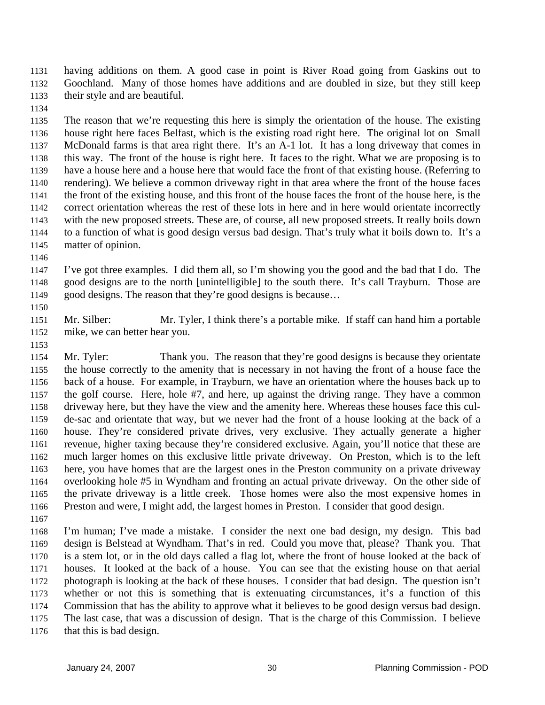having additions on them. A good case in point is River Road going from Gaskins out to Goochland. Many of those homes have additions and are doubled in size, but they still keep their style and are beautiful. 1131 1132 1133

1134

1135 1136 1137 1138 1139 1140 1141 1142 1143 1144 1145 The reason that we're requesting this here is simply the orientation of the house. The existing house right here faces Belfast, which is the existing road right here. The original lot on Small McDonald farms is that area right there. It's an A-1 lot. It has a long driveway that comes in this way. The front of the house is right here. It faces to the right. What we are proposing is to have a house here and a house here that would face the front of that existing house. (Referring to rendering). We believe a common driveway right in that area where the front of the house faces the front of the existing house, and this front of the house faces the front of the house here, is the correct orientation whereas the rest of these lots in here and in here would orientate incorrectly with the new proposed streets. These are, of course, all new proposed streets. It really boils down to a function of what is good design versus bad design. That's truly what it boils down to. It's a matter of opinion.

1146

1147 1148 1149 I've got three examples. I did them all, so I'm showing you the good and the bad that I do. The good designs are to the north [unintelligible] to the south there. It's call Trayburn. Those are good designs. The reason that they're good designs is because…

1151 1152 Mr. Silber: Mr. Tyler, I think there's a portable mike. If staff can hand him a portable mike, we can better hear you.

1153

1150

1154 1155 1156 1157 1158 1159 1160 1161 1162 1163 1164 1165 1166 Mr. Tyler: Thank you. The reason that they're good designs is because they orientate the house correctly to the amenity that is necessary in not having the front of a house face the back of a house. For example, in Trayburn, we have an orientation where the houses back up to the golf course. Here, hole #7, and here, up against the driving range. They have a common driveway here, but they have the view and the amenity here. Whereas these houses face this culde-sac and orientate that way, but we never had the front of a house looking at the back of a house. They're considered private drives, very exclusive. They actually generate a higher revenue, higher taxing because they're considered exclusive. Again, you'll notice that these are much larger homes on this exclusive little private driveway. On Preston, which is to the left here, you have homes that are the largest ones in the Preston community on a private driveway overlooking hole #5 in Wyndham and fronting an actual private driveway. On the other side of the private driveway is a little creek. Those homes were also the most expensive homes in Preston and were, I might add, the largest homes in Preston. I consider that good design.

1167

1168 1169 1170 1171 1172 1173 1174 1175 1176 I'm human; I've made a mistake. I consider the next one bad design, my design. This bad design is Belstead at Wyndham. That's in red. Could you move that, please? Thank you. That is a stem lot, or in the old days called a flag lot, where the front of house looked at the back of houses. It looked at the back of a house. You can see that the existing house on that aerial photograph is looking at the back of these houses. I consider that bad design. The question isn't whether or not this is something that is extenuating circumstances, it's a function of this Commission that has the ability to approve what it believes to be good design versus bad design. The last case, that was a discussion of design. That is the charge of this Commission. I believe that this is bad design.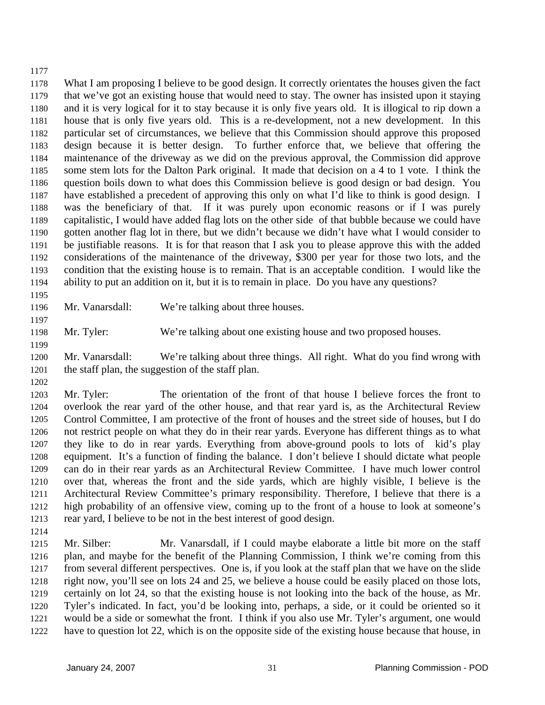## 1177

1178 1179 1180 1181 1182 1183 1184 1185 1186 1187 1188 1189 1190 1191 1192 1193 1194 What I am proposing I believe to be good design. It correctly orientates the houses given the fact that we've got an existing house that would need to stay. The owner has insisted upon it staying and it is very logical for it to stay because it is only five years old. It is illogical to rip down a house that is only five years old. This is a re-development, not a new development. In this particular set of circumstances, we believe that this Commission should approve this proposed design because it is better design. To further enforce that, we believe that offering the maintenance of the driveway as we did on the previous approval, the Commission did approve some stem lots for the Dalton Park original. It made that decision on a 4 to 1 vote. I think the question boils down to what does this Commission believe is good design or bad design. You have established a precedent of approving this only on what I'd like to think is good design. I was the beneficiary of that. If it was purely upon economic reasons or if I was purely capitalistic, I would have added flag lots on the other side of that bubble because we could have gotten another flag lot in there, but we didn't because we didn't have what I would consider to be justifiable reasons. It is for that reason that I ask you to please approve this with the added considerations of the maintenance of the driveway, \$300 per year for those two lots, and the condition that the existing house is to remain. That is an acceptable condition. I would like the ability to put an addition on it, but it is to remain in place. Do you have any questions?

1195 1196

1197

Mr. Vanarsdall: We're talking about three houses.

1198 Mr. Tyler: We're talking about one existing house and two proposed houses.

1199

1200 1201 Mr. Vanarsdall: We're talking about three things. All right. What do you find wrong with the staff plan, the suggestion of the staff plan.

1202

1203 1204 1205 1206 1207 1208 1209 1210 1211 1212 1213 Mr. Tyler: The orientation of the front of that house I believe forces the front to overlook the rear yard of the other house, and that rear yard is, as the Architectural Review Control Committee, I am protective of the front of houses and the street side of houses, but I do not restrict people on what they do in their rear yards. Everyone has different things as to what they like to do in rear yards. Everything from above-ground pools to lots of kid's play equipment. It's a function of finding the balance. I don't believe I should dictate what people can do in their rear yards as an Architectural Review Committee. I have much lower control over that, whereas the front and the side yards, which are highly visible, I believe is the Architectural Review Committee's primary responsibility. Therefore, I believe that there is a high probability of an offensive view, coming up to the front of a house to look at someone's rear yard, I believe to be not in the best interest of good design.

1214

1215 1216 1217 1218 1219 1220 1221 1222 Mr. Silber: Mr. Vanarsdall, if I could maybe elaborate a little bit more on the staff plan, and maybe for the benefit of the Planning Commission, I think we're coming from this from several different perspectives. One is, if you look at the staff plan that we have on the slide right now, you'll see on lots 24 and 25, we believe a house could be easily placed on those lots, certainly on lot 24, so that the existing house is not looking into the back of the house, as Mr. Tyler's indicated. In fact, you'd be looking into, perhaps, a side, or it could be oriented so it would be a side or somewhat the front. I think if you also use Mr. Tyler's argument, one would have to question lot 22, which is on the opposite side of the existing house because that house, in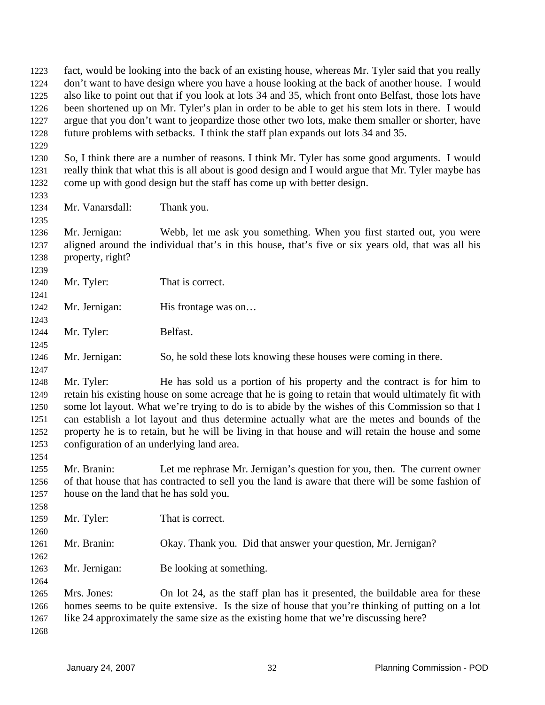fact, would be looking into the back of an existing house, whereas Mr. Tyler said that you really don't want to have design where you have a house looking at the back of another house. I would also like to point out that if you look at lots 34 and 35, which front onto Belfast, those lots have been shortened up on Mr. Tyler's plan in order to be able to get his stem lots in there. I would argue that you don't want to jeopardize those other two lots, make them smaller or shorter, have future problems with setbacks. I think the staff plan expands out lots 34 and 35. 1223 1224 1225 1226 1227 1228 1229 1230 1231 1232 1233 1234 1235 1236 1237 1238 1239 1240 1241 1242 1243 1244 1245 1246 1247 1248 1249 1250 1251 1252 1253 1254 1255 1256 1257 1258 1259 1260 1261 1262 1263 1264 1265 1266 1267 1268 So, I think there are a number of reasons. I think Mr. Tyler has some good arguments. I would really think that what this is all about is good design and I would argue that Mr. Tyler maybe has come up with good design but the staff has come up with better design. Mr. Vanarsdall: Thank you. Mr. Jernigan: Webb, let me ask you something. When you first started out, you were aligned around the individual that's in this house, that's five or six years old, that was all his property, right? Mr. Tyler: That is correct. Mr. Jernigan: His frontage was on... Mr. Tyler: Belfast. Mr. Jernigan: So, he sold these lots knowing these houses were coming in there. Mr. Tyler: He has sold us a portion of his property and the contract is for him to retain his existing house on some acreage that he is going to retain that would ultimately fit with some lot layout. What we're trying to do is to abide by the wishes of this Commission so that I can establish a lot layout and thus determine actually what are the metes and bounds of the property he is to retain, but he will be living in that house and will retain the house and some configuration of an underlying land area. Mr. Branin: Let me rephrase Mr. Jernigan's question for you, then. The current owner of that house that has contracted to sell you the land is aware that there will be some fashion of house on the land that he has sold you. Mr. Tyler: That is correct. Mr. Branin: Okay. Thank you. Did that answer your question, Mr. Jernigan? Mr. Jernigan: Be looking at something. Mrs. Jones: On lot 24, as the staff plan has it presented, the buildable area for these homes seems to be quite extensive. Is the size of house that you're thinking of putting on a lot like 24 approximately the same size as the existing home that we're discussing here?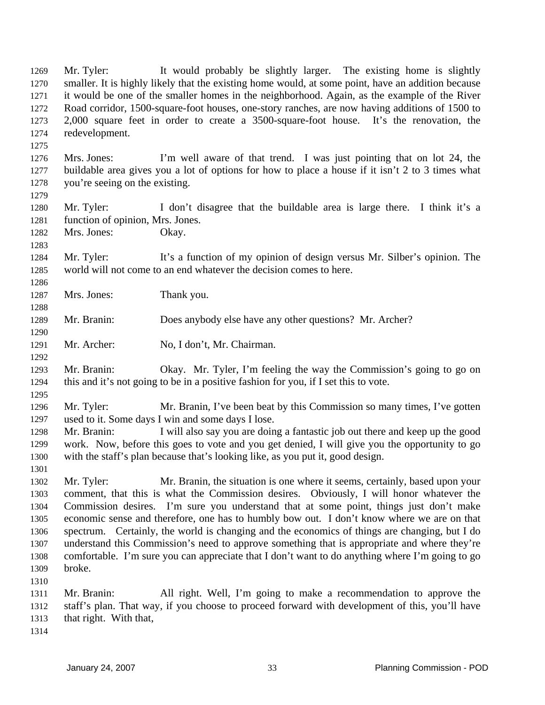Mr. Tyler: It would probably be slightly larger. The existing home is slightly smaller. It is highly likely that the existing home would, at some point, have an addition because it would be one of the smaller homes in the neighborhood. Again, as the example of the River Road corridor, 1500-square-foot houses, one-story ranches, are now having additions of 1500 to 2,000 square feet in order to create a 3500-square-foot house. It's the renovation, the redevelopment. 1269 1270 1271 1272 1273 1274

1276 1277 1278 Mrs. Jones: I'm well aware of that trend. I was just pointing that on lot 24, the buildable area gives you a lot of options for how to place a house if it isn't 2 to 3 times what you're seeing on the existing.

1280 1281 Mr. Tyler: I don't disagree that the buildable area is large there. I think it's a function of opinion, Mrs. Jones.

1282 Mrs. Jones: Okay.

1275

1279

1283

1286

1288

1290

1292

1295

1301

1284 1285 Mr. Tyler: It's a function of my opinion of design versus Mr. Silber's opinion. The world will not come to an end whatever the decision comes to here.

1287 Mrs. Jones: Thank you.

1289 Mr. Branin: Does anybody else have any other questions? Mr. Archer?

1291 Mr. Archer: No, I don't, Mr. Chairman.

1293 1294 Mr. Branin: Okay. Mr. Tyler, I'm feeling the way the Commission's going to go on this and it's not going to be in a positive fashion for you, if I set this to vote.

1296 1297 Mr. Tyler: Mr. Branin, I've been beat by this Commission so many times, I've gotten used to it. Some days I win and some days I lose.

1298 1299 1300 Mr. Branin: I will also say you are doing a fantastic job out there and keep up the good work. Now, before this goes to vote and you get denied, I will give you the opportunity to go with the staff's plan because that's looking like, as you put it, good design.

1302 1303 1304 1305 1306 1307 1308 1309 Mr. Tyler: Mr. Branin, the situation is one where it seems, certainly, based upon your comment, that this is what the Commission desires. Obviously, I will honor whatever the Commission desires. I'm sure you understand that at some point, things just don't make economic sense and therefore, one has to humbly bow out. I don't know where we are on that spectrum. Certainly, the world is changing and the economics of things are changing, but I do understand this Commission's need to approve something that is appropriate and where they're comfortable. I'm sure you can appreciate that I don't want to do anything where I'm going to go broke.

1310

1311 1312 1313 Mr. Branin: All right. Well, I'm going to make a recommendation to approve the staff's plan. That way, if you choose to proceed forward with development of this, you'll have that right. With that,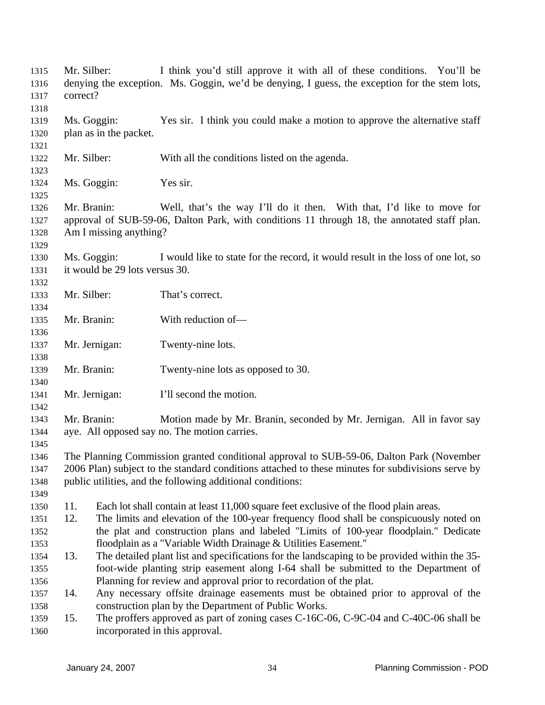| 1315<br>1316<br>1317 | Mr. Silber:<br>correct?                                                                                                                                                                                        |                                                                                                                                                                                                                                                             | I think you'd still approve it with all of these conditions. You'll be<br>denying the exception. Ms. Goggin, we'd be denying, I guess, the exception for the stem lots, |  |
|----------------------|----------------------------------------------------------------------------------------------------------------------------------------------------------------------------------------------------------------|-------------------------------------------------------------------------------------------------------------------------------------------------------------------------------------------------------------------------------------------------------------|-------------------------------------------------------------------------------------------------------------------------------------------------------------------------|--|
| 1318                 |                                                                                                                                                                                                                |                                                                                                                                                                                                                                                             |                                                                                                                                                                         |  |
| 1319<br>1320         | Ms. Goggin:                                                                                                                                                                                                    | plan as in the packet.                                                                                                                                                                                                                                      | Yes sir. I think you could make a motion to approve the alternative staff                                                                                               |  |
| 1321<br>1322<br>1323 | Mr. Silber:                                                                                                                                                                                                    |                                                                                                                                                                                                                                                             | With all the conditions listed on the agenda.                                                                                                                           |  |
| 1324<br>1325         | Ms. Goggin:                                                                                                                                                                                                    |                                                                                                                                                                                                                                                             | Yes sir.                                                                                                                                                                |  |
| 1326<br>1327<br>1328 | Mr. Branin:<br>Well, that's the way I'll do it then. With that, I'd like to move for<br>approval of SUB-59-06, Dalton Park, with conditions 11 through 18, the annotated staff plan.<br>Am I missing anything? |                                                                                                                                                                                                                                                             |                                                                                                                                                                         |  |
| 1329                 |                                                                                                                                                                                                                |                                                                                                                                                                                                                                                             |                                                                                                                                                                         |  |
| 1330<br>1331         | Ms. Goggin:                                                                                                                                                                                                    | it would be 29 lots versus 30.                                                                                                                                                                                                                              | I would like to state for the record, it would result in the loss of one lot, so                                                                                        |  |
| 1332                 |                                                                                                                                                                                                                |                                                                                                                                                                                                                                                             |                                                                                                                                                                         |  |
| 1333                 | Mr. Silber:                                                                                                                                                                                                    |                                                                                                                                                                                                                                                             | That's correct.                                                                                                                                                         |  |
| 1334                 |                                                                                                                                                                                                                |                                                                                                                                                                                                                                                             |                                                                                                                                                                         |  |
| 1335                 | Mr. Branin:                                                                                                                                                                                                    |                                                                                                                                                                                                                                                             | With reduction of-                                                                                                                                                      |  |
| 1336                 |                                                                                                                                                                                                                |                                                                                                                                                                                                                                                             |                                                                                                                                                                         |  |
| 1337                 | Mr. Jernigan:                                                                                                                                                                                                  |                                                                                                                                                                                                                                                             | Twenty-nine lots.                                                                                                                                                       |  |
| 1338                 |                                                                                                                                                                                                                |                                                                                                                                                                                                                                                             |                                                                                                                                                                         |  |
| 1339                 | Mr. Branin:                                                                                                                                                                                                    |                                                                                                                                                                                                                                                             | Twenty-nine lots as opposed to 30.                                                                                                                                      |  |
| 1340                 |                                                                                                                                                                                                                |                                                                                                                                                                                                                                                             |                                                                                                                                                                         |  |
| 1341                 | Mr. Jernigan:                                                                                                                                                                                                  |                                                                                                                                                                                                                                                             | I'll second the motion.                                                                                                                                                 |  |
| 1342                 |                                                                                                                                                                                                                |                                                                                                                                                                                                                                                             |                                                                                                                                                                         |  |
| 1343<br>1344         | Mr. Branin:                                                                                                                                                                                                    |                                                                                                                                                                                                                                                             | Motion made by Mr. Branin, seconded by Mr. Jernigan. All in favor say<br>aye. All opposed say no. The motion carries.                                                   |  |
| 1345                 |                                                                                                                                                                                                                |                                                                                                                                                                                                                                                             |                                                                                                                                                                         |  |
| 1346                 |                                                                                                                                                                                                                |                                                                                                                                                                                                                                                             |                                                                                                                                                                         |  |
| 1347<br>1348         |                                                                                                                                                                                                                | The Planning Commission granted conditional approval to SUB-59-06, Dalton Park (November<br>2006 Plan) subject to the standard conditions attached to these minutes for subdivisions serve by<br>public utilities, and the following additional conditions: |                                                                                                                                                                         |  |
| 1349                 |                                                                                                                                                                                                                |                                                                                                                                                                                                                                                             |                                                                                                                                                                         |  |
| 1350                 | 11.                                                                                                                                                                                                            |                                                                                                                                                                                                                                                             | Each lot shall contain at least 11,000 square feet exclusive of the flood plain areas.                                                                                  |  |
|                      | 12.                                                                                                                                                                                                            |                                                                                                                                                                                                                                                             | The limits and elevation of the 100-year frequency flood shall be conspicuously noted on                                                                                |  |
| 1351                 |                                                                                                                                                                                                                |                                                                                                                                                                                                                                                             |                                                                                                                                                                         |  |
| 1352                 |                                                                                                                                                                                                                |                                                                                                                                                                                                                                                             | the plat and construction plans and labeled "Limits of 100-year floodplain." Dedicate                                                                                   |  |
| 1353                 |                                                                                                                                                                                                                |                                                                                                                                                                                                                                                             | floodplain as a "Variable Width Drainage & Utilities Easement."                                                                                                         |  |
| 1354                 | 13.                                                                                                                                                                                                            |                                                                                                                                                                                                                                                             | The detailed plant list and specifications for the landscaping to be provided within the 35-                                                                            |  |
| 1355                 |                                                                                                                                                                                                                |                                                                                                                                                                                                                                                             | foot-wide planting strip easement along I-64 shall be submitted to the Department of                                                                                    |  |
| 1356                 |                                                                                                                                                                                                                |                                                                                                                                                                                                                                                             | Planning for review and approval prior to recordation of the plat.                                                                                                      |  |
| 1357                 | 14.                                                                                                                                                                                                            |                                                                                                                                                                                                                                                             | Any necessary offsite drainage easements must be obtained prior to approval of the                                                                                      |  |
| 1358                 |                                                                                                                                                                                                                |                                                                                                                                                                                                                                                             | construction plan by the Department of Public Works.                                                                                                                    |  |
| 1359                 | 15.                                                                                                                                                                                                            |                                                                                                                                                                                                                                                             | The proffers approved as part of zoning cases C-16C-06, C-9C-04 and C-40C-06 shall be                                                                                   |  |
| 1360                 |                                                                                                                                                                                                                |                                                                                                                                                                                                                                                             | incorporated in this approval.                                                                                                                                          |  |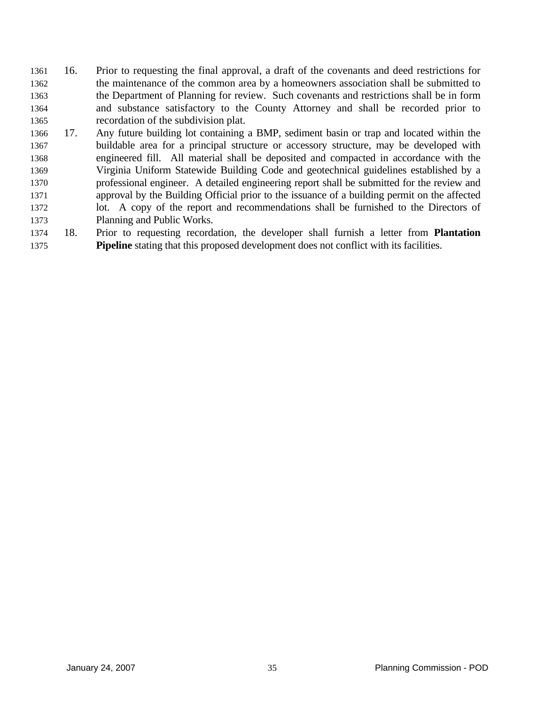- 16. Prior to requesting the final approval, a draft of the covenants and deed restrictions for the maintenance of the common area by a homeowners association shall be submitted to the Department of Planning for review. Such covenants and restrictions shall be in form and substance satisfactory to the County Attorney and shall be recorded prior to recordation of the subdivision plat. 1361 1362 1363 1364 1365
- 1366 1367 1368 1369 1370 1371 1372 1373 17. Any future building lot containing a BMP, sediment basin or trap and located within the buildable area for a principal structure or accessory structure, may be developed with engineered fill. All material shall be deposited and compacted in accordance with the Virginia Uniform Statewide Building Code and geotechnical guidelines established by a professional engineer. A detailed engineering report shall be submitted for the review and approval by the Building Official prior to the issuance of a building permit on the affected lot. A copy of the report and recommendations shall be furnished to the Directors of Planning and Public Works.
- 1374 1375 18. Prior to requesting recordation, the developer shall furnish a letter from **Plantation Pipeline** stating that this proposed development does not conflict with its facilities.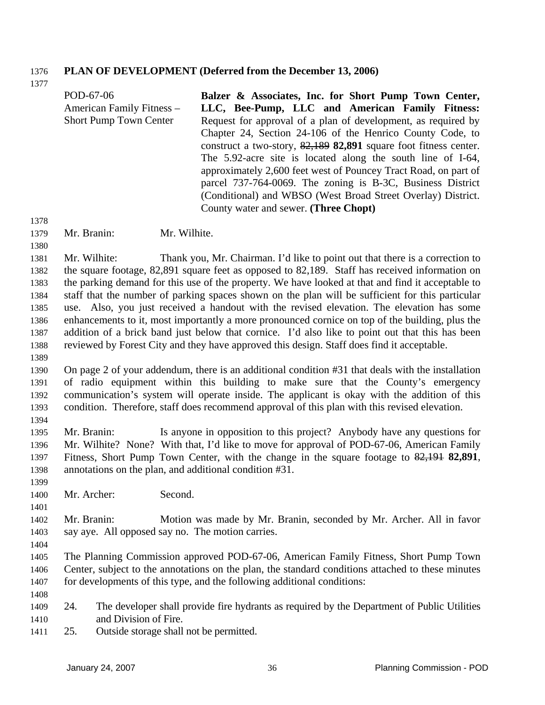### 1376 **PLAN OF DEVELOPMENT (Deferred from the December 13, 2006)**

POD-67-06 American Family Fitness – Short Pump Town Center **Balzer & Associates, Inc. for Short Pump Town Center, LLC, Bee-Pump, LLC and American Family Fitness:**  Request for approval of a plan of development, as required by Chapter 24, Section 24-106 of the Henrico County Code, to construct a two-story, 82,189 **82,891** square foot fitness center. The 5.92-acre site is located along the south line of I-64, approximately 2,600 feet west of Pouncey Tract Road, on part of parcel 737-764-0069. The zoning is B-3C, Business District (Conditional) and WBSO (West Broad Street Overlay) District. County water and sewer. **(Three Chopt)** 

1379 Mr. Branin: Mr. Wilhite.

1381 1382 1383 1384 1385 1386 1387 1388 Mr. Wilhite: Thank you, Mr. Chairman. I'd like to point out that there is a correction to the square footage, 82,891 square feet as opposed to 82,189. Staff has received information on the parking demand for this use of the property. We have looked at that and find it acceptable to staff that the number of parking spaces shown on the plan will be sufficient for this particular use. Also, you just received a handout with the revised elevation. The elevation has some enhancements to it, most importantly a more pronounced cornice on top of the building, plus the addition of a brick band just below that cornice. I'd also like to point out that this has been reviewed by Forest City and they have approved this design. Staff does find it acceptable.

- 1390 1391 1392 1393 On page 2 of your addendum, there is an additional condition #31 that deals with the installation of radio equipment within this building to make sure that the County's emergency communication's system will operate inside. The applicant is okay with the addition of this condition. Therefore, staff does recommend approval of this plan with this revised elevation.
- 1395 1396 Mr. Branin: Is anyone in opposition to this project? Anybody have any questions for Mr. Wilhite? None? With that, I'd like to move for approval of POD-67-06, American Family Fitness, Short Pump Town Center, with the change in the square footage to 82,191 **82,891**, annotations on the plan, and additional condition #31. 1397 1398
- 1400 Mr. Archer: Second.
- 1402 1403 Mr. Branin: Motion was made by Mr. Branin, seconded by Mr. Archer. All in favor say aye. All opposed say no. The motion carries.
- 1404

1377

1378

1380

1389

1394

1399

- 1405 1406 1407 The Planning Commission approved POD-67-06, American Family Fitness, Short Pump Town Center, subject to the annotations on the plan, the standard conditions attached to these minutes for developments of this type, and the following additional conditions:
- 1408
- 1409 1410 24. The developer shall provide fire hydrants as required by the Department of Public Utilities and Division of Fire.
- 1411 25. Outside storage shall not be permitted.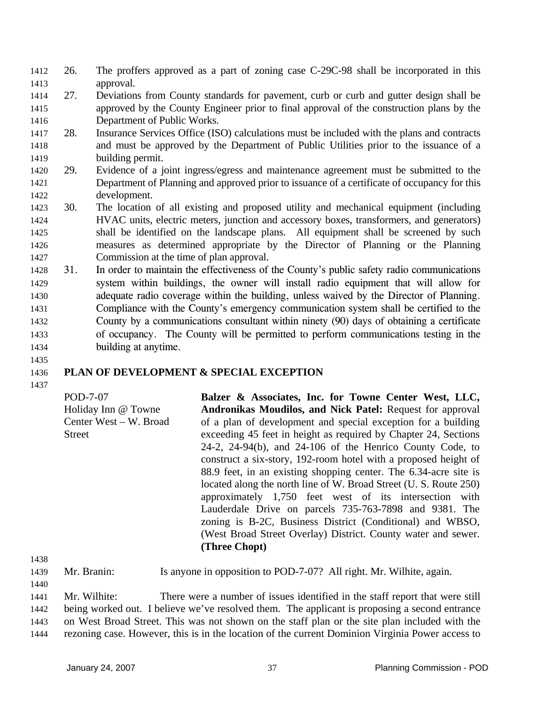- 26. The proffers approved as a part of zoning case C-29C-98 shall be incorporated in this approval. 1412 1413
- 1414 1415 1416 27. Deviations from County standards for pavement, curb or curb and gutter design shall be approved by the County Engineer prior to final approval of the construction plans by the Department of Public Works.
- 1417 1418 1419 28. Insurance Services Office (ISO) calculations must be included with the plans and contracts and must be approved by the Department of Public Utilities prior to the issuance of a building permit.
- 1420 1421 1422 29. Evidence of a joint ingress/egress and maintenance agreement must be submitted to the Department of Planning and approved prior to issuance of a certificate of occupancy for this development.
- 1423 1424 1425 1426 1427 30. The location of all existing and proposed utility and mechanical equipment (including HVAC units, electric meters, junction and accessory boxes, transformers, and generators) shall be identified on the landscape plans. All equipment shall be screened by such measures as determined appropriate by the Director of Planning or the Planning Commission at the time of plan approval.
- 1428 1429 1430 1431 1432 1433 1434 31. In order to maintain the effectiveness of the County's public safety radio communications system within buildings, the owner will install radio equipment that will allow for adequate radio coverage within the building, unless waived by the Director of Planning. Compliance with the County's emergency communication system shall be certified to the County by a communications consultant within ninety (90) days of obtaining a certificate of occupancy. The County will be permitted to perform communications testing in the building at anytime.
- 1435

## 1436 **PLAN OF DEVELOPMENT & SPECIAL EXCEPTION**

1437

POD-7-07 Holiday Inn @ Towne Center West – W. Broad **Street** 

**Balzer & Associates, Inc. for Towne Center West, LLC, Andronikas Moudilos, and Nick Patel:** Request for approval of a plan of development and special exception for a building exceeding 45 feet in height as required by Chapter 24, Sections 24-2, 24-94(b), and 24-106 of the Henrico County Code, to construct a six-story, 192-room hotel with a proposed height of 88.9 feet, in an existing shopping center. The 6.34-acre site is located along the north line of W. Broad Street (U. S. Route 250) approximately 1,750 feet west of its intersection with Lauderdale Drive on parcels 735-763-7898 and 9381. The zoning is B-2C, Business District (Conditional) and WBSO, (West Broad Street Overlay) District. County water and sewer. **(Three Chopt)** 

1438

1440

1439 Mr. Branin: Is anyone in opposition to POD-7-07? All right. Mr. Wilhite, again.

1441 1442 1443 1444 Mr. Wilhite: There were a number of issues identified in the staff report that were still being worked out. I believe we've resolved them. The applicant is proposing a second entrance on West Broad Street. This was not shown on the staff plan or the site plan included with the rezoning case. However, this is in the location of the current Dominion Virginia Power access to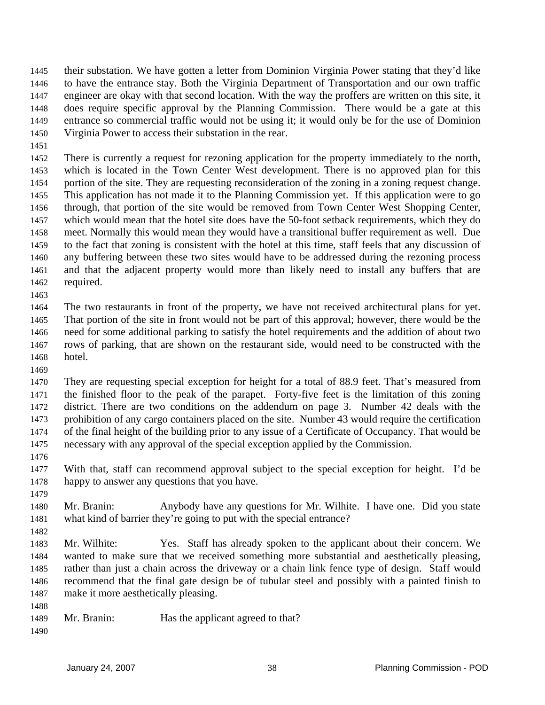their substation. We have gotten a letter from Dominion Virginia Power stating that they'd like to have the entrance stay. Both the Virginia Department of Transportation and our own traffic engineer are okay with that second location. With the way the proffers are written on this site, it does require specific approval by the Planning Commission. There would be a gate at this entrance so commercial traffic would not be using it; it would only be for the use of Dominion Virginia Power to access their substation in the rear. 1445 1446 1447 1448 1449 1450

1451

1452 1453 1454 1455 1456 1457 1458 1459 1460 1461 1462 There is currently a request for rezoning application for the property immediately to the north, which is located in the Town Center West development. There is no approved plan for this portion of the site. They are requesting reconsideration of the zoning in a zoning request change. This application has not made it to the Planning Commission yet. If this application were to go through, that portion of the site would be removed from Town Center West Shopping Center, which would mean that the hotel site does have the 50-foot setback requirements, which they do meet. Normally this would mean they would have a transitional buffer requirement as well. Due to the fact that zoning is consistent with the hotel at this time, staff feels that any discussion of any buffering between these two sites would have to be addressed during the rezoning process and that the adjacent property would more than likely need to install any buffers that are required.

1463

1464 1465 1466 1467 1468 The two restaurants in front of the property, we have not received architectural plans for yet. That portion of the site in front would not be part of this approval; however, there would be the need for some additional parking to satisfy the hotel requirements and the addition of about two rows of parking, that are shown on the restaurant side, would need to be constructed with the hotel.

1469

1470 1471 1472 1473 1474 1475 They are requesting special exception for height for a total of 88.9 feet. That's measured from the finished floor to the peak of the parapet. Forty-five feet is the limitation of this zoning district. There are two conditions on the addendum on page 3. Number 42 deals with the prohibition of any cargo containers placed on the site. Number 43 would require the certification of the final height of the building prior to any issue of a Certificate of Occupancy. That would be necessary with any approval of the special exception applied by the Commission.

1476

1482

1477 1478 1479 With that, staff can recommend approval subject to the special exception for height. I'd be happy to answer any questions that you have.

- 1480 1481 Mr. Branin: Anybody have any questions for Mr. Wilhite. I have one. Did you state what kind of barrier they're going to put with the special entrance?
- 1483 1484 1485 1486 1487 Mr. Wilhite: Yes. Staff has already spoken to the applicant about their concern. We wanted to make sure that we received something more substantial and aesthetically pleasing, rather than just a chain across the driveway or a chain link fence type of design. Staff would recommend that the final gate design be of tubular steel and possibly with a painted finish to make it more aesthetically pleasing.
- 1488
- 1489 Mr. Branin: Has the applicant agreed to that?
- 1490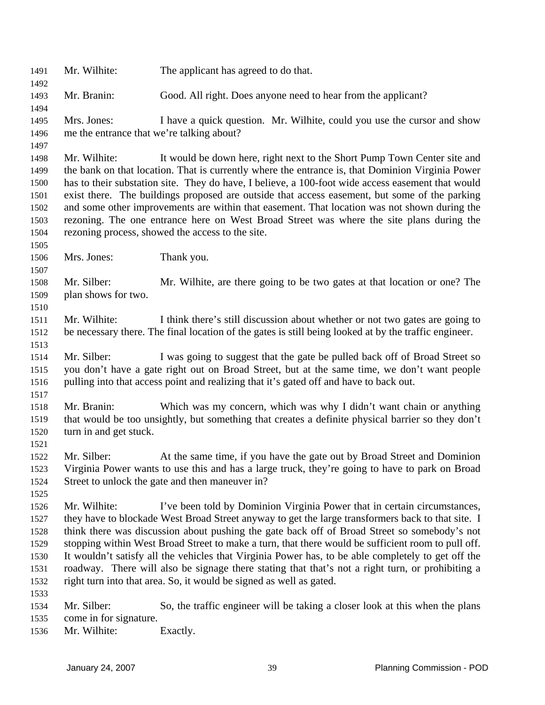1491 Mr. Wilhite: The applicant has agreed to do that. 1492 1493 1494 1495 1496 1497 1498 1499 1500 1501 1502 1503 1504 1505 1506 1507 1508 1509 1510 1511 1512 1513 1514 1515 1516 1517 1518 1519 1520 1521 1522 1523 1524 1525 1526 1527 1528 1529 1530 1531 1532 1533 1534 1535 1536 Mr. Branin: Good. All right. Does anyone need to hear from the applicant? Mrs. Jones: I have a quick question. Mr. Wilhite, could you use the cursor and show me the entrance that we're talking about? Mr. Wilhite: It would be down here, right next to the Short Pump Town Center site and the bank on that location. That is currently where the entrance is, that Dominion Virginia Power has to their substation site. They do have, I believe, a 100-foot wide access easement that would exist there. The buildings proposed are outside that access easement, but some of the parking and some other improvements are within that easement. That location was not shown during the rezoning. The one entrance here on West Broad Street was where the site plans during the rezoning process, showed the access to the site. Mrs. Jones: Thank you. Mr. Silber: Mr. Wilhite, are there going to be two gates at that location or one? The plan shows for two. Mr. Wilhite: I think there's still discussion about whether or not two gates are going to be necessary there. The final location of the gates is still being looked at by the traffic engineer. Mr. Silber: I was going to suggest that the gate be pulled back off of Broad Street so you don't have a gate right out on Broad Street, but at the same time, we don't want people pulling into that access point and realizing that it's gated off and have to back out. Mr. Branin: Which was my concern, which was why I didn't want chain or anything that would be too unsightly, but something that creates a definite physical barrier so they don't turn in and get stuck. Mr. Silber: At the same time, if you have the gate out by Broad Street and Dominion Virginia Power wants to use this and has a large truck, they're going to have to park on Broad Street to unlock the gate and then maneuver in? Mr. Wilhite: I've been told by Dominion Virginia Power that in certain circumstances, they have to blockade West Broad Street anyway to get the large transformers back to that site. I think there was discussion about pushing the gate back off of Broad Street so somebody's not stopping within West Broad Street to make a turn, that there would be sufficient room to pull off. It wouldn't satisfy all the vehicles that Virginia Power has, to be able completely to get off the roadway. There will also be signage there stating that that's not a right turn, or prohibiting a right turn into that area. So, it would be signed as well as gated. Mr. Silber: So, the traffic engineer will be taking a closer look at this when the plans come in for signature. Mr. Wilhite: Exactly.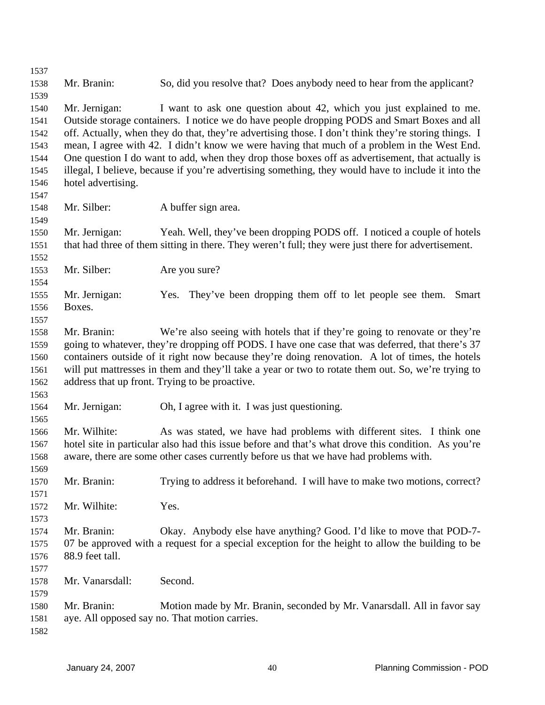| 1537 |                                                                                                     |                                                                                                      |  |  |  |
|------|-----------------------------------------------------------------------------------------------------|------------------------------------------------------------------------------------------------------|--|--|--|
| 1538 | Mr. Branin:                                                                                         | So, did you resolve that? Does anybody need to hear from the applicant?                              |  |  |  |
| 1539 |                                                                                                     |                                                                                                      |  |  |  |
| 1540 | Mr. Jernigan:                                                                                       | I want to ask one question about 42, which you just explained to me.                                 |  |  |  |
| 1541 |                                                                                                     | Outside storage containers. I notice we do have people dropping PODS and Smart Boxes and all         |  |  |  |
| 1542 |                                                                                                     | off. Actually, when they do that, they're advertising those. I don't think they're storing things. I |  |  |  |
| 1543 |                                                                                                     | mean, I agree with 42. I didn't know we were having that much of a problem in the West End.          |  |  |  |
| 1544 | One question I do want to add, when they drop those boxes off as advertisement, that actually is    |                                                                                                      |  |  |  |
| 1545 | illegal, I believe, because if you're advertising something, they would have to include it into the |                                                                                                      |  |  |  |
| 1546 | hotel advertising.                                                                                  |                                                                                                      |  |  |  |
| 1547 |                                                                                                     |                                                                                                      |  |  |  |
| 1548 | Mr. Silber:                                                                                         | A buffer sign area.                                                                                  |  |  |  |
| 1549 |                                                                                                     |                                                                                                      |  |  |  |
| 1550 | Mr. Jernigan:                                                                                       | Yeah. Well, they've been dropping PODS off. I noticed a couple of hotels                             |  |  |  |
| 1551 |                                                                                                     | that had three of them sitting in there. They weren't full; they were just there for advertisement.  |  |  |  |
| 1552 |                                                                                                     |                                                                                                      |  |  |  |
| 1553 | Mr. Silber:                                                                                         | Are you sure?                                                                                        |  |  |  |
| 1554 |                                                                                                     |                                                                                                      |  |  |  |
| 1555 | Mr. Jernigan:                                                                                       | Yes. They've been dropping them off to let people see them.<br>Smart                                 |  |  |  |
| 1556 | Boxes.                                                                                              |                                                                                                      |  |  |  |
| 1557 |                                                                                                     |                                                                                                      |  |  |  |
| 1558 | Mr. Branin:                                                                                         | We're also seeing with hotels that if they're going to renovate or they're                           |  |  |  |
| 1559 |                                                                                                     | going to whatever, they're dropping off PODS. I have one case that was deferred, that there's 37     |  |  |  |
| 1560 | containers outside of it right now because they're doing renovation. A lot of times, the hotels     |                                                                                                      |  |  |  |
| 1561 | will put mattresses in them and they'll take a year or two to rotate them out. So, we're trying to  |                                                                                                      |  |  |  |
| 1562 |                                                                                                     | address that up front. Trying to be proactive.                                                       |  |  |  |
| 1563 |                                                                                                     |                                                                                                      |  |  |  |
| 1564 | Mr. Jernigan:                                                                                       | Oh, I agree with it. I was just questioning.                                                         |  |  |  |
| 1565 |                                                                                                     |                                                                                                      |  |  |  |
| 1566 | Mr. Wilhite:                                                                                        | As was stated, we have had problems with different sites. I think one                                |  |  |  |
| 1567 |                                                                                                     | hotel site in particular also had this issue before and that's what drove this condition. As you're  |  |  |  |
| 1568 |                                                                                                     | aware, there are some other cases currently before us that we have had problems with.                |  |  |  |
| 1569 |                                                                                                     |                                                                                                      |  |  |  |
| 1570 | Mr. Branin:                                                                                         | Trying to address it beforehand. I will have to make two motions, correct?                           |  |  |  |
| 1571 |                                                                                                     |                                                                                                      |  |  |  |
| 1572 | Mr. Wilhite:                                                                                        | Yes.                                                                                                 |  |  |  |
| 1573 |                                                                                                     |                                                                                                      |  |  |  |
| 1574 | Mr. Branin:                                                                                         | Okay. Anybody else have anything? Good. I'd like to move that POD-7-                                 |  |  |  |
| 1575 |                                                                                                     | 07 be approved with a request for a special exception for the height to allow the building to be     |  |  |  |
| 1576 | 88.9 feet tall.                                                                                     |                                                                                                      |  |  |  |
| 1577 |                                                                                                     |                                                                                                      |  |  |  |
| 1578 | Mr. Vanarsdall:                                                                                     | Second.                                                                                              |  |  |  |
| 1579 |                                                                                                     |                                                                                                      |  |  |  |
| 1580 | Mr. Branin:                                                                                         | Motion made by Mr. Branin, seconded by Mr. Vanarsdall. All in favor say                              |  |  |  |
| 1581 |                                                                                                     | aye. All opposed say no. That motion carries.                                                        |  |  |  |
| 1582 |                                                                                                     |                                                                                                      |  |  |  |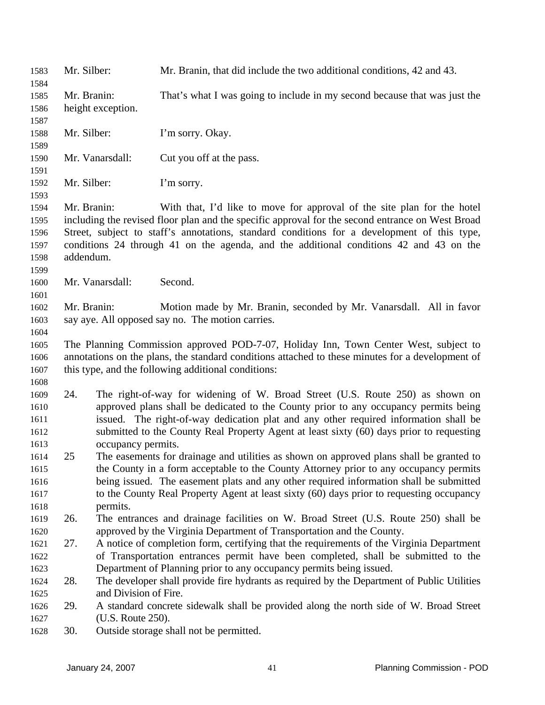| 1583<br>1584 | Mr. Silber:                                                                                      |                       | Mr. Branin, that did include the two additional conditions, 42 and 43.                           |  |
|--------------|--------------------------------------------------------------------------------------------------|-----------------------|--------------------------------------------------------------------------------------------------|--|
| 1585         | Mr. Branin:                                                                                      |                       | That's what I was going to include in my second because that was just the                        |  |
| 1586         | height exception.                                                                                |                       |                                                                                                  |  |
| 1587         |                                                                                                  |                       |                                                                                                  |  |
| 1588         | Mr. Silber:                                                                                      |                       | I'm sorry. Okay.                                                                                 |  |
| 1589         |                                                                                                  |                       |                                                                                                  |  |
| 1590         |                                                                                                  | Mr. Vanarsdall:       | Cut you off at the pass.                                                                         |  |
| 1591         |                                                                                                  |                       |                                                                                                  |  |
| 1592         | Mr. Silber:                                                                                      |                       | I'm sorry.                                                                                       |  |
| 1593         |                                                                                                  |                       |                                                                                                  |  |
| 1594         | Mr. Branin:                                                                                      |                       | With that, I'd like to move for approval of the site plan for the hotel                          |  |
| 1595         |                                                                                                  |                       | including the revised floor plan and the specific approval for the second entrance on West Broad |  |
| 1596         |                                                                                                  |                       | Street, subject to staff's annotations, standard conditions for a development of this type,      |  |
| 1597         |                                                                                                  |                       | conditions 24 through 41 on the agenda, and the additional conditions 42 and 43 on the           |  |
| 1598         | addendum.                                                                                        |                       |                                                                                                  |  |
| 1599         |                                                                                                  |                       |                                                                                                  |  |
| 1600         |                                                                                                  | Mr. Vanarsdall:       | Second.                                                                                          |  |
| 1601         |                                                                                                  |                       |                                                                                                  |  |
| 1602         | Mr. Branin:                                                                                      |                       | Motion made by Mr. Branin, seconded by Mr. Vanarsdall. All in favor                              |  |
| 1603         |                                                                                                  |                       | say aye. All opposed say no. The motion carries.                                                 |  |
| 1604         |                                                                                                  |                       |                                                                                                  |  |
| 1605         |                                                                                                  |                       | The Planning Commission approved POD-7-07, Holiday Inn, Town Center West, subject to             |  |
| 1606         | annotations on the plans, the standard conditions attached to these minutes for a development of |                       |                                                                                                  |  |
| 1607         |                                                                                                  |                       | this type, and the following additional conditions:                                              |  |
| 1608         |                                                                                                  |                       |                                                                                                  |  |
| 1609         | 24.                                                                                              |                       | The right-of-way for widening of W. Broad Street (U.S. Route 250) as shown on                    |  |
| 1610         |                                                                                                  |                       | approved plans shall be dedicated to the County prior to any occupancy permits being             |  |
| 1611         |                                                                                                  |                       | issued. The right-of-way dedication plat and any other required information shall be             |  |
| 1612         |                                                                                                  |                       | submitted to the County Real Property Agent at least sixty (60) days prior to requesting         |  |
| 1613         |                                                                                                  | occupancy permits.    |                                                                                                  |  |
| 1614         | 25                                                                                               |                       | The easements for drainage and utilities as shown on approved plans shall be granted to          |  |
| 1615         |                                                                                                  |                       | the County in a form acceptable to the County Attorney prior to any occupancy permits            |  |
| 1616         |                                                                                                  |                       | being issued. The easement plats and any other required information shall be submitted           |  |
| 1617         |                                                                                                  |                       | to the County Real Property Agent at least sixty (60) days prior to requesting occupancy         |  |
| 1618         |                                                                                                  | permits.              |                                                                                                  |  |
| 1619         | 26.                                                                                              |                       | The entrances and drainage facilities on W. Broad Street (U.S. Route 250) shall be               |  |
| 1620         |                                                                                                  |                       | approved by the Virginia Department of Transportation and the County.                            |  |
| 1621         | 27.                                                                                              |                       | A notice of completion form, certifying that the requirements of the Virginia Department         |  |
| 1622         |                                                                                                  |                       | of Transportation entrances permit have been completed, shall be submitted to the                |  |
| 1623         |                                                                                                  |                       | Department of Planning prior to any occupancy permits being issued.                              |  |
| 1624         | 28.                                                                                              |                       | The developer shall provide fire hydrants as required by the Department of Public Utilities      |  |
| 1625         |                                                                                                  | and Division of Fire. |                                                                                                  |  |
| 1626         | 29.                                                                                              |                       | A standard concrete sidewalk shall be provided along the north side of W. Broad Street           |  |
| 1627         |                                                                                                  | (U.S. Route 250).     |                                                                                                  |  |
| 1628         | 30.                                                                                              |                       | Outside storage shall not be permitted.                                                          |  |
|              |                                                                                                  |                       |                                                                                                  |  |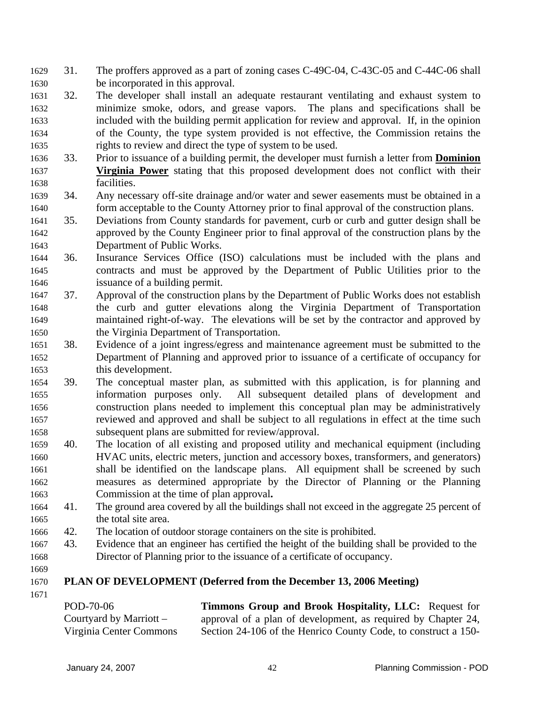- 31. The proffers approved as a part of zoning cases C-49C-04, C-43C-05 and C-44C-06 shall be incorporated in this approval. 1629 1630
- 1631 1632 1633 1634 1635 32. The developer shall install an adequate restaurant ventilating and exhaust system to minimize smoke, odors, and grease vapors. The plans and specifications shall be included with the building permit application for review and approval. If, in the opinion of the County, the type system provided is not effective, the Commission retains the rights to review and direct the type of system to be used.
- 1636 33. Prior to issuance of a building permit, the developer must furnish a letter from **Dominion Virginia Power** stating that this proposed development does not conflict with their facilities. 1637 1638
- 1639 1640 34. Any necessary off-site drainage and/or water and sewer easements must be obtained in a form acceptable to the County Attorney prior to final approval of the construction plans.
- 1641 1642 1643 35. Deviations from County standards for pavement, curb or curb and gutter design shall be approved by the County Engineer prior to final approval of the construction plans by the Department of Public Works.
- 1644 1645 1646 36. Insurance Services Office (ISO) calculations must be included with the plans and contracts and must be approved by the Department of Public Utilities prior to the issuance of a building permit.
- 1647 1648 1649 1650 37. Approval of the construction plans by the Department of Public Works does not establish the curb and gutter elevations along the Virginia Department of Transportation maintained right-of-way. The elevations will be set by the contractor and approved by the Virginia Department of Transportation.
- 1651 1652 1653 38. Evidence of a joint ingress/egress and maintenance agreement must be submitted to the Department of Planning and approved prior to issuance of a certificate of occupancy for this development.
- 1654 1655 1656 1657 1658 39. The conceptual master plan, as submitted with this application, is for planning and information purposes only. All subsequent detailed plans of development and construction plans needed to implement this conceptual plan may be administratively reviewed and approved and shall be subject to all regulations in effect at the time such subsequent plans are submitted for review/approval.
- 1659 1660 1661 1662 1663 40. The location of all existing and proposed utility and mechanical equipment (including HVAC units, electric meters, junction and accessory boxes, transformers, and generators) shall be identified on the landscape plans. All equipment shall be screened by such measures as determined appropriate by the Director of Planning or the Planning Commission at the time of plan approval**.**
- 1664 1665 41. The ground area covered by all the buildings shall not exceed in the aggregate 25 percent of the total site area.
- 1666 42. The location of outdoor storage containers on the site is prohibited.
- 1667 1668 43. Evidence that an engineer has certified the height of the building shall be provided to the Director of Planning prior to the issuance of a certificate of occupancy.
- 1669

## 1670 **PLAN OF DEVELOPMENT (Deferred from the December 13, 2006 Meeting)**

| POD-70-06                 | Timmons Group and Brook Hospitality, LLC: Request for          |
|---------------------------|----------------------------------------------------------------|
| Courtyard by Marriott $-$ | approval of a plan of development, as required by Chapter 24,  |
| Virginia Center Commons   | Section 24-106 of the Henrico County Code, to construct a 150- |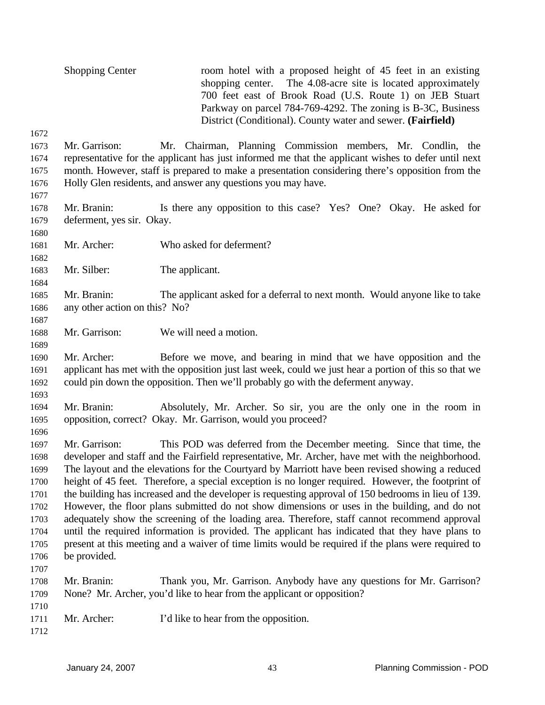Shopping Center room hotel with a proposed height of 45 feet in an existing shopping center. The 4.08-acre site is located approximately 700 feet east of Brook Road (U.S. Route 1) on JEB Stuart Parkway on parcel 784-769-4292. The zoning is B-3C, Business District (Conditional). County water and sewer. **(Fairfield)** 

- 1673 1674 1675 1676 Mr. Garrison: Mr. Chairman, Planning Commission members, Mr. Condlin, the representative for the applicant has just informed me that the applicant wishes to defer until next month. However, staff is prepared to make a presentation considering there's opposition from the Holly Glen residents, and answer any questions you may have.
- 1678 1679 Mr. Branin: Is there any opposition to this case? Yes? One? Okay. He asked for deferment, yes sir. Okay.
- 1681 Mr. Archer: Who asked for deferment?
- 1683 Mr. Silber: The applicant.
- 1685 1686 Mr. Branin: The applicant asked for a deferral to next month. Would anyone like to take any other action on this? No?
- 1688 Mr. Garrison: We will need a motion.
- 1690 1691 1692 Mr. Archer: Before we move, and bearing in mind that we have opposition and the applicant has met with the opposition just last week, could we just hear a portion of this so that we could pin down the opposition. Then we'll probably go with the deferment anyway.
- 1694 1695 Mr. Branin: Absolutely, Mr. Archer. So sir, you are the only one in the room in opposition, correct? Okay. Mr. Garrison, would you proceed?
- 1697 1698 1699 1700 1701 1702 1703 1704 1705 1706 1707 Mr. Garrison: This POD was deferred from the December meeting. Since that time, the developer and staff and the Fairfield representative, Mr. Archer, have met with the neighborhood. The layout and the elevations for the Courtyard by Marriott have been revised showing a reduced height of 45 feet. Therefore, a special exception is no longer required. However, the footprint of the building has increased and the developer is requesting approval of 150 bedrooms in lieu of 139. However, the floor plans submitted do not show dimensions or uses in the building, and do not adequately show the screening of the loading area. Therefore, staff cannot recommend approval until the required information is provided. The applicant has indicated that they have plans to present at this meeting and a waiver of time limits would be required if the plans were required to be provided.
- 1708 1709 Mr. Branin: Thank you, Mr. Garrison. Anybody have any questions for Mr. Garrison? None? Mr. Archer, you'd like to hear from the applicant or opposition?
- 1711 Mr. Archer: I'd like to hear from the opposition.
- 1712

1710

1672

1677

1680

1682

1684

1687

1689

1693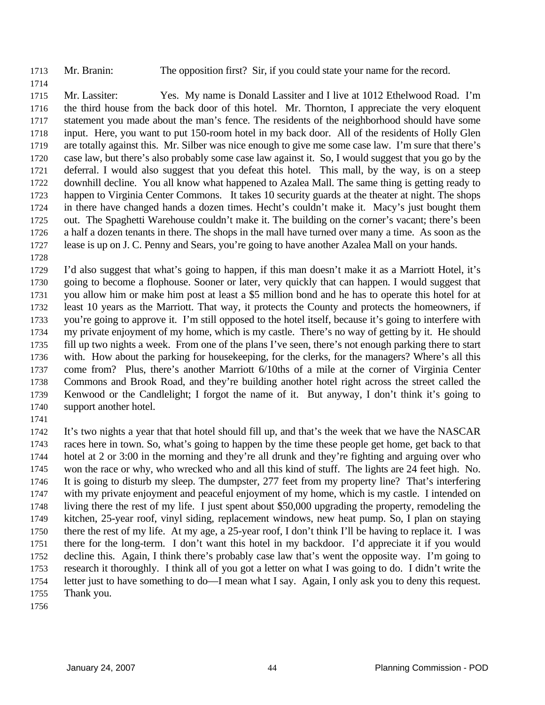1713 Mr. Branin: The opposition first? Sir, if you could state your name for the record.

1715 1716 1717 1718 1719 1720 1721 1722 1723 1724 1725 1726 1727 Mr. Lassiter: Yes. My name is Donald Lassiter and I live at 1012 Ethelwood Road. I'm the third house from the back door of this hotel. Mr. Thornton, I appreciate the very eloquent statement you made about the man's fence. The residents of the neighborhood should have some input. Here, you want to put 150-room hotel in my back door. All of the residents of Holly Glen are totally against this. Mr. Silber was nice enough to give me some case law. I'm sure that there's case law, but there's also probably some case law against it. So, I would suggest that you go by the deferral. I would also suggest that you defeat this hotel. This mall, by the way, is on a steep downhill decline. You all know what happened to Azalea Mall. The same thing is getting ready to happen to Virginia Center Commons. It takes 10 security guards at the theater at night. The shops in there have changed hands a dozen times. Hecht's couldn't make it. Macy's just bought them out. The Spaghetti Warehouse couldn't make it. The building on the corner's vacant; there's been a half a dozen tenants in there. The shops in the mall have turned over many a time. As soon as the lease is up on J. C. Penny and Sears, you're going to have another Azalea Mall on your hands.

1728

1714

1729 1730 1731 1732 1733 1734 1735 1736 1737 1738 1739 1740 I'd also suggest that what's going to happen, if this man doesn't make it as a Marriott Hotel, it's going to become a flophouse. Sooner or later, very quickly that can happen. I would suggest that you allow him or make him post at least a \$5 million bond and he has to operate this hotel for at least 10 years as the Marriott. That way, it protects the County and protects the homeowners, if you're going to approve it. I'm still opposed to the hotel itself, because it's going to interfere with my private enjoyment of my home, which is my castle. There's no way of getting by it. He should fill up two nights a week. From one of the plans I've seen, there's not enough parking there to start with. How about the parking for house keeping, for the clerks, for the managers? Where's all this come from? Plus, there's another Marriott 6/10ths of a mile at the corner of Virginia Center Commons and Brook Road, and they're building another hotel right across the street called the Kenwood or the Candlelight; I forgot the name of it. But anyway, I don't think it's going to support another hotel.

1741

1742 1743 1744 1745 1746 1747 1748 1749 1750 1751 1752 1753 1754 1755 It's two nights a year that that hotel should fill up, and that's the week that we have the NASCAR races here in town. So, what's going to happen by the time these people get home, get back to that hotel at 2 or 3:00 in the morning and they're all drunk and they're fighting and arguing over who won the race or why, who wrecked who and all this kind of stuff. The lights are 24 feet high. No. It is going to disturb my sleep. The dumpster, 277 feet from my property line? That's interfering with my private enjoyment and peaceful enjoyment of my home, which is my castle. I intended on living there the rest of my life. I just spent about \$50,000 upgrading the property, remodeling the kitchen, 25-year roof, vinyl siding, replacement windows, new heat pump. So, I plan on staying there the rest of my life. At my age, a 25-year roof, I don't think I'll be having to replace it. I was there for the long-term. I don't want this hotel in my backdoor. I'd appreciate it if you would decline this. Again, I think there's probably case law that's went the opposite way. I'm going to research it thoroughly. I think all of you got a letter on what I was going to do. I didn't write the letter just to have something to do—I mean what I say. Again, I only ask you to deny this request. Thank you.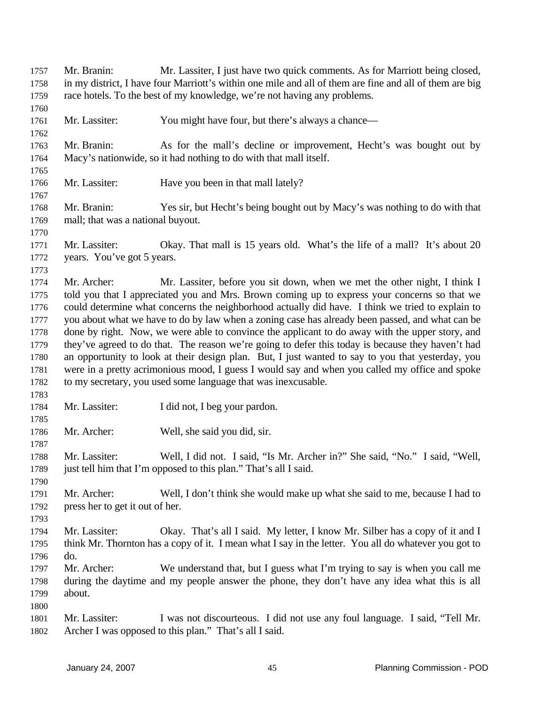Mr. Branin: Mr. Lassiter, I just have two quick comments. As for Marriott being closed, in my district, I have four Marriott's within one mile and all of them are fine and all of them are big race hotels. To the best of my knowledge, we're not having any problems. 1757 1758 1759 1760 1761 1762 1763 1764 1765 1766 1767 1768 1769 1770 1771 1772 1773 1774 1775 1776 1777 1778 1779 1780 1781 1782 1783 1784 1785 1786 1787 1788 1789 1790 1791 1792 1793 1794 1795 1796 1797 1798 1799 1800 1801 1802 Mr. Lassiter: You might have four, but there's always a chance— Mr. Branin: As for the mall's decline or improvement, Hecht's was bought out by Macy's nationwide, so it had nothing to do with that mall itself. Mr. Lassiter: Have you been in that mall lately? Mr. Branin: Yes sir, but Hecht's being bought out by Macy's was nothing to do with that mall; that was a national buyout. Mr. Lassiter: Okay. That mall is 15 years old. What's the life of a mall? It's about 20 years. You've got 5 years. Mr. Archer: Mr. Lassiter, before you sit down, when we met the other night, I think I told you that I appreciated you and Mrs. Brown coming up to express your concerns so that we could determine what concerns the neighborhood actually did have. I think we tried to explain to you about what we have to do by law when a zoning case has already been passed, and what can be done by right. Now, we were able to convince the applicant to do away with the upper story, and they've agreed to do that. The reason we're going to defer this today is because they haven't had an opportunity to look at their design plan. But, I just wanted to say to you that yesterday, you were in a pretty acrimonious mood, I guess I would say and when you called my office and spoke to my secretary, you used some language that was inexcusable. Mr. Lassiter: I did not, I beg your pardon. Mr. Archer: Well, she said you did, sir. Mr. Lassiter: Well, I did not. I said, "Is Mr. Archer in?" She said, "No." I said, "Well, just tell him that I'm opposed to this plan." That's all I said. Mr. Archer: Well, I don't think she would make up what she said to me, because I had to press her to get it out of her. Mr. Lassiter: Okay. That's all I said. My letter, I know Mr. Silber has a copy of it and I think Mr. Thornton has a copy of it. I mean what I say in the letter. You all do whatever you got to do. Mr. Archer: We understand that, but I guess what I'm trying to say is when you call me during the daytime and my people answer the phone, they don't have any idea what this is all about. Mr. Lassiter: I was not discourteous. I did not use any foul language. I said, "Tell Mr. Archer I was opposed to this plan." That's all I said.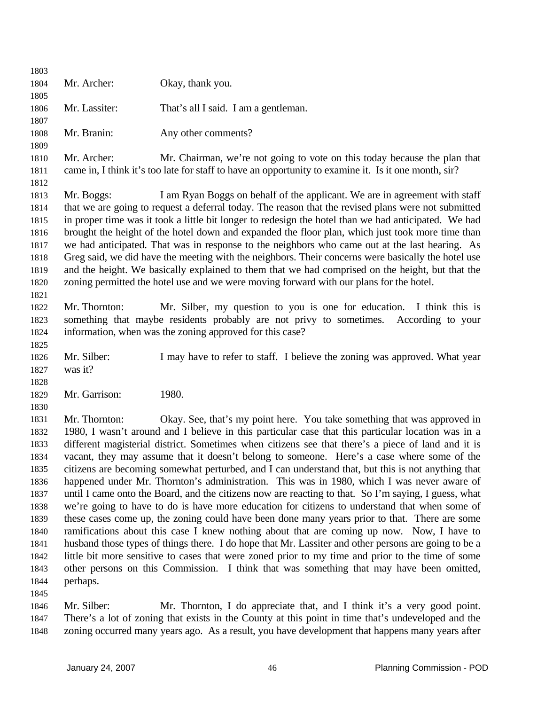1803 1804 1805 1806 1807 1808 1809 1810 1811 1812 1813 1814 1815 1816 1817 1818 1819 1820 1821 1822 1823 1824 1825 1826 1827 1828 1829 1830 1831 1832 1833 1834 1835 1836 1837 1838 1839 1840 1841 1842 1843 1844 1845 1846 1847 Mr. Archer: Okay, thank you. Mr. Lassiter: That's all I said. I am a gentleman. Mr. Branin: Any other comments? Mr. Archer: Mr. Chairman, we're not going to vote on this today because the plan that came in, I think it's too late for staff to have an opportunity to examine it. Is it one month, sir? Mr. Boggs: I am Ryan Boggs on behalf of the applicant. We are in agreement with staff that we are going to request a deferral today. The reason that the revised plans were not submitted in proper time was it took a little bit longer to redesign the hotel than we had anticipated. We had brought the height of the hotel down and expanded the floor plan, which just took more time than we had anticipated. That was in response to the neighbors who came out at the last hearing. As Greg said, we did have the meeting with the neighbors. Their concerns were basically the hotel use and the height. We basically explained to them that we had comprised on the height, but that the zoning permitted the hotel use and we were moving forward with our plans for the hotel. Mr. Thornton: Mr. Silber, my question to you is one for education. I think this is something that maybe residents probably are not privy to sometimes. According to your information, when was the zoning approved for this case? Mr. Silber: I may have to refer to staff. I believe the zoning was approved. What year was it? Mr. Garrison: 1980. Mr. Thornton: Okay. See, that's my point here. You take something that was approved in 1980, I wasn't around and I believe in this particular case that this particular location was in a different magisterial district. Sometimes when citizens see that there's a piece of land and it is vacant, they may assume that it doesn't belong to someone. Here's a case where some of the citizens are becoming somewhat perturbed, and I can understand that, but this is not anything that happened under Mr. Thornton's administration. This was in 1980, which I was never aware of until I came onto the Board, and the citizens now are reacting to that. So I'm saying, I guess, what we're going to have to do is have more education for citizens to understand that when some of these cases come up, the zoning could have been done many years prior to that. There are some ramifications about this case I knew nothing about that are coming up now. Now, I have to husband those types of things there. I do hope that Mr. Lassiter and other persons are going to be a little bit more sensitive to cases that were zoned prior to my time and prior to the time of some other persons on this Commission. I think that was something that may have been omitted, perhaps. Mr. Silber: Mr. Thornton, I do appreciate that, and I think it's a very good point. There's a lot of zoning that exists in the County at this point in time that's undeveloped and the

1848 zoning occurred many years ago. As a result, you have development that happens many years after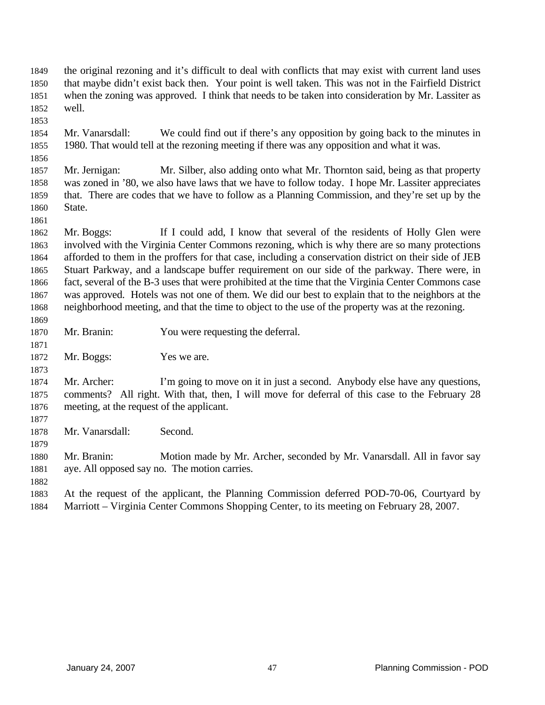- the original rezoning and it's difficult to deal with conflicts that may exist with current land uses that maybe didn't exist back then. Your point is well taken. This was not in the Fairfield District when the zoning was approved. I think that needs to be taken into consideration by Mr. Lassiter as well. 1849 1850 1851 1852
- 1854 1855 Mr. Vanarsdall: We could find out if there's any opposition by going back to the minutes in 1980. That would tell at the rezoning meeting if there was any opposition and what it was.
- 1857 1858 1859 1860 Mr. Jernigan: Mr. Silber, also adding onto what Mr. Thornton said, being as that property was zoned in '80, we also have laws that we have to follow today. I hope Mr. Lassiter appreciates that. There are codes that we have to follow as a Planning Commission, and they're set up by the State.
- 1861

1853

1856

- 1862 1863 1864 1865 1866 1867 1868 1869 Mr. Boggs: If I could add, I know that several of the residents of Holly Glen were involved with the Virginia Center Commons rezoning, which is why there are so many protections afforded to them in the proffers for that case, including a conservation district on their side of JEB Stuart Parkway, and a landscape buffer requirement on our side of the parkway. There were, in fact, several of the B-3 uses that were prohibited at the time that the Virginia Center Commons case was approved. Hotels was not one of them. We did our best to explain that to the neighbors at the neighborhood meeting, and that the time to object to the use of the property was at the rezoning.
- 1870 Mr. Branin: You were requesting the deferral.
- 1872 Mr. Boggs: Yes we are.
- 1874 1875 1876 Mr. Archer: I'm going to move on it in just a second. Anybody else have any questions, comments? All right. With that, then, I will move for deferral of this case to the February 28 meeting, at the request of the applicant.
- 1877

1879

1871

- 1878 Mr. Vanarsdall: Second.
- 1880 1881 Mr. Branin: Motion made by Mr. Archer, seconded by Mr. Vanarsdall. All in favor say aye. All opposed say no. The motion carries.
- 1882
- 1883 1884 At the request of the applicant, the Planning Commission deferred POD-70-06, Courtyard by Marriott – Virginia Center Commons Shopping Center, to its meeting on February 28, 2007.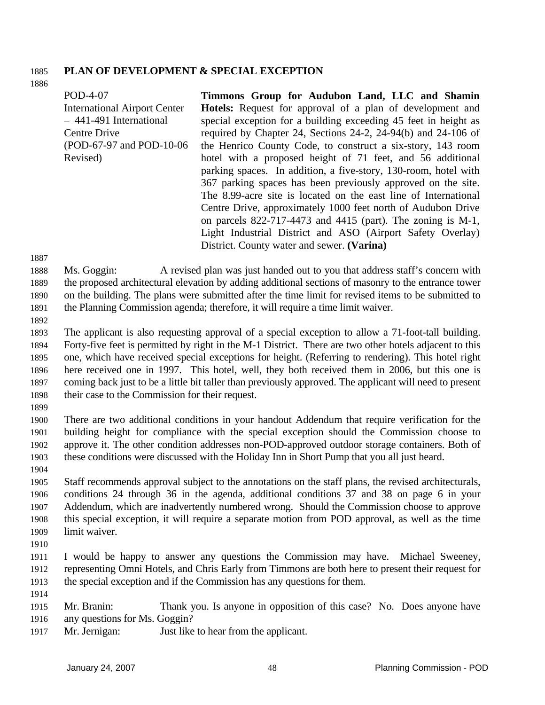# 1885 **PLAN OF DEVELOPMENT & SPECIAL EXCEPTION**

1886

POD-4-07 International Airport Center – 441-491 International Centre Drive (POD-67-97 and POD-10-06 Revised) **Timmons Group for Audubon Land, LLC and Shamin Hotels:** Request for approval of a plan of development and special exception for a building exceeding 45 feet in height as required by Chapter 24, Sections 24-2, 24-94(b) and 24-106 of the Henrico County Code, to construct a six-story, 143 room hotel with a proposed height of 71 feet, and 56 additional parking spaces. In addition, a five-story, 130-room, hotel with 367 parking spaces has been previously approved on the site. The 8.99-acre site is located on the east line of International Centre Drive, approximately 1000 feet north of Audubon Drive on parcels 822-717-4473 and 4415 (part). The zoning is M-1,

Light Industrial District and ASO (Airport Safety Overlay)

1887

1888 1889 1890 1891 Ms. Goggin: A revised plan was just handed out to you that address staff's concern with the proposed architectural elevation by adding additional sections of masonry to the entrance tower on the building. The plans were submitted after the time limit for revised items to be submitted to the Planning Commission agenda; therefore, it will require a time limit waiver.

District. County water and sewer. **(Varina)** 

1892

1893 1894 1895 1896 1897 1898 The applicant is also requesting approval of a special exception to allow a 71-foot-tall building. Forty-five feet is permitted by right in the M-1 District. There are two other hotels adjacent to this one, which have received special exceptions for height. (Referring to rendering). This hotel right here received one in 1997. This hotel, well, they both received them in 2006, but this one is coming back just to be a little bit taller than previously approved. The applicant will need to present their case to the Commission for their request.

1899

1900 1901 1902 1903 1904 There are two additional conditions in your handout Addendum that require verification for the building height for compliance with the special exception should the Commission choose to approve it. The other condition addresses non-POD-approved outdoor storage containers. Both of these conditions were discussed with the Holiday Inn in Short Pump that you all just heard.

1905 1906 1907 1908 1909 Staff recommends approval subject to the annotations on the staff plans, the revised architecturals, conditions 24 through 36 in the agenda, additional conditions 37 and 38 on page 6 in your Addendum, which are inadvertently numbered wrong. Should the Commission choose to approve this special exception, it will require a separate motion from POD approval, as well as the time limit waiver.

1910

1911 1912 1913 I would be happy to answer any questions the Commission may have. Michael Sweeney, representing Omni Hotels, and Chris Early from Timmons are both here to present their request for the special exception and if the Commission has any questions for them.

1914

1915 1916 Mr. Branin: Thank you. Is anyone in opposition of this case? No. Does anyone have any questions for Ms. Goggin?

1917 Mr. Jernigan: Just like to hear from the applicant.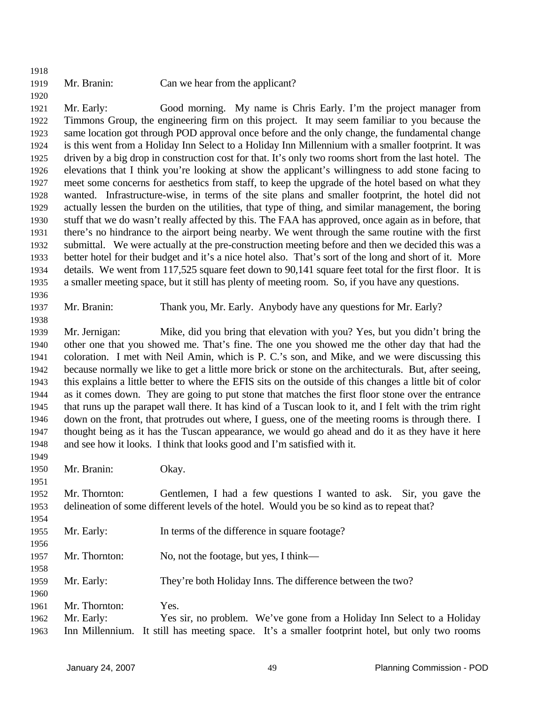1918

1920

## 1919 Mr. Branin: Can we hear from the applicant?

1921 1922 1923 1924 1925 1926 1927 1928 1929 1930 1931 1932 1933 1934 1935 Mr. Early: Good morning. My name is Chris Early. I'm the project manager from Timmons Group, the engineering firm on this project. It may seem familiar to you because the same location got through POD approval once before and the only change, the fundamental change is this went from a Holiday Inn Select to a Holiday Inn Millennium with a smaller footprint. It was driven by a big drop in construction cost for that. It's only two rooms short from the last hotel. The elevations that I think you're looking at show the applicant's willingness to add stone facing to meet some concerns for aesthetics from staff, to keep the upgrade of the hotel based on what they wanted. Infrastructure-wise, in terms of the site plans and smaller footprint, the hotel did not actually lessen the burden on the utilities, that type of thing, and similar management, the boring stuff that we do wasn't really affected by this. The FAA has approved, once again as in before, that there's no hindrance to the airport being nearby. We went through the same routine with the first submittal. We were actually at the pre-construction meeting before and then we decided this was a better hotel for their budget and it's a nice hotel also. That's sort of the long and short of it. More details. We went from 117,525 square feet down to 90,141 square feet total for the first floor. It is a smaller meeting space, but it still has plenty of meeting room. So, if you have any questions.

1936

1949

1951

1954

1958

1937 1938

Mr. Branin: Thank you, Mr. Early. Anybody have any questions for Mr. Early?

1939 1940 1941 1942 1943 1944 1945 1946 1947 1948 Mr. Jernigan: Mike, did you bring that elevation with you? Yes, but you didn't bring the other one that you showed me. That's fine. The one you showed me the other day that had the coloration. I met with Neil Amin, which is P. C.'s son, and Mike, and we were discussing this because normally we like to get a little more brick or stone on the architecturals. But, after seeing, this explains a little better to where the EFIS sits on the outside of this changes a little bit of color as it comes down. They are going to put stone that matches the first floor stone over the entrance that runs up the parapet wall there. It has kind of a Tuscan look to it, and I felt with the trim right down on the front, that protrudes out where, I guess, one of the meeting rooms is through there. I thought being as it has the Tuscan appearance, we would go ahead and do it as they have it here and see how it looks. I think that looks good and I'm satisfied with it.

1950 Mr. Branin: Okay.

1952 1953 Mr. Thornton: Gentlemen, I had a few questions I wanted to ask. Sir, you gave the delineation of some different levels of the hotel. Would you be so kind as to repeat that?

- 1955 1956 Mr. Early: In terms of the difference in square footage?
- 1957 Mr. Thornton: No, not the footage, but yes, I think—
- 1959 Mr. Early: They're both Holiday Inns. The difference between the two?
- 1960 1961 Mr. Thornton: Yes.
- 1962 1963 Mr. Early: Yes sir, no problem. We've gone from a Holiday Inn Select to a Holiday Inn Millennium. It still has meeting space. It's a smaller footprint hotel, but only two rooms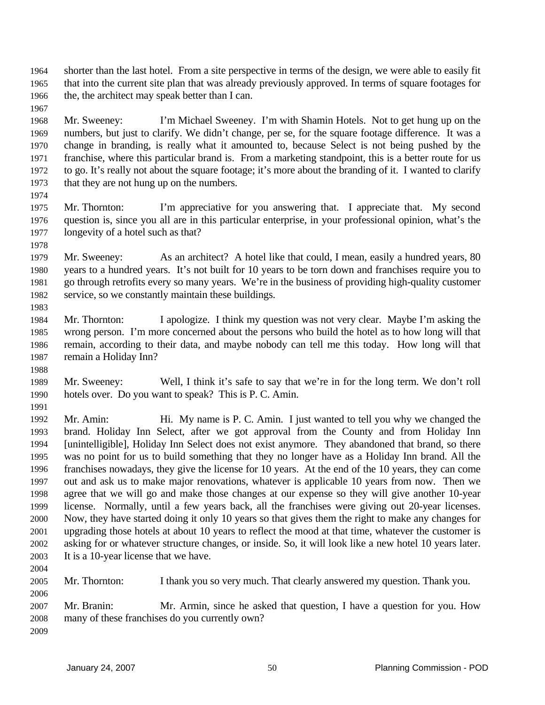shorter than the last hotel. From a site perspective in terms of the design, we were able to easily fit that into the current site plan that was already previously approved. In terms of square footages for the, the architect may speak better than I can. 1964 1965 1966

1968 1969 1970 1971 1972 1973 Mr. Sweeney: I'm Michael Sweeney. I'm with Shamin Hotels. Not to get hung up on the numbers, but just to clarify. We didn't change, per se, for the square footage difference. It was a change in branding, is really what it amounted to, because Select is not being pushed by the franchise, where this particular brand is. From a marketing standpoint, this is a better route for us to go. It's really not about the square footage; it's more about the branding of it. I wanted to clarify that they are not hung up on the numbers.

1974

1967

1975 1976 1977 Mr. Thornton: I'm appreciative for you answering that. I appreciate that. My second question is, since you all are in this particular enterprise, in your professional opinion, what's the longevity of a hotel such as that?

1978

1983

1979 1980 1981 1982 Mr. Sweeney: As an architect? A hotel like that could, I mean, easily a hundred years, 80 years to a hundred years. It's not built for 10 years to be torn down and franchises require you to go through retrofits every so many years. We're in the business of providing high-quality customer service, so we constantly maintain these buildings.

1984 1985 1986 1987 Mr. Thornton: I apologize. I think my question was not very clear. Maybe I'm asking the wrong person. I'm more concerned about the persons who build the hotel as to how long will that remain, according to their data, and maybe nobody can tell me this today. How long will that remain a Holiday Inn?

1988

1989 1990 1991 Mr. Sweeney: Well, I think it's safe to say that we're in for the long term. We don't roll hotels over. Do you want to speak? This is P. C. Amin.

1992 1993 1994 1995 1996 1997 1998 1999 2000 2001 2002 2003 Mr. Amin: Hi. My name is P. C. Amin. I just wanted to tell you why we changed the brand. Holiday Inn Select, after we got approval from the County and from Holiday Inn [unintelligible], Holiday Inn Select does not exist anymore. They abandoned that brand, so there was no point for us to build something that they no longer have as a Holiday Inn brand. All the franchises nowadays, they give the license for 10 years. At the end of the 10 years, they can come out and ask us to make major renovations, whatever is applicable 10 years from now. Then we agree that we will go and make those changes at our expense so they will give another 10-year license. Normally, until a few years back, all the franchises were giving out 20-year licenses. Now, they have started doing it only 10 years so that gives them the right to make any changes for upgrading those hotels at about 10 years to reflect the mood at that time, whatever the customer is asking for or whatever structure changes, or inside. So, it will look like a new hotel 10 years later. It is a 10-year license that we have.

2004 2005

2006

Mr. Thornton: I thank you so very much. That clearly answered my question. Thank you.

2007 2008 2009 Mr. Branin: Mr. Armin, since he asked that question, I have a question for you. How many of these franchises do you currently own?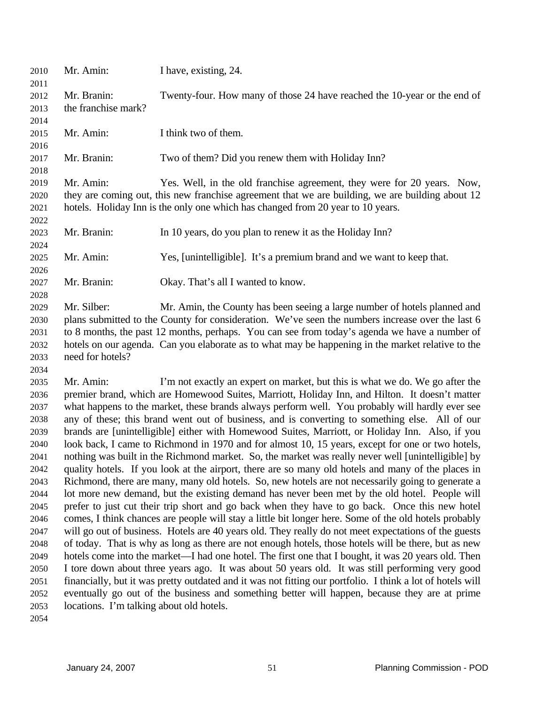| 2010<br>2011 | Mr. Amin:                                | I have, existing, 24.                                                                                      |
|--------------|------------------------------------------|------------------------------------------------------------------------------------------------------------|
| 2012         | Mr. Branin:                              | Twenty-four. How many of those 24 have reached the 10-year or the end of                                   |
| 2013         | the franchise mark?                      |                                                                                                            |
| 2014         |                                          |                                                                                                            |
| 2015         | Mr. Amin:                                | I think two of them.                                                                                       |
| 2016         |                                          |                                                                                                            |
| 2017         | Mr. Branin:                              | Two of them? Did you renew them with Holiday Inn?                                                          |
| 2018         |                                          |                                                                                                            |
| 2019         | Mr. Amin:                                | Yes. Well, in the old franchise agreement, they were for 20 years. Now,                                    |
| 2020         |                                          | they are coming out, this new franchise agreement that we are building, we are building about 12           |
| 2021         |                                          | hotels. Holiday Inn is the only one which has changed from 20 year to 10 years.                            |
| 2022         |                                          |                                                                                                            |
| 2023         | Mr. Branin:                              | In 10 years, do you plan to renew it as the Holiday Inn?                                                   |
| 2024         |                                          |                                                                                                            |
| 2025         | Mr. Amin:                                | Yes, [unintelligible]. It's a premium brand and we want to keep that.                                      |
| 2026         |                                          |                                                                                                            |
| 2027         | Mr. Branin:                              | Okay. That's all I wanted to know.                                                                         |
| 2028         |                                          |                                                                                                            |
| 2029         | Mr. Silber:                              | Mr. Amin, the County has been seeing a large number of hotels planned and                                  |
| 2030         |                                          | plans submitted to the County for consideration. We've seen the numbers increase over the last 6           |
| 2031         |                                          | to 8 months, the past 12 months, perhaps. You can see from today's agenda we have a number of              |
| 2032         |                                          | hotels on our agenda. Can you elaborate as to what may be happening in the market relative to the          |
| 2033         | need for hotels?                         |                                                                                                            |
| 2034         |                                          |                                                                                                            |
| 2035         | Mr. Amin:                                | I'm not exactly an expert on market, but this is what we do. We go after the                               |
| 2036         |                                          | premier brand, which are Homewood Suites, Marriott, Holiday Inn, and Hilton. It doesn't matter             |
| 2037         |                                          | what happens to the market, these brands always perform well. You probably will hardly ever see            |
| 2038         |                                          | any of these; this brand went out of business, and is converting to something else. All of our             |
| 2039         |                                          | brands are [unintelligible] either with Homewood Suites, Marriott, or Holiday Inn. Also, if you            |
| 2040         |                                          | look back, I came to Richmond in 1970 and for almost 10, 15 years, except for one or two hotels,           |
| 2041         |                                          | nothing was built in the Richmond market. So, the market was really never well [unintelligible] by         |
| 2042         |                                          | quality hotels. If you look at the airport, there are so many old hotels and many of the places in         |
| 2043         |                                          | Richmond, there are many, many old hotels. So, new hotels are not necessarily going to generate a          |
| 2044         |                                          | lot more new demand, but the existing demand has never been met by the old hotel. People will              |
| 2045         |                                          | prefer to just cut their trip short and go back when they have to go back. Once this new hotel             |
| 2046         |                                          | comes, I think chances are people will stay a little bit longer here. Some of the old hotels probably      |
| 2047         |                                          | will go out of business. Hotels are 40 years old. They really do not meet expectations of the guests       |
| 2048         |                                          | of today. That is why as long as there are not enough hotels, those hotels will be there, but as new       |
| 2049         |                                          | hotels come into the market—I had one hotel. The first one that I bought, it was 20 years old. Then        |
| 2050         |                                          | I tore down about three years ago. It was about 50 years old. It was still performing very good            |
| 2051         |                                          | financially, but it was pretty outdated and it was not fitting our portfolio. I think a lot of hotels will |
| 2052<br>2053 | locations. I'm talking about old hotels. | eventually go out of the business and something better will happen, because they are at prime              |
| 2054         |                                          |                                                                                                            |
|              |                                          |                                                                                                            |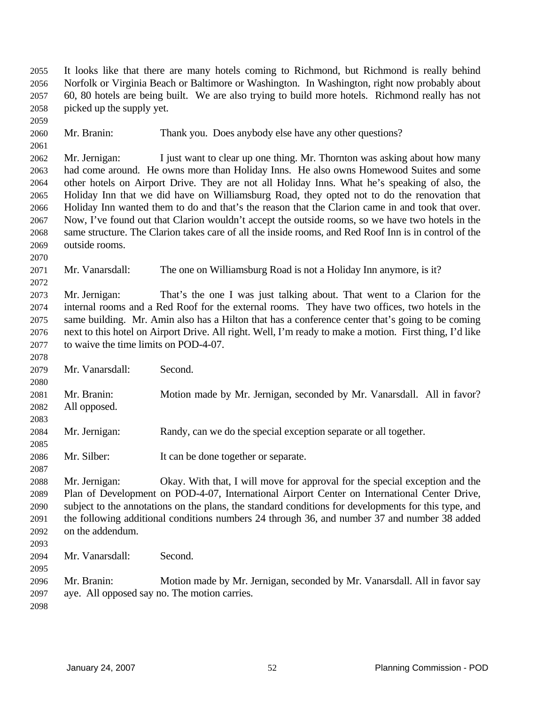It looks like that there are many hotels coming to Richmond, but Richmond is really behind Norfolk or Virginia Beach or Baltimore or Washington. In Washington, right now probably about 60, 80 hotels are being built. We are also trying to build more hotels. Richmond really has not picked up the supply yet. 2055 2056 2057 2058 2059 2060 2061 2062 2063 2064 2065 2066 2067 2068 2069 2070 2071 2072 2073 2074 2075 2076 2077 2078 2079 2080 2081 2082 2083 2084 2085 2086 2087 2088 2089 2090 2091 2092 2093 2094 2095 2096 2097 2098 Mr. Branin: Thank you. Does anybody else have any other questions? Mr. Jernigan: I just want to clear up one thing. Mr. Thornton was asking about how many had come around. He owns more than Holiday Inns. He also owns Homewood Suites and some other hotels on Airport Drive. They are not all Holiday Inns. What he's speaking of also, the Holiday Inn that we did have on Williamsburg Road, they opted not to do the renovation that Holiday Inn wanted them to do and that's the reason that the Clarion came in and took that over. Now, I've found out that Clarion wouldn't accept the outside rooms, so we have two hotels in the same structure. The Clarion takes care of all the inside rooms, and Red Roof Inn is in control of the outside rooms. Mr. Vanarsdall: The one on Williamsburg Road is not a Holiday Inn anymore, is it? Mr. Jernigan: That's the one I was just talking about. That went to a Clarion for the internal rooms and a Red Roof for the external rooms. They have two offices, two hotels in the same building. Mr. Amin also has a Hilton that has a conference center that's going to be coming next to this hotel on Airport Drive. All right. Well, I'm ready to make a motion. First thing, I'd like to waive the time limits on POD-4-07. Mr. Vanarsdall: Second. Mr. Branin: Motion made by Mr. Jernigan, seconded by Mr. Vanarsdall. All in favor? All opposed. Mr. Jernigan: Randy, can we do the special exception separate or all together. Mr. Silber: It can be done together or separate. Mr. Jernigan: Okay. With that, I will move for approval for the special exception and the Plan of Development on POD-4-07, International Airport Center on International Center Drive, subject to the annotations on the plans, the standard conditions for developments for this type, and the following additional conditions numbers 24 through 36, and number 37 and number 38 added on the addendum. Mr. Vanarsdall: Second. Mr. Branin: Motion made by Mr. Jernigan, seconded by Mr. Vanarsdall. All in favor say aye. All opposed say no. The motion carries.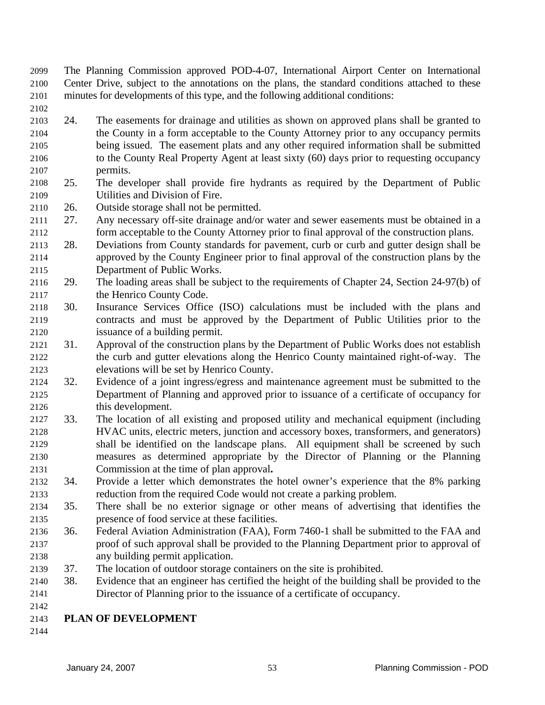- The Planning Commission approved POD-4-07, International Airport Center on International Center Drive, subject to the annotations on the plans, the standard conditions attached to these minutes for developments of this type, and the following additional conditions: 2099 2100 2101
- 2102
- 2103 2104 2105 2106 2107 24. The easements for drainage and utilities as shown on approved plans shall be granted to the County in a form acceptable to the County Attorney prior to any occupancy permits being issued. The easement plats and any other required information shall be submitted to the County Real Property Agent at least sixty (60) days prior to requesting occupancy permits.
- 2108 2109 25. The developer shall provide fire hydrants as required by the Department of Public Utilities and Division of Fire.
- 2110 26. Outside storage shall not be permitted.
- 2111 2112 27. Any necessary off-site drainage and/or water and sewer easements must be obtained in a form acceptable to the County Attorney prior to final approval of the construction plans.
- 2113 2114 2115 28. Deviations from County standards for pavement, curb or curb and gutter design shall be approved by the County Engineer prior to final approval of the construction plans by the Department of Public Works.
- 2116 2117 29. The loading areas shall be subject to the requirements of Chapter 24, Section 24-97(b) of the Henrico County Code.
- 2118 2119 2120 30. Insurance Services Office (ISO) calculations must be included with the plans and contracts and must be approved by the Department of Public Utilities prior to the issuance of a building permit.
- 2121 2122 2123 31. Approval of the construction plans by the Department of Public Works does not establish the curb and gutter elevations along the Henrico County maintained right-of-way. The elevations will be set by Henrico County.
- 2124 2125 2126 32. Evidence of a joint ingress/egress and maintenance agreement must be submitted to the Department of Planning and approved prior to issuance of a certificate of occupancy for this development.
- 2127 2128 2129 2130 2131 33. The location of all existing and proposed utility and mechanical equipment (including HVAC units, electric meters, junction and accessory boxes, transformers, and generators) shall be identified on the landscape plans. All equipment shall be screened by such measures as determined appropriate by the Director of Planning or the Planning Commission at the time of plan approval**.**
- 2132 2133 34. Provide a letter which demonstrates the hotel owner's experience that the 8% parking reduction from the required Code would not create a parking problem.
- 2134 2135 35. There shall be no exterior signage or other means of advertising that identifies the presence of food service at these facilities.
- 2136 2137 2138 36. Federal Aviation Administration (FAA), Form 7460-1 shall be submitted to the FAA and proof of such approval shall be provided to the Planning Department prior to approval of any building permit application.
- 2139 37. The location of outdoor storage containers on the site is prohibited.
- 2140 2141 38. Evidence that an engineer has certified the height of the building shall be provided to the Director of Planning prior to the issuance of a certificate of occupancy.
- 2142

## 2143 **PLAN OF DEVELOPMENT**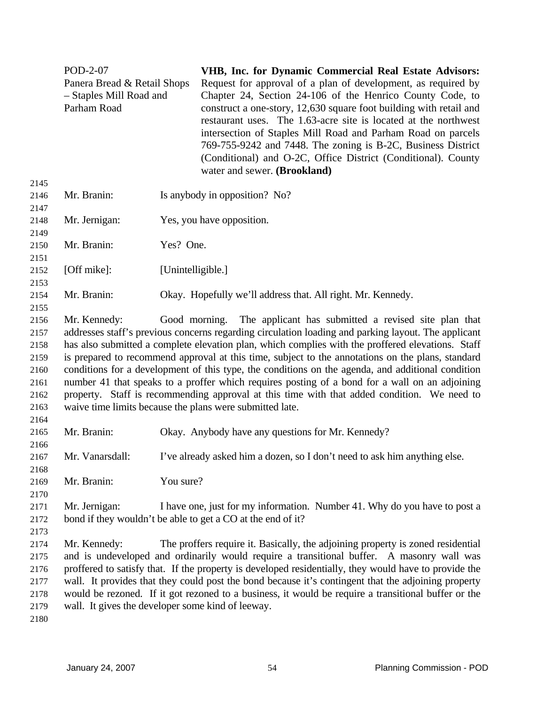|                                                                      | POD-2-07<br>Panera Bread & Retail Shops<br>- Staples Mill Road and<br>Parham Road |                   | VHB, Inc. for Dynamic Commercial Real Estate Advisors:<br>Request for approval of a plan of development, as required by<br>Chapter 24, Section 24-106 of the Henrico County Code, to<br>construct a one-story, 12,630 square foot building with retail and<br>restaurant uses. The 1.63-acre site is located at the northwest<br>intersection of Staples Mill Road and Parham Road on parcels<br>769-755-9242 and 7448. The zoning is B-2C, Business District<br>(Conditional) and O-2C, Office District (Conditional). County                                                                                                                                                                                                                        |
|----------------------------------------------------------------------|-----------------------------------------------------------------------------------|-------------------|-------------------------------------------------------------------------------------------------------------------------------------------------------------------------------------------------------------------------------------------------------------------------------------------------------------------------------------------------------------------------------------------------------------------------------------------------------------------------------------------------------------------------------------------------------------------------------------------------------------------------------------------------------------------------------------------------------------------------------------------------------|
| 2145                                                                 |                                                                                   |                   | water and sewer. (Brookland)                                                                                                                                                                                                                                                                                                                                                                                                                                                                                                                                                                                                                                                                                                                          |
| 2146<br>2147                                                         | Mr. Branin:                                                                       |                   | Is anybody in opposition? No?                                                                                                                                                                                                                                                                                                                                                                                                                                                                                                                                                                                                                                                                                                                         |
| 2148<br>2149                                                         | Mr. Jernigan:                                                                     |                   | Yes, you have opposition.                                                                                                                                                                                                                                                                                                                                                                                                                                                                                                                                                                                                                                                                                                                             |
| 2150<br>2151                                                         | Mr. Branin:                                                                       | Yes? One.         |                                                                                                                                                                                                                                                                                                                                                                                                                                                                                                                                                                                                                                                                                                                                                       |
| 2152<br>2153                                                         | [Off mike]:                                                                       | [Unintelligible.] |                                                                                                                                                                                                                                                                                                                                                                                                                                                                                                                                                                                                                                                                                                                                                       |
| 2154<br>2155                                                         | Mr. Branin:                                                                       |                   | Okay. Hopefully we'll address that. All right. Mr. Kennedy.                                                                                                                                                                                                                                                                                                                                                                                                                                                                                                                                                                                                                                                                                           |
| 2156<br>2157<br>2158<br>2159<br>2160<br>2161<br>2162<br>2163<br>2164 | Mr. Kennedy:                                                                      |                   | Good morning. The applicant has submitted a revised site plan that<br>addresses staff's previous concerns regarding circulation loading and parking layout. The applicant<br>has also submitted a complete elevation plan, which complies with the proffered elevations. Staff<br>is prepared to recommend approval at this time, subject to the annotations on the plans, standard<br>conditions for a development of this type, the conditions on the agenda, and additional condition<br>number 41 that speaks to a proffer which requires posting of a bond for a wall on an adjoining<br>property. Staff is recommending approval at this time with that added condition. We need to<br>waive time limits because the plans were submitted late. |
| 2165<br>2166                                                         | Mr. Branin:                                                                       |                   | Okay. Anybody have any questions for Mr. Kennedy?                                                                                                                                                                                                                                                                                                                                                                                                                                                                                                                                                                                                                                                                                                     |
| 2167<br>2168                                                         | Mr. Vanarsdall:                                                                   |                   | I've already asked him a dozen, so I don't need to ask him anything else.                                                                                                                                                                                                                                                                                                                                                                                                                                                                                                                                                                                                                                                                             |
| 2169<br>2170                                                         | Mr. Branin:                                                                       | You sure?         |                                                                                                                                                                                                                                                                                                                                                                                                                                                                                                                                                                                                                                                                                                                                                       |
| 2171<br>2172<br>2173                                                 | Mr. Jernigan:                                                                     |                   | I have one, just for my information. Number 41. Why do you have to post a<br>bond if they wouldn't be able to get a CO at the end of it?                                                                                                                                                                                                                                                                                                                                                                                                                                                                                                                                                                                                              |
| 2174<br>2175<br>2176<br>2177<br>2178<br>2179<br>2180                 | Mr. Kennedy:<br>wall. It gives the developer some kind of leeway.                 |                   | The proffers require it. Basically, the adjoining property is zoned residential<br>and is undeveloped and ordinarily would require a transitional buffer. A masonry wall was<br>proffered to satisfy that. If the property is developed residentially, they would have to provide the<br>wall. It provides that they could post the bond because it's contingent that the adjoining property<br>would be rezoned. If it got rezoned to a business, it would be require a transitional buffer or the                                                                                                                                                                                                                                                   |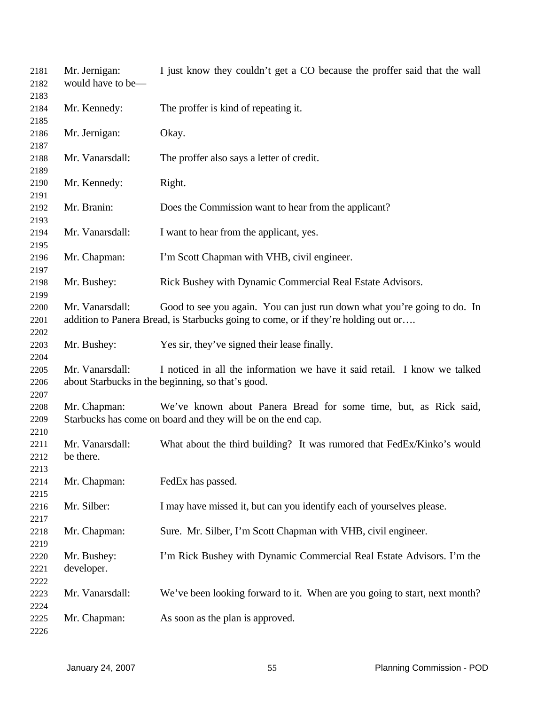| 2181<br>2182 | Mr. Jernigan:<br>would have to be- | I just know they couldn't get a CO because the proffer said that the wall          |
|--------------|------------------------------------|------------------------------------------------------------------------------------|
| 2183         |                                    |                                                                                    |
| 2184         | Mr. Kennedy:                       | The proffer is kind of repeating it.                                               |
| 2185         |                                    |                                                                                    |
| 2186         | Mr. Jernigan:                      | Okay.                                                                              |
| 2187         |                                    |                                                                                    |
| 2188         | Mr. Vanarsdall:                    | The proffer also says a letter of credit.                                          |
| 2189         |                                    |                                                                                    |
| 2190         | Mr. Kennedy:                       | Right.                                                                             |
| 2191         |                                    |                                                                                    |
| 2192         | Mr. Branin:                        | Does the Commission want to hear from the applicant?                               |
| 2193         |                                    |                                                                                    |
| 2194         | Mr. Vanarsdall:                    | I want to hear from the applicant, yes.                                            |
| 2195         |                                    |                                                                                    |
| 2196         | Mr. Chapman:                       | I'm Scott Chapman with VHB, civil engineer.                                        |
| 2197         |                                    |                                                                                    |
| 2198         | Mr. Bushey:                        | Rick Bushey with Dynamic Commercial Real Estate Advisors.                          |
| 2199         |                                    |                                                                                    |
| 2200         | Mr. Vanarsdall:                    | Good to see you again. You can just run down what you're going to do. In           |
| 2201         |                                    | addition to Panera Bread, is Starbucks going to come, or if they're holding out or |
| 2202         |                                    |                                                                                    |
| 2203         | Mr. Bushey:                        | Yes sir, they've signed their lease finally.                                       |
| 2204         |                                    |                                                                                    |
| 2205         | Mr. Vanarsdall:                    | I noticed in all the information we have it said retail. I know we talked          |
| 2206         |                                    | about Starbucks in the beginning, so that's good.                                  |
| 2207         |                                    |                                                                                    |
| 2208         | Mr. Chapman:                       | We've known about Panera Bread for some time, but, as Rick said,                   |
| 2209         |                                    | Starbucks has come on board and they will be on the end cap.                       |
| 2210         |                                    |                                                                                    |
| 2211         | Mr. Vanarsdall:                    | What about the third building? It was rumored that FedEx/Kinko's would             |
| 2212         | be there.                          |                                                                                    |
| 2213         |                                    |                                                                                    |
| 2214         | Mr. Chapman:                       | FedEx has passed.                                                                  |
|              |                                    |                                                                                    |
| 2215         |                                    |                                                                                    |
| 2216         | Mr. Silber:                        | I may have missed it, but can you identify each of yourselves please.              |
| 2217         |                                    |                                                                                    |
| 2218         | Mr. Chapman:                       | Sure. Mr. Silber, I'm Scott Chapman with VHB, civil engineer.                      |
| 2219         |                                    |                                                                                    |
| 2220         | Mr. Bushey:                        | I'm Rick Bushey with Dynamic Commercial Real Estate Advisors. I'm the              |
| 2221         | developer.                         |                                                                                    |
| 2222         |                                    |                                                                                    |
| 2223         | Mr. Vanarsdall:                    | We've been looking forward to it. When are you going to start, next month?         |
| 2224         |                                    |                                                                                    |
| 2225         | Mr. Chapman:                       | As soon as the plan is approved.                                                   |
| 2226         |                                    |                                                                                    |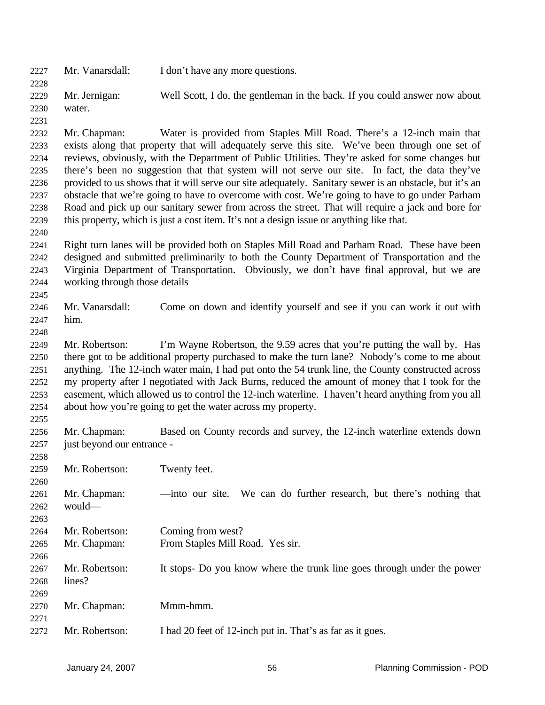| 2227 | Mr. Vanarsdall:               | I don't have any more questions.                                                                        |                           |
|------|-------------------------------|---------------------------------------------------------------------------------------------------------|---------------------------|
| 2228 |                               |                                                                                                         |                           |
| 2229 | Mr. Jernigan:                 | Well Scott, I do, the gentleman in the back. If you could answer now about                              |                           |
| 2230 | water.                        |                                                                                                         |                           |
| 2231 |                               |                                                                                                         |                           |
| 2232 | Mr. Chapman:                  | Water is provided from Staples Mill Road. There's a 12-inch main that                                   |                           |
| 2233 |                               | exists along that property that will adequately serve this site. We've been through one set of          |                           |
| 2234 |                               | reviews, obviously, with the Department of Public Utilities. They're asked for some changes but         |                           |
| 2235 |                               | there's been no suggestion that that system will not serve our site. In fact, the data they've          |                           |
| 2236 |                               | provided to us shows that it will serve our site adequately. Sanitary sewer is an obstacle, but it's an |                           |
| 2237 |                               | obstacle that we're going to have to overcome with cost. We're going to have to go under Parham         |                           |
| 2238 |                               | Road and pick up our sanitary sewer from across the street. That will require a jack and bore for       |                           |
| 2239 |                               | this property, which is just a cost item. It's not a design issue or anything like that.                |                           |
| 2240 |                               |                                                                                                         |                           |
| 2241 |                               | Right turn lanes will be provided both on Staples Mill Road and Parham Road. These have been            |                           |
| 2242 |                               | designed and submitted preliminarily to both the County Department of Transportation and the            |                           |
| 2243 |                               | Virginia Department of Transportation. Obviously, we don't have final approval, but we are              |                           |
| 2244 | working through those details |                                                                                                         |                           |
| 2245 |                               |                                                                                                         |                           |
| 2246 | Mr. Vanarsdall:               | Come on down and identify yourself and see if you can work it out with                                  |                           |
| 2247 | him.                          |                                                                                                         |                           |
| 2248 |                               |                                                                                                         |                           |
| 2249 | Mr. Robertson:                | I'm Wayne Robertson, the 9.59 acres that you're putting the wall by. Has                                |                           |
| 2250 |                               | there got to be additional property purchased to make the turn lane? Nobody's come to me about          |                           |
| 2251 |                               | anything. The 12-inch water main, I had put onto the 54 trunk line, the County constructed across       |                           |
| 2252 |                               | my property after I negotiated with Jack Burns, reduced the amount of money that I took for the         |                           |
| 2253 |                               | easement, which allowed us to control the 12-inch waterline. I haven't heard anything from you all      |                           |
| 2254 |                               | about how you're going to get the water across my property.                                             |                           |
| 2255 |                               |                                                                                                         |                           |
| 2256 | Mr. Chapman:                  | Based on County records and survey, the 12-inch waterline extends down                                  |                           |
| 2257 | just beyond our entrance -    |                                                                                                         |                           |
| 2258 |                               |                                                                                                         |                           |
| 2259 | Mr. Robertson:                | Twenty feet.                                                                                            |                           |
| 2260 |                               |                                                                                                         |                           |
| 2261 | Mr. Chapman:                  | —into our site. We can do further research, but there's nothing that                                    |                           |
| 2262 | would-                        |                                                                                                         |                           |
| 2263 |                               |                                                                                                         |                           |
| 2264 | Mr. Robertson:                | Coming from west?                                                                                       |                           |
|      |                               |                                                                                                         |                           |
| 2265 | Mr. Chapman:                  | From Staples Mill Road. Yes sir.                                                                        |                           |
| 2266 |                               |                                                                                                         |                           |
| 2267 | Mr. Robertson:                | It stops- Do you know where the trunk line goes through under the power                                 |                           |
| 2268 | lines?                        |                                                                                                         |                           |
| 2269 |                               |                                                                                                         |                           |
| 2270 | Mr. Chapman:                  | Mmm-hmm.                                                                                                |                           |
| 2271 |                               |                                                                                                         |                           |
| 2272 | Mr. Robertson:                | I had 20 feet of 12-inch put in. That's as far as it goes.                                              |                           |
|      |                               |                                                                                                         |                           |
|      | January 24, 2007              | 56                                                                                                      | Planning Commission - POD |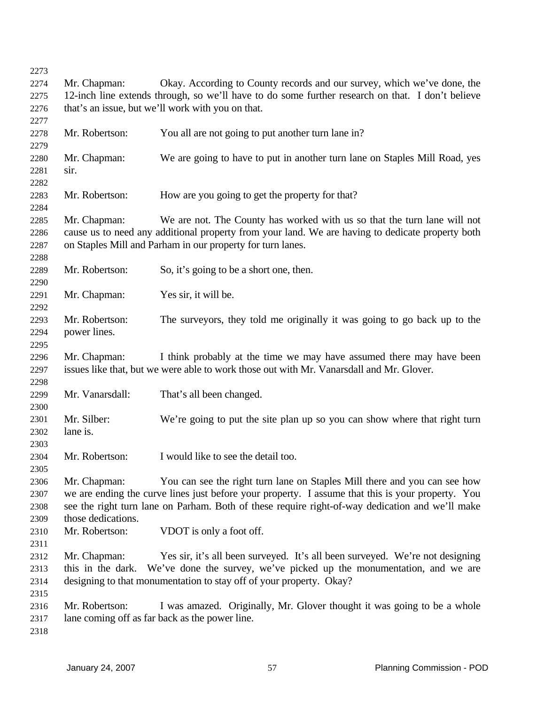| 2273 |                                                                                                  |                                                                                                   |  |
|------|--------------------------------------------------------------------------------------------------|---------------------------------------------------------------------------------------------------|--|
| 2274 | Mr. Chapman:                                                                                     | Okay. According to County records and our survey, which we've done, the                           |  |
| 2275 | 12-inch line extends through, so we'll have to do some further research on that. I don't believe |                                                                                                   |  |
| 2276 |                                                                                                  | that's an issue, but we'll work with you on that.                                                 |  |
| 2277 |                                                                                                  |                                                                                                   |  |
| 2278 | Mr. Robertson:                                                                                   | You all are not going to put another turn lane in?                                                |  |
| 2279 |                                                                                                  |                                                                                                   |  |
| 2280 | Mr. Chapman:                                                                                     | We are going to have to put in another turn lane on Staples Mill Road, yes                        |  |
| 2281 | sir.                                                                                             |                                                                                                   |  |
| 2282 |                                                                                                  |                                                                                                   |  |
| 2283 | Mr. Robertson:                                                                                   | How are you going to get the property for that?                                                   |  |
| 2284 |                                                                                                  |                                                                                                   |  |
| 2285 | Mr. Chapman:                                                                                     | We are not. The County has worked with us so that the turn lane will not                          |  |
| 2286 |                                                                                                  | cause us to need any additional property from your land. We are having to dedicate property both  |  |
| 2287 |                                                                                                  | on Staples Mill and Parham in our property for turn lanes.                                        |  |
| 2288 |                                                                                                  |                                                                                                   |  |
| 2289 | Mr. Robertson:                                                                                   | So, it's going to be a short one, then.                                                           |  |
| 2290 |                                                                                                  |                                                                                                   |  |
| 2291 | Mr. Chapman:                                                                                     | Yes sir, it will be.                                                                              |  |
| 2292 |                                                                                                  |                                                                                                   |  |
| 2293 | Mr. Robertson:                                                                                   | The surveyors, they told me originally it was going to go back up to the                          |  |
| 2294 | power lines.                                                                                     |                                                                                                   |  |
| 2295 |                                                                                                  |                                                                                                   |  |
| 2296 | Mr. Chapman:                                                                                     | I think probably at the time we may have assumed there may have been                              |  |
| 2297 |                                                                                                  | issues like that, but we were able to work those out with Mr. Vanarsdall and Mr. Glover.          |  |
| 2298 |                                                                                                  |                                                                                                   |  |
| 2299 | Mr. Vanarsdall:                                                                                  | That's all been changed.                                                                          |  |
| 2300 |                                                                                                  |                                                                                                   |  |
| 2301 | Mr. Silber:                                                                                      | We're going to put the site plan up so you can show where that right turn                         |  |
| 2302 | lane is.                                                                                         |                                                                                                   |  |
| 2303 |                                                                                                  |                                                                                                   |  |
| 2304 | Mr. Robertson:                                                                                   | I would like to see the detail too.                                                               |  |
| 2305 |                                                                                                  |                                                                                                   |  |
| 2306 | Mr. Chapman:                                                                                     | You can see the right turn lane on Staples Mill there and you can see how                         |  |
| 2307 |                                                                                                  | we are ending the curve lines just before your property. I assume that this is your property. You |  |
| 2308 |                                                                                                  | see the right turn lane on Parham. Both of these require right-of-way dedication and we'll make   |  |
| 2309 | those dedications.                                                                               |                                                                                                   |  |
| 2310 | Mr. Robertson:                                                                                   | VDOT is only a foot off.                                                                          |  |
| 2311 |                                                                                                  |                                                                                                   |  |
| 2312 | Mr. Chapman:                                                                                     | Yes sir, it's all been surveyed. It's all been surveyed. We're not designing                      |  |
| 2313 | this in the dark.                                                                                | We've done the survey, we've picked up the monumentation, and we are                              |  |
| 2314 |                                                                                                  | designing to that monumentation to stay off of your property. Okay?                               |  |
| 2315 |                                                                                                  |                                                                                                   |  |
| 2316 | Mr. Robertson:                                                                                   | I was amazed. Originally, Mr. Glover thought it was going to be a whole                           |  |
| 2317 |                                                                                                  | lane coming off as far back as the power line.                                                    |  |
| 2318 |                                                                                                  |                                                                                                   |  |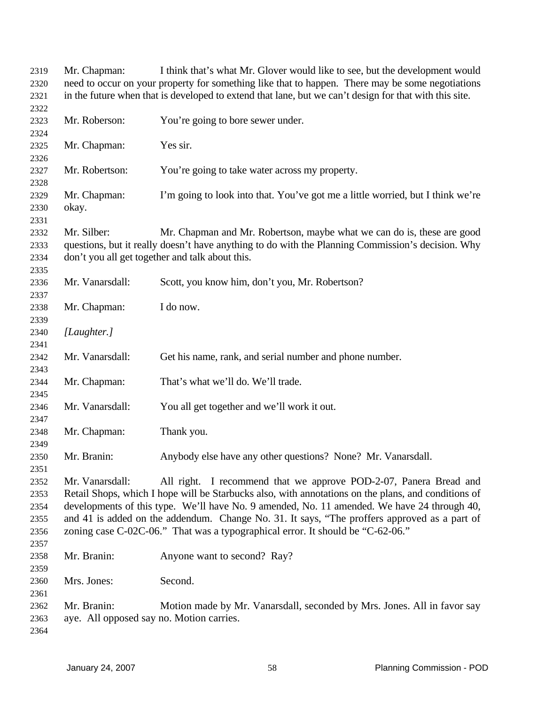| 2319         | Mr. Chapman:                                                                                     | I think that's what Mr. Glover would like to see, but the development would                            |  |
|--------------|--------------------------------------------------------------------------------------------------|--------------------------------------------------------------------------------------------------------|--|
| 2320         | need to occur on your property for something like that to happen. There may be some negotiations |                                                                                                        |  |
| 2321         |                                                                                                  | in the future when that is developed to extend that lane, but we can't design for that with this site. |  |
| 2322         |                                                                                                  |                                                                                                        |  |
| 2323         | Mr. Roberson:                                                                                    | You're going to bore sewer under.                                                                      |  |
| 2324         |                                                                                                  |                                                                                                        |  |
| 2325         | Mr. Chapman:                                                                                     | Yes sir.                                                                                               |  |
| 2326         |                                                                                                  |                                                                                                        |  |
| 2327         | Mr. Robertson:                                                                                   | You're going to take water across my property.                                                         |  |
| 2328         |                                                                                                  |                                                                                                        |  |
| 2329         | Mr. Chapman:                                                                                     | I'm going to look into that. You've got me a little worried, but I think we're                         |  |
| 2330         | okay.                                                                                            |                                                                                                        |  |
| 2331         |                                                                                                  |                                                                                                        |  |
| 2332         | Mr. Silber:                                                                                      | Mr. Chapman and Mr. Robertson, maybe what we can do is, these are good                                 |  |
| 2333         |                                                                                                  | questions, but it really doesn't have anything to do with the Planning Commission's decision. Why      |  |
| 2334         |                                                                                                  | don't you all get together and talk about this.                                                        |  |
| 2335         |                                                                                                  |                                                                                                        |  |
| 2336         | Mr. Vanarsdall:                                                                                  | Scott, you know him, don't you, Mr. Robertson?                                                         |  |
| 2337         |                                                                                                  |                                                                                                        |  |
| 2338         | Mr. Chapman:                                                                                     | I do now.                                                                                              |  |
| 2339         |                                                                                                  |                                                                                                        |  |
|              |                                                                                                  |                                                                                                        |  |
| 2340         | [Laughter.]                                                                                      |                                                                                                        |  |
| 2341         |                                                                                                  |                                                                                                        |  |
| 2342         | Mr. Vanarsdall:                                                                                  | Get his name, rank, and serial number and phone number.                                                |  |
| 2343         |                                                                                                  | That's what we'll do. We'll trade.                                                                     |  |
| 2344<br>2345 | Mr. Chapman:                                                                                     |                                                                                                        |  |
| 2346         | Mr. Vanarsdall:                                                                                  | You all get together and we'll work it out.                                                            |  |
| 2347         |                                                                                                  |                                                                                                        |  |
| 2348         | Mr. Chapman:                                                                                     | Thank you.                                                                                             |  |
| 2349         |                                                                                                  |                                                                                                        |  |
| 2350         | Mr. Branin:                                                                                      | Anybody else have any other questions? None? Mr. Vanarsdall.                                           |  |
| 2351         |                                                                                                  |                                                                                                        |  |
| 2352         | Mr. Vanarsdall:                                                                                  | All right. I recommend that we approve POD-2-07, Panera Bread and                                      |  |
|              |                                                                                                  | Retail Shops, which I hope will be Starbucks also, with annotations on the plans, and conditions of    |  |
| 2353         |                                                                                                  |                                                                                                        |  |
| 2354         |                                                                                                  | developments of this type. We'll have No. 9 amended, No. 11 amended. We have 24 through 40,            |  |
| 2355         |                                                                                                  | and 41 is added on the addendum. Change No. 31. It says, "The proffers approved as a part of           |  |
| 2356         |                                                                                                  | zoning case C-02C-06." That was a typographical error. It should be "C-62-06."                         |  |
| 2357         |                                                                                                  |                                                                                                        |  |
| 2358         | Mr. Branin:                                                                                      | Anyone want to second? Ray?                                                                            |  |
| 2359         |                                                                                                  |                                                                                                        |  |
| 2360         | Mrs. Jones:                                                                                      | Second.                                                                                                |  |
| 2361         |                                                                                                  |                                                                                                        |  |
| 2362         | Mr. Branin:                                                                                      | Motion made by Mr. Vanarsdall, seconded by Mrs. Jones. All in favor say                                |  |
| 2363         | aye. All opposed say no. Motion carries.                                                         |                                                                                                        |  |
| 2364         |                                                                                                  |                                                                                                        |  |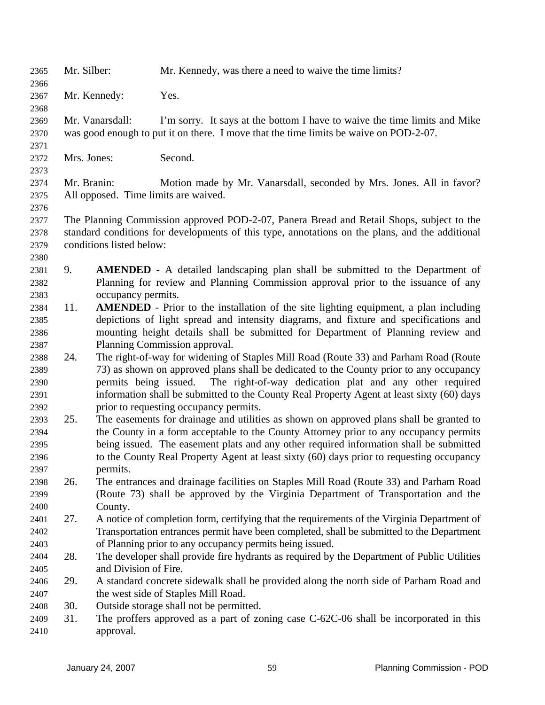| 2365         | Mr. Silber:  |                          | Mr. Kennedy, was there a need to waive the time limits?                                         |
|--------------|--------------|--------------------------|-------------------------------------------------------------------------------------------------|
| 2366         |              |                          |                                                                                                 |
| 2367         | Mr. Kennedy: |                          | Yes.                                                                                            |
| 2368         |              |                          |                                                                                                 |
| 2369         |              | Mr. Vanarsdall:          | I'm sorry. It says at the bottom I have to waive the time limits and Mike                       |
| 2370         |              |                          | was good enough to put it on there. I move that the time limits be waive on POD-2-07.           |
| 2371         |              |                          |                                                                                                 |
| 2372         | Mrs. Jones:  |                          | Second.                                                                                         |
| 2373         |              |                          |                                                                                                 |
| 2374         | Mr. Branin:  |                          | Motion made by Mr. Vanarsdall, seconded by Mrs. Jones. All in favor?                            |
| 2375         |              |                          | All opposed. Time limits are waived.                                                            |
| 2376         |              |                          |                                                                                                 |
| 2377         |              |                          | The Planning Commission approved POD-2-07, Panera Bread and Retail Shops, subject to the        |
| 2378         |              |                          | standard conditions for developments of this type, annotations on the plans, and the additional |
| 2379         |              | conditions listed below: |                                                                                                 |
| 2380         |              |                          |                                                                                                 |
| 2381         | 9.           |                          | <b>AMENDED</b> - A detailed landscaping plan shall be submitted to the Department of            |
| 2382         |              |                          | Planning for review and Planning Commission approval prior to the issuance of any               |
| 2383         |              | occupancy permits.       |                                                                                                 |
| 2384         | 11.          |                          | <b>AMENDED</b> - Prior to the installation of the site lighting equipment, a plan including     |
| 2385         |              |                          | depictions of light spread and intensity diagrams, and fixture and specifications and           |
| 2386         |              |                          | mounting height details shall be submitted for Department of Planning review and                |
| 2387         |              |                          | Planning Commission approval.                                                                   |
| 2388         | 24.          |                          | The right-of-way for widening of Staples Mill Road (Route 33) and Parham Road (Route            |
| 2389         |              |                          | 73) as shown on approved plans shall be dedicated to the County prior to any occupancy          |
| 2390         |              | permits being issued.    | The right-of-way dedication plat and any other required                                         |
| 2391         |              |                          | information shall be submitted to the County Real Property Agent at least sixty (60) days       |
| 2392         |              |                          | prior to requesting occupancy permits.                                                          |
| 2393         | 25.          |                          | The easements for drainage and utilities as shown on approved plans shall be granted to         |
| 2394         |              |                          | the County in a form acceptable to the County Attorney prior to any occupancy permits           |
| 2395         |              |                          | being issued. The easement plats and any other required information shall be submitted          |
| 2396         |              |                          | to the County Real Property Agent at least sixty (60) days prior to requesting occupancy        |
| 2397         |              | permits.                 |                                                                                                 |
| 2398         | 26.          |                          | The entrances and drainage facilities on Staples Mill Road (Route 33) and Parham Road           |
| 2399         |              |                          | (Route 73) shall be approved by the Virginia Department of Transportation and the               |
| 2400         | 27.          | County.                  |                                                                                                 |
| 2401         |              |                          | A notice of completion form, certifying that the requirements of the Virginia Department of     |
| 2402         |              |                          | Transportation entrances permit have been completed, shall be submitted to the Department       |
| 2403         | 28.          |                          | of Planning prior to any occupancy permits being issued.                                        |
| 2404         |              | and Division of Fire.    | The developer shall provide fire hydrants as required by the Department of Public Utilities     |
| 2405         | 29.          |                          | A standard concrete sidewalk shall be provided along the north side of Parham Road and          |
| 2406         |              |                          | the west side of Staples Mill Road.                                                             |
| 2407         | 30.          |                          | Outside storage shall not be permitted.                                                         |
| 2408<br>2409 | 31.          |                          | The proffers approved as a part of zoning case C-62C-06 shall be incorporated in this           |
| 2410         |              | approval.                |                                                                                                 |
|              |              |                          |                                                                                                 |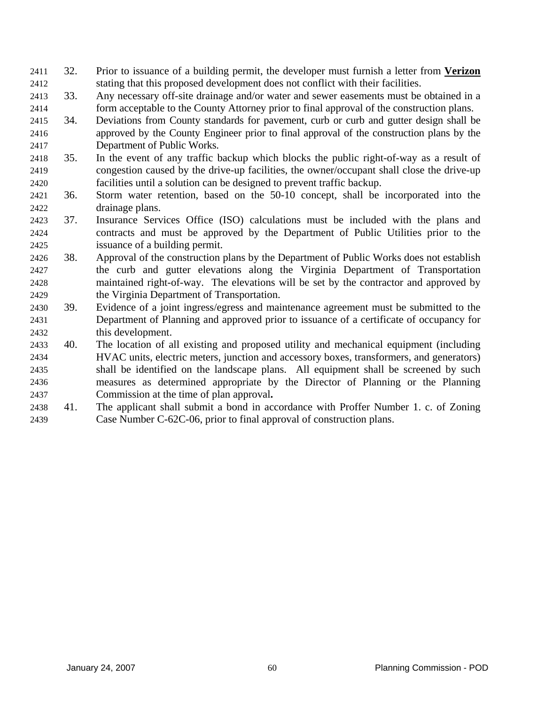- 32. Prior to issuance of a building permit, the developer must furnish a letter from **Verizon** stating that this proposed development does not conflict with their facilities. 2411 2412
- 2413 2414 33. Any necessary off-site drainage and/or water and sewer easements must be obtained in a form acceptable to the County Attorney prior to final approval of the construction plans.
- 2415 2416 2417 34. Deviations from County standards for pavement, curb or curb and gutter design shall be approved by the County Engineer prior to final approval of the construction plans by the Department of Public Works.
- 2418 2419 2420 35. In the event of any traffic backup which blocks the public right-of-way as a result of congestion caused by the drive-up facilities, the owner/occupant shall close the drive-up facilities until a solution can be designed to prevent traffic backup.
- 2421 2422 36. Storm water retention, based on the 50-10 concept, shall be incorporated into the drainage plans.
- 2423 2424 2425 37. Insurance Services Office (ISO) calculations must be included with the plans and contracts and must be approved by the Department of Public Utilities prior to the issuance of a building permit.
- 2426 2427 2428 2429 38. Approval of the construction plans by the Department of Public Works does not establish the curb and gutter elevations along the Virginia Department of Transportation maintained right-of-way. The elevations will be set by the contractor and approved by the Virginia Department of Transportation.
- 2430 2431 2432 39. Evidence of a joint ingress/egress and maintenance agreement must be submitted to the Department of Planning and approved prior to issuance of a certificate of occupancy for this development.
- 2433 2434 2435 2436 2437 40. The location of all existing and proposed utility and mechanical equipment (including HVAC units, electric meters, junction and accessory boxes, transformers, and generators) shall be identified on the landscape plans. All equipment shall be screened by such measures as determined appropriate by the Director of Planning or the Planning Commission at the time of plan approval**.**
- 2438 2439 41. The applicant shall submit a bond in accordance with Proffer Number 1. c. of Zoning Case Number C-62C-06, prior to final approval of construction plans.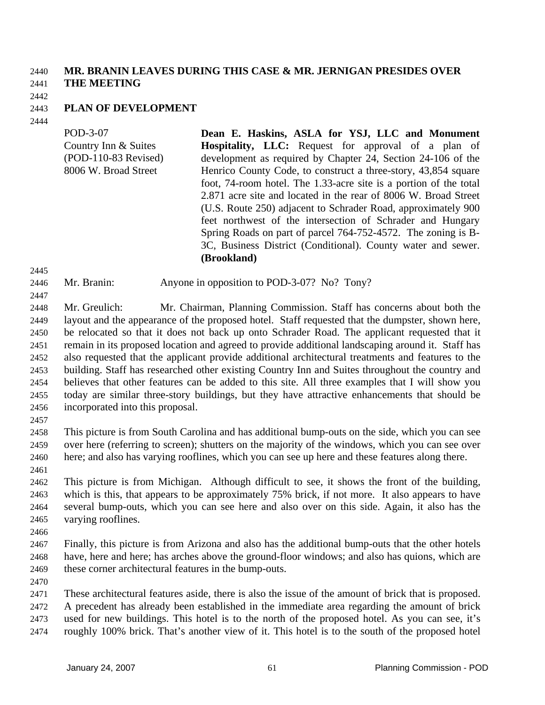## 2440 **MR. BRANIN LEAVES DURING THIS CASE & MR. JERNIGAN PRESIDES OVER**  2441 **THE MEETING**

2442

### 2443 **PLAN OF DEVELOPMENT**

2444

POD-3-07 Country Inn & Suites (POD-110-83 Revised) 8006 W. Broad Street **Dean E. Haskins, ASLA for YSJ, LLC and Monument Hospitality, LLC:** Request for approval of a plan of development as required by Chapter 24, Section 24-106 of the Henrico County Code, to construct a three-story, 43,854 square foot, 74-room hotel. The 1.33-acre site is a portion of the total 2.871 acre site and located in the rear of 8006 W. Broad Street (U.S. Route 250) adjacent to Schrader Road, approximately 900 feet northwest of the intersection of Schrader and Hungary Spring Roads on part of parcel 764-752-4572. The zoning is B-3C, Business District (Conditional). County water and sewer. **(Brookland)** 

2445

2446 Mr. Branin: Anyone in opposition to POD-3-07? No? Tony?

2447

2448 2449 2450 2451 2452 2453 2454 2455 2456 Mr. Greulich: Mr. Chairman, Planning Commission. Staff has concerns about both the layout and the appearance of the proposed hotel. Staff requested that the dumpster, shown here, be relocated so that it does not back up onto Schrader Road. The applicant requested that it remain in its proposed location and agreed to provide additional landscaping around it. Staff has also requested that the applicant provide additional architectural treatments and features to the building. Staff has researched other existing Country Inn and Suites throughout the country and believes that other features can be added to this site. All three examples that I will show you today are similar three-story buildings, but they have attractive enhancements that should be incorporated into this proposal.

2457

2458 2459 2460 2461 This picture is from South Carolina and has additional bump-outs on the side, which you can see over here (referring to screen); shutters on the majority of the windows, which you can see over here; and also has varying rooflines, which you can see up here and these features along there.

2462 2463 2464 2465 This picture is from Michigan. Although difficult to see, it shows the front of the building, which is this, that appears to be approximately 75% brick, if not more. It also appears to have several bump-outs, which you can see here and also over on this side. Again, it also has the varying rooflines.

- 2466
- 2467 2468 2469 Finally, this picture is from Arizona and also has the additional bump-outs that the other hotels have, here and here; has arches above the ground-floor windows; and also has quions, which are these corner architectural features in the bump-outs.
- 2470

2471 2472 2473 2474 These architectural features aside, there is also the issue of the amount of brick that is proposed. A precedent has already been established in the immediate area regarding the amount of brick used for new buildings. This hotel is to the north of the proposed hotel. As you can see, it's roughly 100% brick. That's another view of it. This hotel is to the south of the proposed hotel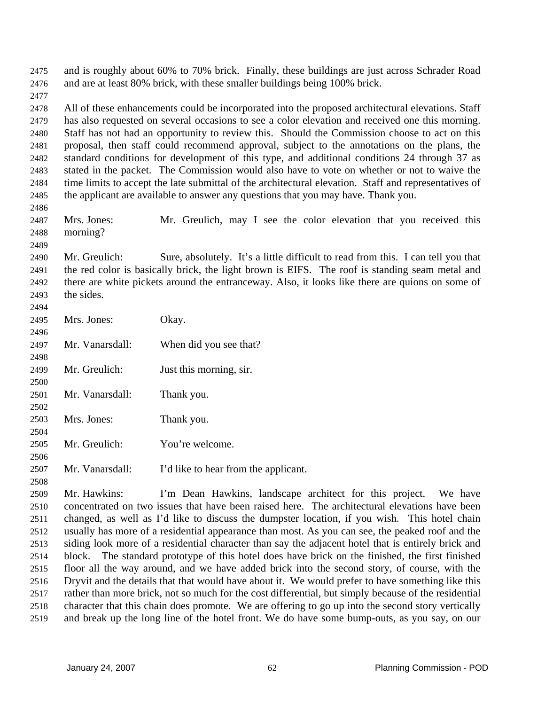and is roughly about 60% to 70% brick. Finally, these buildings are just across Schrader Road and are at least 80% brick, with these smaller buildings being 100% brick. 2475 2476 2477

2478 2479 2480 2481 2482 2483 2484 2485 All of these enhancements could be incorporated into the proposed architectural elevations. Staff has also requested on several occasions to see a color elevation and received one this morning. Staff has not had an opportunity to review this. Should the Commission choose to act on this proposal, then staff could recommend approval, subject to the annotations on the plans, the standard conditions for development of this type, and additional conditions 24 through 37 as stated in the packet. The Commission would also have to vote on whether or not to waive the time limits to accept the late submittal of the architectural elevation. Staff and representatives of the applicant are available to answer any questions that you may have. Thank you.

2487 2488 Mrs. Jones: Mr. Greulich, may I see the color elevation that you received this morning?

2490 2491 2492 2493 Mr. Greulich: Sure, absolutely. It's a little difficult to read from this. I can tell you that the red color is basically brick, the light brown is EIFS. The roof is standing seam metal and there are white pickets around the entranceway. Also, it looks like there are quions on some of the sides.

| 2495 | Mrs. Jones:     | Okay.                                |
|------|-----------------|--------------------------------------|
| 2496 |                 |                                      |
| 2497 | Mr. Vanarsdall: | When did you see that?               |
| 2498 |                 |                                      |
| 2499 | Mr. Greulich:   | Just this morning, sir.              |
| 2500 |                 |                                      |
| 2501 | Mr. Vanarsdall: | Thank you.                           |
| 2502 |                 |                                      |
| 2503 | Mrs. Jones:     | Thank you.                           |
| 2504 |                 |                                      |
| 2505 | Mr. Greulich:   | You're welcome.                      |
| 2506 |                 |                                      |
| 2507 | Mr. Vanarsdall: | I'd like to hear from the applicant. |

2509 2510 2511 2512 2513 2514 2515 2516 2517 2518 2519 Mr. Hawkins: I'm Dean Hawkins, landscape architect for this project. We have concentrated on two issues that have been raised here. The architectural elevations have been changed, as well as I'd like to discuss the dumpster location, if you wish. This hotel chain usually has more of a residential appearance than most. As you can see, the peaked roof and the siding look more of a residential character than say the adjacent hotel that is entirely brick and block. The standard prototype of this hotel does have brick on the finished, the first finished floor all the way around, and we have added brick into the second story, of course, with the Dryvit and the details that that would have about it. We would prefer to have something like this rather than more brick, not so much for the cost differential, but simply because of the residential character that this chain does promote. We are offering to go up into the second story vertically and break up the long line of the hotel front. We do have some bump-outs, as you say, on our

2486

2489

2494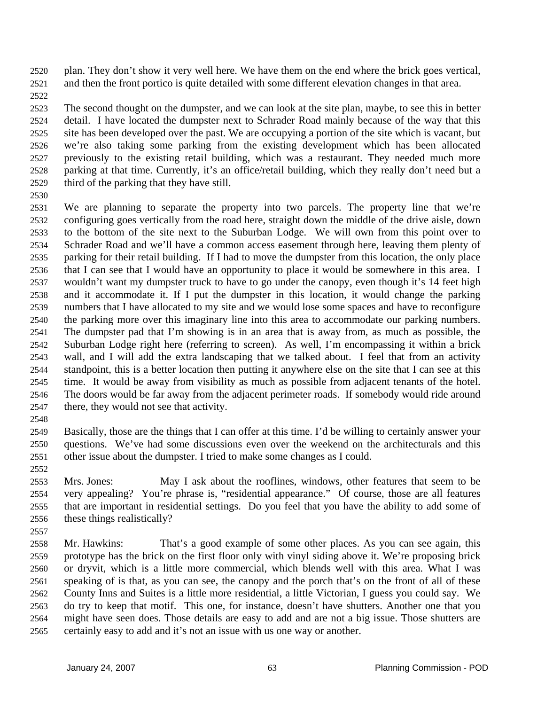plan. They don't show it very well here. We have them on the end where the brick goes vertical, and then the front portico is quite detailed with some different elevation changes in that area. 2520 2521

2522

2523 2524 2525 2526 2527 2528 2529 The second thought on the dumpster, and we can look at the site plan, maybe, to see this in better detail. I have located the dumpster next to Schrader Road mainly because of the way that this site has been developed over the past. We are occupying a portion of the site which is vacant, but we're also taking some parking from the existing development which has been allocated previously to the existing retail building, which was a restaurant. They needed much more parking at that time. Currently, it's an office/retail building, which they really don't need but a third of the parking that they have still.

2530

2531 2532 2533 2534 2535 2536 2537 2538 2539 2540 2541 2542 2543 2544 2545 2546 2547 We are planning to separate the property into two parcels. The property line that we're configuring goes vertically from the road here, straight down the middle of the drive aisle, down to the bottom of the site next to the Suburban Lodge. We will own from this point over to Schrader Road and we'll have a common access easement through here, leaving them plenty of parking for their retail building. If I had to move the dumpster from this location, the only place that I can see that I would have an opportunity to place it would be somewhere in this area. I wouldn't want my dumpster truck to have to go under the canopy, even though it's 14 feet high and it accommodate it. If I put the dumpster in this location, it would change the parking numbers that I have allocated to my site and we would lose some spaces and have to reconfigure the parking more over this imaginary line into this area to accommodate our parking numbers. The dumpster pad that I'm showing is in an area that is away from, as much as possible, the Suburban Lodge right here (referring to screen). As well, I'm encompassing it within a brick wall, and I will add the extra landscaping that we talked about. I feel that from an activity standpoint, this is a better location then putting it anywhere else on the site that I can see at this time. It would be away from visibility as much as possible from adjacent tenants of the hotel. The doors would be far away from the adjacent perimeter roads. If somebody would ride around there, they would not see that activity.

2548

2552

2549 2550 2551 Basically, those are the things that I can offer at this time. I'd be willing to certainly answer your questions. We've had some discussions even over the weekend on the architecturals and this other issue about the dumpster. I tried to make some changes as I could.

2553 2554 2555 2556 Mrs. Jones: May I ask about the rooflines, windows, other features that seem to be very appealing? You're phrase is, "residential appearance." Of course, those are all features that are important in residential settings. Do you feel that you have the ability to add some of these things realistically?

2557

2558 2559 2560 2561 2562 2563 2564 2565 Mr. Hawkins: That's a good example of some other places. As you can see again, this prototype has the brick on the first floor only with vinyl siding above it. We're proposing brick or dryvit, which is a little more commercial, which blends well with this area. What I was speaking of is that, as you can see, the canopy and the porch that's on the front of all of these County Inns and Suites is a little more residential, a little Victorian, I guess you could say. We do try to keep that motif. This one, for instance, doesn't have shutters. Another one that you might have seen does. Those details are easy to add and are not a big issue. Those shutters are certainly easy to add and it's not an issue with us one way or another.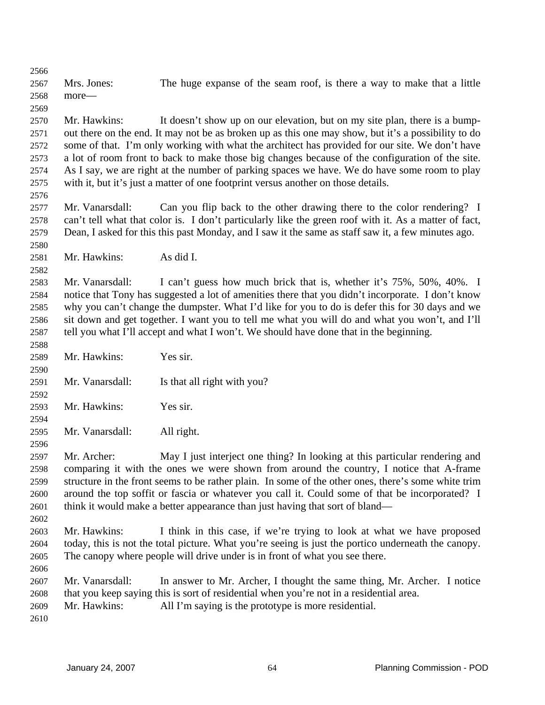2566 2567 2568 2569 Mrs. Jones: The huge expanse of the seam roof, is there a way to make that a little more—

2570 2571 2572 2573 2574 2575 Mr. Hawkins: It doesn't show up on our elevation, but on my site plan, there is a bumpout there on the end. It may not be as broken up as this one may show, but it's a possibility to do some of that. I'm only working with what the architect has provided for our site. We don't have a lot of room front to back to make those big changes because of the configuration of the site. As I say, we are right at the number of parking spaces we have. We do have some room to play with it, but it's just a matter of one footprint versus another on those details.

2577 2578 2579 Mr. Vanarsdall: Can you flip back to the other drawing there to the color rendering? I can't tell what that color is. I don't particularly like the green roof with it. As a matter of fact, Dean, I asked for this this past Monday, and I saw it the same as staff saw it, a few minutes ago.

2581 Mr. Hawkins: As did I.

2583 2584 2585 2586 2587 Mr. Vanarsdall: I can't guess how much brick that is, whether it's 75%, 50%, 40%. I notice that Tony has suggested a lot of amenities there that you didn't incorporate. I don't know why you can't change the dumpster. What I'd like for you to do is defer this for 30 days and we sit down and get together. I want you to tell me what you will do and what you won't, and I'll tell you what I'll accept and what I won't. We should have done that in the beginning.

- 2589 Mr. Hawkins: Yes sir.
- 2591 Mr. Vanarsdall: Is that all right with you?
- 2593 Mr. Hawkins: Yes sir.
- 2595 Mr. Vanarsdall: All right.
- 2597 2598 2599 2600 2601 Mr. Archer: May I just interject one thing? In looking at this particular rendering and comparing it with the ones we were shown from around the country, I notice that A-frame structure in the front seems to be rather plain. In some of the other ones, there's some white trim around the top soffit or fascia or whatever you call it. Could some of that be incorporated? I think it would make a better appearance than just having that sort of bland—
- 2603 2604 2605 Mr. Hawkins: I think in this case, if we're trying to look at what we have proposed today, this is not the total picture. What you're seeing is just the portico underneath the canopy. The canopy where people will drive under is in front of what you see there.
- 2606 2607 2608 Mr. Vanarsdall: In answer to Mr. Archer, I thought the same thing, Mr. Archer. I notice that you keep saying this is sort of residential when you're not in a residential area.
- 2609 Mr. Hawkins: All I'm saying is the prototype is more residential.
- 2610

2576

2580

2582

2588

2590

2592

2594

2596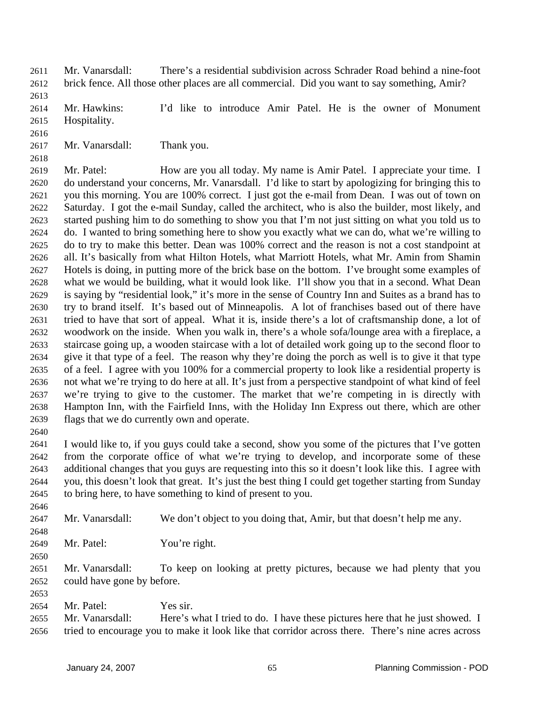Mr. Vanarsdall: There's a residential subdivision across Schrader Road behind a nine-foot brick fence. All those other places are all commercial. Did you want to say something, Amir? 2611 2612

2613

2614 2615 Mr. Hawkins: I'd like to introduce Amir Patel. He is the owner of Monument Hospitality.

2616

2618

2617 Mr. Vanarsdall: Thank you.

2619 2620 2621 2622 2623 2624 2625 2626 2627 2628 2629 2630 2631 2632 2633 2634 2635 2636 2637 2638 2639 Mr. Patel: How are you all today. My name is Amir Patel. I appreciate your time. I do understand your concerns, Mr. Vanarsdall. I'd like to start by apologizing for bringing this to you this morning. You are 100% correct. I just got the e-mail from Dean. I was out of town on Saturday. I got the e-mail Sunday, called the architect, who is also the builder, most likely, and started pushing him to do something to show you that I'm not just sitting on what you told us to do. I wanted to bring something here to show you exactly what we can do, what we're willing to do to try to make this better. Dean was 100% correct and the reason is not a cost standpoint at all. It's basically from what Hilton Hotels, what Marriott Hotels, what Mr. Amin from Shamin Hotels is doing, in putting more of the brick base on the bottom. I've brought some examples of what we would be building, what it would look like. I'll show you that in a second. What Dean is saying by "residential look," it's more in the sense of Country Inn and Suites as a brand has to try to brand itself. It's based out of Minneapolis. A lot of franchises based out of there have tried to have that sort of appeal. What it is, inside there's a lot of craftsmanship done, a lot of woodwork on the inside. When you walk in, there's a whole sofa/lounge area with a fireplace, a staircase going up, a wooden staircase with a lot of detailed work going up to the second floor to give it that type of a feel. The reason why they're doing the porch as well is to give it that type of a feel. I agree with you 100% for a commercial property to look like a residential property is not what we're trying to do here at all. It's just from a perspective standpoint of what kind of feel we're trying to give to the customer. The market that we're competing in is directly with Hampton Inn, with the Fairfield Inns, with the Holiday Inn Express out there, which are other flags that we do currently own and operate.

2640

2641 2642 2643 2644 2645 I would like to, if you guys could take a second, show you some of the pictures that I've gotten from the corporate office of what we're trying to develop, and incorporate some of these additional changes that you guys are requesting into this so it doesn't look like this. I agree with you, this doesn't look that great. It's just the best thing I could get together starting from Sunday to bring here, to have something to kind of present to you.

- 2647 Mr. Vanarsdall: We don't object to you doing that, Amir, but that doesn't help me any.
- 2648 2649 Mr. Patel: You're right.
- 2650

2646

2651 2652 Mr. Vanarsdall: To keep on looking at pretty pictures, because we had plenty that you could have gone by before.

- 2653
- 2654 Mr. Patel: Yes sir.

2655 2656 Mr. Vanarsdall: Here's what I tried to do. I have these pictures here that he just showed. I tried to encourage you to make it look like that corridor across there. There's nine acres across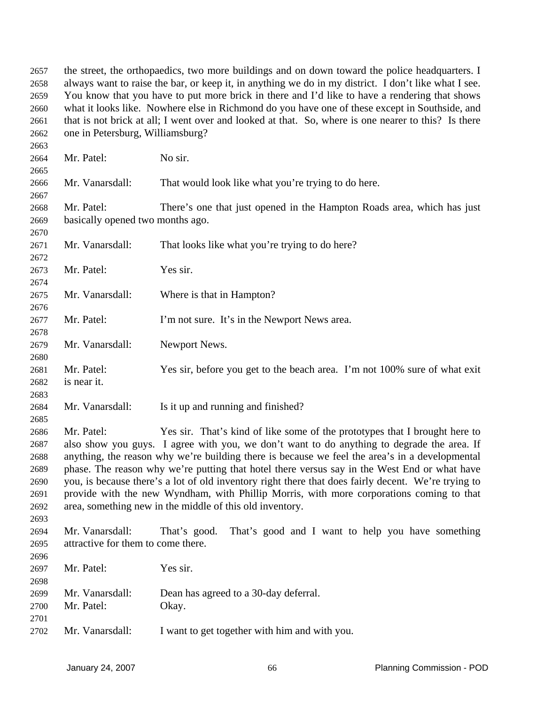the street, the orthopaedics, two more buildings and on down toward the police headquarters. I always want to raise the bar, or keep it, in anything we do in my district. I don't like what I see. You know that you have to put more brick in there and I'd like to have a rendering that shows what it looks like. Nowhere else in Richmond do you have one of these except in Southside, and that is not brick at all; I went over and looked at that. So, where is one nearer to this? Is there one in Petersburg, Williamsburg? 2657 2658 2659 2660 2661 2662

| 2663 |                                    |                                                                                                     |
|------|------------------------------------|-----------------------------------------------------------------------------------------------------|
| 2664 | Mr. Patel:                         | No sir.                                                                                             |
| 2665 |                                    |                                                                                                     |
| 2666 | Mr. Vanarsdall:                    | That would look like what you're trying to do here.                                                 |
| 2667 |                                    |                                                                                                     |
| 2668 | Mr. Patel:                         | There's one that just opened in the Hampton Roads area, which has just                              |
| 2669 | basically opened two months ago.   |                                                                                                     |
| 2670 |                                    |                                                                                                     |
| 2671 | Mr. Vanarsdall:                    | That looks like what you're trying to do here?                                                      |
| 2672 |                                    |                                                                                                     |
| 2673 | Mr. Patel:                         | Yes sir.                                                                                            |
| 2674 |                                    |                                                                                                     |
| 2675 | Mr. Vanarsdall:                    | Where is that in Hampton?                                                                           |
| 2676 |                                    |                                                                                                     |
| 2677 | Mr. Patel:                         | I'm not sure. It's in the Newport News area.                                                        |
| 2678 |                                    |                                                                                                     |
| 2679 | Mr. Vanarsdall:                    | Newport News.                                                                                       |
| 2680 |                                    |                                                                                                     |
| 2681 | Mr. Patel:                         | Yes sir, before you get to the beach area. I'm not 100% sure of what exit                           |
| 2682 | is near it.                        |                                                                                                     |
| 2683 |                                    |                                                                                                     |
| 2684 | Mr. Vanarsdall:                    | Is it up and running and finished?                                                                  |
| 2685 |                                    |                                                                                                     |
| 2686 | Mr. Patel:                         | Yes sir. That's kind of like some of the prototypes that I brought here to                          |
| 2687 |                                    | also show you guys. I agree with you, we don't want to do anything to degrade the area. If          |
| 2688 |                                    | anything, the reason why we're building there is because we feel the area's in a developmental      |
| 2689 |                                    | phase. The reason why we're putting that hotel there versus say in the West End or what have        |
| 2690 |                                    | you, is because there's a lot of old inventory right there that does fairly decent. We're trying to |
| 2691 |                                    | provide with the new Wyndham, with Phillip Morris, with more corporations coming to that            |
| 2692 |                                    | area, something new in the middle of this old inventory.                                            |
| 2693 |                                    |                                                                                                     |
| 2694 | Mr. Vanarsdall:                    | That's good and I want to help you have something<br>That's good.                                   |
| 2695 | attractive for them to come there. |                                                                                                     |
| 2696 |                                    |                                                                                                     |
| 2697 | Mr. Patel:                         | Yes sir.                                                                                            |
| 2698 |                                    |                                                                                                     |
| 2699 | Mr. Vanarsdall:                    | Dean has agreed to a 30-day deferral.                                                               |
| 2700 | Mr. Patel:                         | Okay.                                                                                               |
| 2701 |                                    |                                                                                                     |
| 2702 | Mr. Vanarsdall:                    | I want to get together with him and with you.                                                       |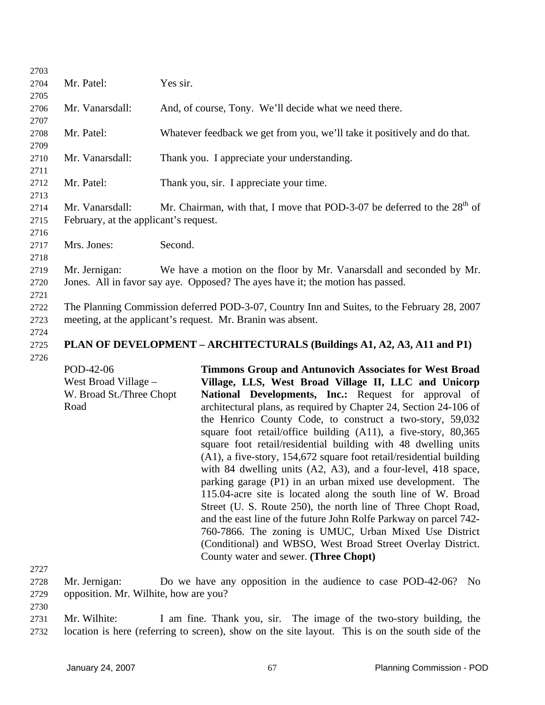| 2703 |                                                                                             |                                                                            |
|------|---------------------------------------------------------------------------------------------|----------------------------------------------------------------------------|
| 2704 | Mr. Patel:                                                                                  | Yes sir.                                                                   |
| 2705 |                                                                                             |                                                                            |
| 2706 | Mr. Vanarsdall:                                                                             | And, of course, Tony. We'll decide what we need there.                     |
| 2707 |                                                                                             |                                                                            |
| 2708 | Mr. Patel:                                                                                  | Whatever feedback we get from you, we'll take it positively and do that.   |
| 2709 |                                                                                             |                                                                            |
| 2710 | Mr. Vanarsdall:                                                                             | Thank you. I appreciate your understanding.                                |
| 2711 |                                                                                             |                                                                            |
| 2712 | Mr. Patel:                                                                                  | Thank you, sir. I appreciate your time.                                    |
| 2713 |                                                                                             |                                                                            |
| 2714 | Mr. Vanarsdall:                                                                             | Mr. Chairman, with that, I move that POD-3-07 be deferred to the $28th$ of |
| 2715 | February, at the applicant's request.                                                       |                                                                            |
| 2716 |                                                                                             |                                                                            |
| 2717 | Mrs. Jones:                                                                                 | Second.                                                                    |
| 2718 |                                                                                             |                                                                            |
| 2719 | Mr. Jernigan:                                                                               | We have a motion on the floor by Mr. Vanarsdall and seconded by Mr.        |
| 2720 | Jones. All in favor say aye. Opposed? The ayes have it; the motion has passed.              |                                                                            |
| 2721 |                                                                                             |                                                                            |
| 2722 | The Planning Commission deferred POD-3-07, Country Inn and Suites, to the February 28, 2007 |                                                                            |
| 2723 | meeting, at the applicant's request. Mr. Branin was absent.                                 |                                                                            |
| 2724 |                                                                                             |                                                                            |
| 2725 | PLAN OF DEVELOPMENT – ARCHITECTURALS (Buildings A1, A2, A3, A11 and P1)                     |                                                                            |
| 2726 |                                                                                             |                                                                            |
|      | POD-42-06                                                                                   | <b>Timmons Group and Antunovich Associates for West Broad</b>              |
|      |                                                                                             |                                                                            |

West Broad Village – W. Broad St./Three Chopt Road **Village, LLS, West Broad Village II, LLC and Unicorp National Developments, Inc.:** Request for approval of architectural plans, as required by Chapter 24, Section 24-106 of the Henrico County Code, to construct a two-story, 59,032 square foot retail/office building (A11), a five-story, 80,365 square foot retail/residential building with 48 dwelling units (A1), a five-story, 154,672 square foot retail/residential building with 84 dwelling units (A2, A3), and a four-level, 418 space, parking garage (P1) in an urban mixed use development. The 115.04-acre site is located along the south line of W. Broad Street (U. S. Route 250), the north line of Three Chopt Road, and the east line of the future John Rolfe Parkway on parcel 742- 760-7866. The zoning is UMUC, Urban Mixed Use District (Conditional) and WBSO, West Broad Street Overlay District. County water and sewer. **(Three Chopt)** 

2727

2728 2729 Mr. Jernigan: Do we have any opposition in the audience to case POD-42-06? No opposition. Mr. Wilhite, how are you?

2730

2731 2732 Mr. Wilhite: I am fine. Thank you, sir. The image of the two-story building, the location is here (referring to screen), show on the site layout. This is on the south side of the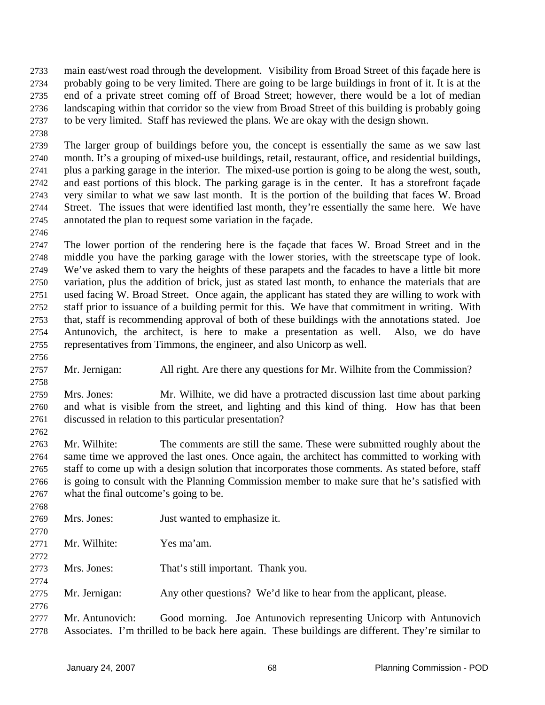main east/west road through the development. Visibility from Broad Street of this façade here is probably going to be very limited. There are going to be large buildings in front of it. It is at the end of a private street coming off of Broad Street; however, there would be a lot of median landscaping within that corridor so the view from Broad Street of this building is probably going to be very limited. Staff has reviewed the plans. We are okay with the design shown. 2733 2734 2735 2736 2737

2738

2746

2739 2740 2741 2742 2743 2744 2745 The larger group of buildings before you, the concept is essentially the same as we saw last month. It's a grouping of mixed-use buildings, retail, restaurant, office, and residential buildings, plus a parking garage in the interior. The mixed-use portion is going to be along the west, south, and east portions of this block. The parking garage is in the center. It has a storefront façade very similar to what we saw last month. It is the portion of the building that faces W. Broad Street. The issues that were identified last month, they're essentially the same here. We have annotated the plan to request some variation in the façade.

2747 2748 2749 2750 2751 2752 2753 2754 2755 The lower portion of the rendering here is the façade that faces W. Broad Street and in the middle you have the parking garage with the lower stories, with the streetscape type of look. We've asked them to vary the heights of these parapets and the facades to have a little bit more variation, plus the addition of brick, just as stated last month, to enhance the materials that are used facing W. Broad Street. Once again, the applicant has stated they are willing to work with staff prior to issuance of a building permit for this. We have that commitment in writing. With that, staff is recommending approval of both of these buildings with the annotations stated. Joe Antunovich, the architect, is here to make a presentation as well. Also, we do have representatives from Timmons, the engineer, and also Unicorp as well.

2756

2758

2762

2768

2770

2772

2774

2757 Mr. Jernigan: All right. Are there any questions for Mr. Wilhite from the Commission?

2759 2760 2761 Mrs. Jones: Mr. Wilhite, we did have a protracted discussion last time about parking and what is visible from the street, and lighting and this kind of thing. How has that been discussed in relation to this particular presentation?

2763 2764 2765 2766 2767 Mr. Wilhite: The comments are still the same. These were submitted roughly about the same time we approved the last ones. Once again, the architect has committed to working with staff to come up with a design solution that incorporates those comments. As stated before, staff is going to consult with the Planning Commission member to make sure that he's satisfied with what the final outcome's going to be.

- 2769 Mrs. Jones: **Just wanted to emphasize it.**
- 2771 Mr. Wilhite: Yes ma'am.
- 2773 Mrs. Jones: That's still important. Thank you.
- 2775 Mr. Jernigan: Any other questions? We'd like to hear from the applicant, please.
- 2776 2777 2778 Mr. Antunovich: Good morning. Joe Antunovich representing Unicorp with Antunovich Associates. I'm thrilled to be back here again. These buildings are different. They're similar to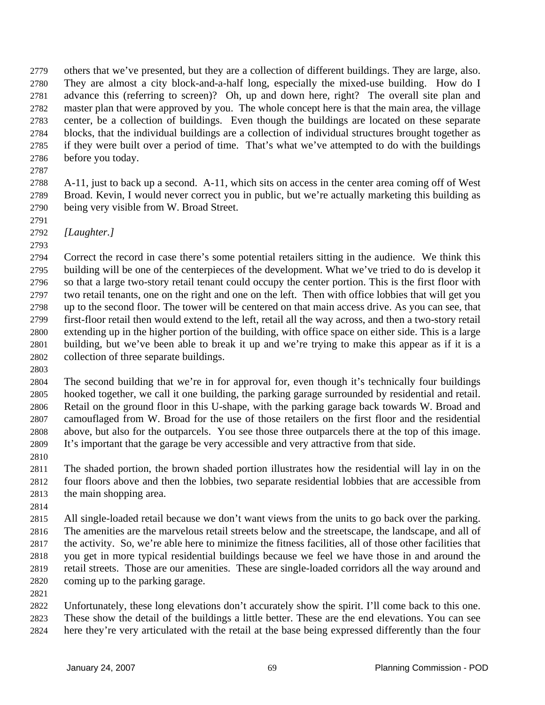others that we've presented, but they are a collection of different buildings. They are large, also. They are almost a city block-and-a-half long, especially the mixed-use building. How do I advance this (referring to screen)? Oh, up and down here, right? The overall site plan and master plan that were approved by you. The whole concept here is that the main area, the village center, be a collection of buildings. Even though the buildings are located on these separate blocks, that the individual buildings are a collection of individual structures brought together as if they were built over a period of time. That's what we've attempted to do with the buildings before you today. 2779 2780 2781 2782 2783 2784 2785 2786

2787

2788 2789 2790 A-11, just to back up a second. A-11, which sits on access in the center area coming off of West Broad. Kevin, I would never correct you in public, but we're actually marketing this building as being very visible from W. Broad Street.

- 2791 2792 *[Laughter.]*
- 2793

2794 2795 2796 2797 2798 2799 2800 2801 2802 Correct the record in case there's some potential retailers sitting in the audience. We think this building will be one of the centerpieces of the development. What we've tried to do is develop it so that a large two-story retail tenant could occupy the center portion. This is the first floor with two retail tenants, one on the right and one on the left. Then with office lobbies that will get you up to the second floor. The tower will be centered on that main access drive. As you can see, that first-floor retail then would extend to the left, retail all the way across, and then a two-story retail extending up in the higher portion of the building, with office space on either side. This is a large building, but we've been able to break it up and we're trying to make this appear as if it is a collection of three separate buildings.

2803

2804 2805 2806 2807 2808 2809 The second building that we're in for approval for, even though it's technically four buildings hooked together, we call it one building, the parking garage surrounded by residential and retail. Retail on the ground floor in this U-shape, with the parking garage back towards W. Broad and camouflaged from W. Broad for the use of those retailers on the first floor and the residential above, but also for the outparcels. You see those three outparcels there at the top of this image. It's important that the garage be very accessible and very attractive from that side.

2810

2811 2812 2813 The shaded portion, the brown shaded portion illustrates how the residential will lay in on the four floors above and then the lobbies, two separate residential lobbies that are accessible from the main shopping area.

2814

2815 2816 2817 2818 2819 2820 All single-loaded retail because we don't want views from the units to go back over the parking. The amenities are the marvelous retail streets below and the streetscape, the landscape, and all of the activity. So, we're able here to minimize the fitness facilities, all of those other facilities that you get in more typical residential buildings because we feel we have those in and around the retail streets. Those are our amenities. These are single-loaded corridors all the way around and coming up to the parking garage.

2821

2822 2823 2824 Unfortunately, these long elevations don't accurately show the spirit. I'll come back to this one. These show the detail of the buildings a little better. These are the end elevations. You can see here they're very articulated with the retail at the base being expressed differently than the four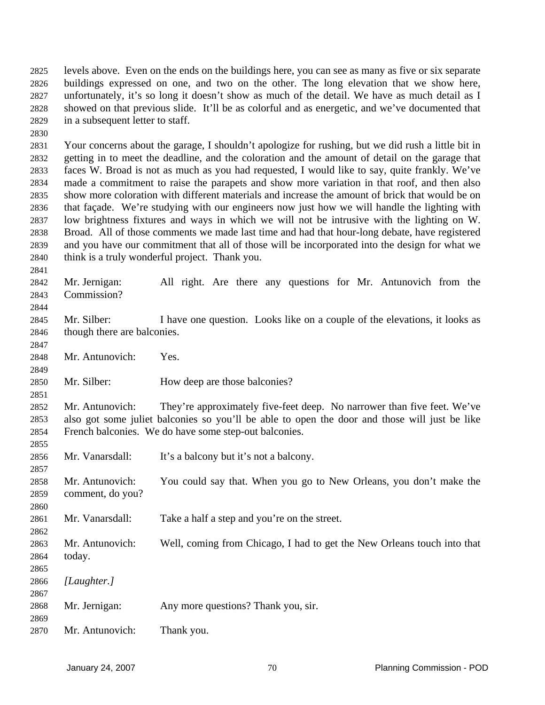levels above. Even on the ends on the buildings here, you can see as many as five or six separate buildings expressed on one, and two on the other. The long elevation that we show here, unfortunately, it's so long it doesn't show as much of the detail. We have as much detail as I showed on that previous slide. It'll be as colorful and as energetic, and we've documented that in a subsequent letter to staff. 2825 2826 2827 2828 2829

2830

2841

2844

2847

2849

2851

2855

2857

2860

2862

2867

2869

2831 2832 2833 2834 2835 2836 2837 2838 2839 2840 Your concerns about the garage, I shouldn't apologize for rushing, but we did rush a little bit in getting in to meet the deadline, and the coloration and the amount of detail on the garage that faces W. Broad is not as much as you had requested, I would like to say, quite frankly. We've made a commitment to raise the parapets and show more variation in that roof, and then also show more coloration with different materials and increase the amount of brick that would be on that façade. We're studying with our engineers now just how we will handle the lighting with low brightness fixtures and ways in which we will not be intrusive with the lighting on W. Broad. All of those comments we made last time and had that hour-long debate, have registered and you have our commitment that all of those will be incorporated into the design for what we think is a truly wonderful project. Thank you.

2842 2843 Mr. Jernigan: All right. Are there any questions for Mr. Antunovich from the Commission?

2845 2846 Mr. Silber: I have one question. Looks like on a couple of the elevations, it looks as though there are balconies.

2848 Mr. Antunovich: Yes.

2850 Mr. Silber: How deep are those balconies?

2852 2853 2854 Mr. Antunovich: They're approximately five-feet deep. No narrower than five feet. We've also got some juliet balconies so you'll be able to open the door and those will just be like French balconies. We do have some step-out balconies.

2856 Mr. Vanarsdall: It's a balcony but it's not a balcony.

2858 2859 Mr. Antunovich: You could say that. When you go to New Orleans, you don't make the comment, do you?

2861 Mr. Vanarsdall: Take a half a step and you're on the street.

2863 2864 Mr. Antunovich: Well, coming from Chicago, I had to get the New Orleans touch into that today.

2865 2866 *[Laughter.]*

2868 Mr. Jernigan: Any more questions? Thank you, sir.

2870 Mr. Antunovich: Thank you.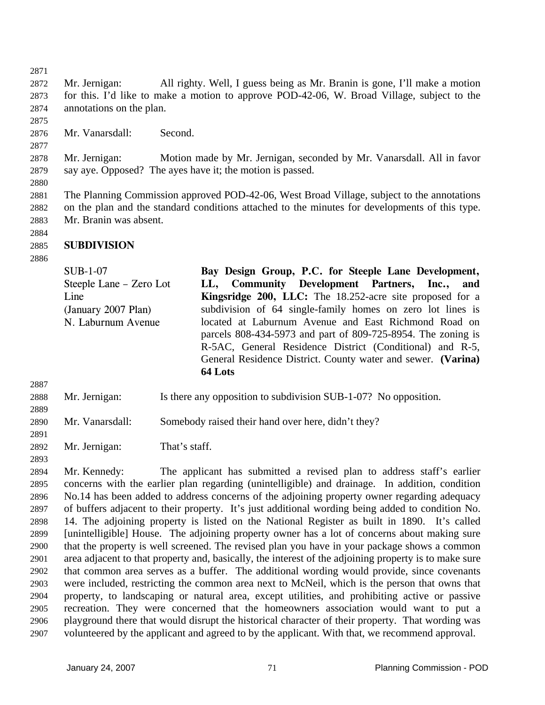2872 2873 2874 Mr. Jernigan: All righty. Well, I guess being as Mr. Branin is gone, I'll make a motion for this. I'd like to make a motion to approve POD-42-06, W. Broad Village, subject to the annotations on the plan.

2875

2877

2880

2871

2876 Mr. Vanarsdall: Second.

2878 2879 Mr. Jernigan: Motion made by Mr. Jernigan, seconded by Mr. Vanarsdall. All in favor say aye. Opposed? The ayes have it; the motion is passed.

2881 2882 2883 The Planning Commission approved POD-42-06, West Broad Village, subject to the annotations on the plan and the standard conditions attached to the minutes for developments of this type. Mr. Branin was absent.

## 2885 **SUBDIVISION**

2886

2887

2889

2891

2893

2884

SUB-1-07 Steeple Lane – Zero Lot Line (January 2007 Plan) N. Laburnum Avenue **Bay Design Group, P.C. for Steeple Lane Development, LL, Community Development Partners, Inc., and Kingsridge 200, LLC:** The 18.252-acre site proposed for a subdivision of 64 single-family homes on zero lot lines is located at Laburnum Avenue and East Richmond Road on parcels 808-434-5973 and part of 809-725-8954. The zoning is R-5AC, General Residence District (Conditional) and R-5, General Residence District. County water and sewer. **(Varina) 64 Lots**

2888 Mr. Jernigan: Is there any opposition to subdivision SUB-1-07? No opposition.

2890 Mr. Vanarsdall: Somebody raised their hand over here, didn't they?

2892 Mr. Jernigan: That's staff.

2894 2895 2896 2897 2898 2899 2900 2901 2902 2903 2904 2905 2906 2907 Mr. Kennedy: The applicant has submitted a revised plan to address staff's earlier concerns with the earlier plan regarding (unintelligible) and drainage. In addition, condition No.14 has been added to address concerns of the adjoining property owner regarding adequacy of buffers adjacent to their property. It's just additional wording being added to condition No. 14. The adjoining property is listed on the National Register as built in 1890. It's called [unintelligible] House. The adjoining property owner has a lot of concerns about making sure that the property is well screened. The revised plan you have in your package shows a common area adjacent to that property and, basically, the interest of the adjoining property is to make sure that common area serves as a buffer. The additional wording would provide, since covenants were included, restricting the common area next to McNeil, which is the person that owns that property, to landscaping or natural area, except utilities, and prohibiting active or passive recreation. They were concerned that the homeowners association would want to put a playground there that would disrupt the historical character of their property. That wording was volunteered by the applicant and agreed to by the applicant. With that, we recommend approval.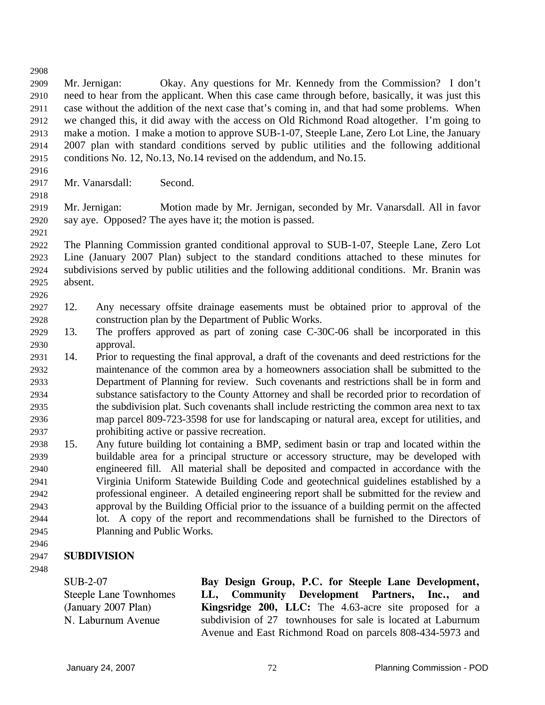2908 2909 2910 2911 2912 2913 2914 2915 2916 2917 2918 2919 2920 2921 2922 2923 2924 2925 2926 2927 2928 2929 2930 2931 2932 2933 2934 2935 2936 2937 2938 2939 2940 2941 2942 2943 2944 2945 2946 Mr. Jernigan: Okay. Any questions for Mr. Kennedy from the Commission? I don't need to hear from the applicant. When this case came through before, basically, it was just this case without the addition of the next case that's coming in, and that had some problems. When we changed this, it did away with the access on Old Richmond Road altogether. I'm going to make a motion. I make a motion to approve SUB-1-07, Steeple Lane, Zero Lot Line, the January 2007 plan with standard conditions served by public utilities and the following additional conditions No. 12, No.13, No.14 revised on the addendum, and No.15. Mr. Vanarsdall: Second. Mr. Jernigan: Motion made by Mr. Jernigan, seconded by Mr. Vanarsdall. All in favor say aye. Opposed? The ayes have it; the motion is passed. The Planning Commission granted conditional approval to SUB-1-07, Steeple Lane, Zero Lot Line (January 2007 Plan) subject to the standard conditions attached to these minutes for subdivisions served by public utilities and the following additional conditions. Mr. Branin was absent. 12. Any necessary offsite drainage easements must be obtained prior to approval of the construction plan by the Department of Public Works. 13. The proffers approved as part of zoning case C-30C-06 shall be incorporated in this approval. 14. Prior to requesting the final approval, a draft of the covenants and deed restrictions for the maintenance of the common area by a homeowners association shall be submitted to the Department of Planning for review. Such covenants and restrictions shall be in form and substance satisfactory to the County Attorney and shall be recorded prior to recordation of the subdivision plat. Such covenants shall include restricting the common area next to tax map parcel 809-723-3598 for use for landscaping or natural area, except for utilities, and prohibiting active or passive recreation. 15. Any future building lot containing a BMP, sediment basin or trap and located within the buildable area for a principal structure or accessory structure, may be developed with engineered fill. All material shall be deposited and compacted in accordance with the Virginia Uniform Statewide Building Code and geotechnical guidelines established by a professional engineer. A detailed engineering report shall be submitted for the review and approval by the Building Official prior to the issuance of a building permit on the affected lot. A copy of the report and recommendations shall be furnished to the Directors of Planning and Public Works.

## 2947 **SUBDIVISION**

2948

SUB-2-07 Steeple Lane Townhomes (January 2007 Plan) N. Laburnum Avenue **Bay Design Group, P.C. for Steeple Lane Development, LL, Community Development Partners, Inc., and Kingsridge 200, LLC:** The 4.63-acre site proposed for a subdivision of 27 townhouses for sale is located at Laburnum Avenue and East Richmond Road on parcels 808-434-5973 and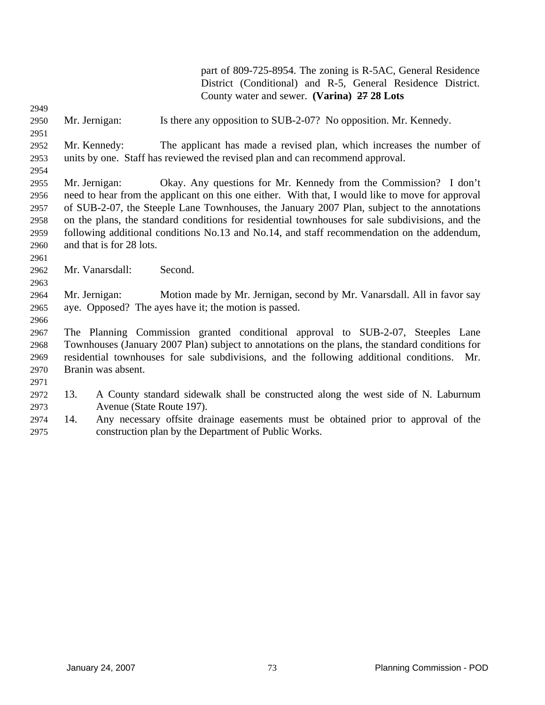part of 809-725-8954. The zoning is R-5AC, General Residence District (Conditional) and R-5, General Residence District. County water and sewer. **(Varina) 27 28 Lots** 2949 2950 2951 2952 2953 2954 2955 2956 2957 2958 2959 2960 2961 2962 2963 2964 2965 2966 2967 2968 2969 2970 2971 2972 2973 2974 2975 Mr. Jernigan: Is there any opposition to SUB-2-07? No opposition. Mr. Kennedy. Mr. Kennedy: The applicant has made a revised plan, which increases the number of units by one. Staff has reviewed the revised plan and can recommend approval. Mr. Jernigan: Okay. Any questions for Mr. Kennedy from the Commission? I don't need to hear from the applicant on this one either. With that, I would like to move for approval of SUB-2-07, the Steeple Lane Townhouses, the January 2007 Plan, subject to the annotations on the plans, the standard conditions for residential townhouses for sale subdivisions, and the following additional conditions No.13 and No.14, and staff recommendation on the addendum, and that is for 28 lots. Mr. Vanarsdall: Second. Mr. Jernigan: Motion made by Mr. Jernigan, second by Mr. Vanarsdall. All in favor say aye. Opposed? The ayes have it; the motion is passed. The Planning Commission granted conditional approval to SUB-2-07, Steeples Lane Townhouses (January 2007 Plan) subject to annotations on the plans, the standard conditions for residential townhouses for sale subdivisions, and the following additional conditions. Mr. Branin was absent. 13. A County standard sidewalk shall be constructed along the west side of N. Laburnum Avenue (State Route 197). 14. Any necessary offsite drainage easements must be obtained prior to approval of the construction plan by the Department of Public Works.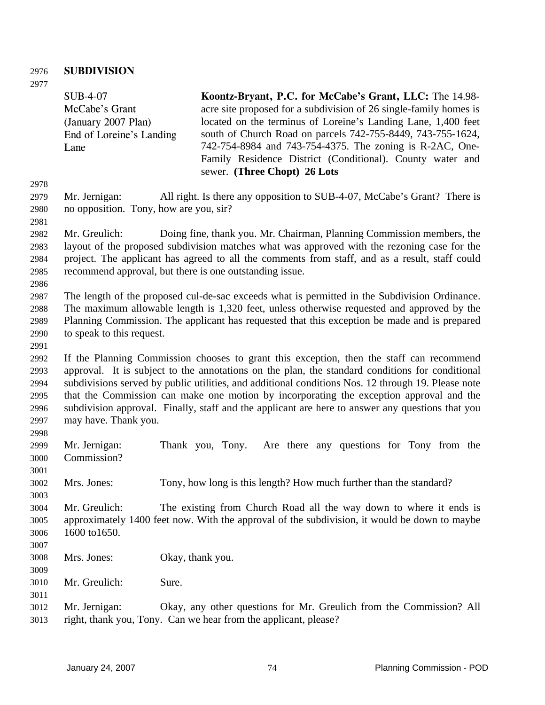## 2976 **SUBDIVISION**

2977

2978 2979 2980 2981 2982 2983 2984 2985 2986 2987 2988 2989 2990 2991 2992 2993 2994 2995 2996 2997 2998 2999 3000 3001 3002 3003 3004 3005 3006 3007 3008 3009 3010 3011 3012 3013 SUB-4-07 McCabe's Grant (January 2007 Plan) End of Loreine's Landing Lane **Koontz-Bryant, P.C. for McCabe's Grant, LLC:** The 14.98 acre site proposed for a subdivision of 26 single-family homes is located on the terminus of Loreine's Landing Lane, 1,400 feet south of Church Road on parcels 742-755-8449, 743-755-1624, 742-754-8984 and 743-754-4375. The zoning is R-2AC, One-Family Residence District (Conditional). County water and sewer. **(Three Chopt) 26 Lots** Mr. Jernigan: All right. Is there any opposition to SUB-4-07, McCabe's Grant? There is no opposition. Tony, how are you, sir? Mr. Greulich: Doing fine, thank you. Mr. Chairman, Planning Commission members, the layout of the proposed subdivision matches what was approved with the rezoning case for the project. The applicant has agreed to all the comments from staff, and as a result, staff could recommend approval, but there is one outstanding issue. The length of the proposed cul-de-sac exceeds what is permitted in the Subdivision Ordinance. The maximum allowable length is 1,320 feet, unless otherwise requested and approved by the Planning Commission. The applicant has requested that this exception be made and is prepared to speak to this request. If the Planning Commission chooses to grant this exception, then the staff can recommend approval. It is subject to the annotations on the plan, the standard conditions for conditional subdivisions served by public utilities, and additional conditions Nos. 12 through 19. Please note that the Commission can make one motion by incorporating the exception approval and the subdivision approval. Finally, staff and the applicant are here to answer any questions that you may have. Thank you. Mr. Jernigan: Thank you, Tony. Are there any questions for Tony from the Commission? Mrs. Jones: Tony, how long is this length? How much further than the standard? Mr. Greulich: The existing from Church Road all the way down to where it ends is approximately 1400 feet now. With the approval of the subdivision, it would be down to maybe 1600 to1650. Mrs. Jones: Okay, thank you. Mr. Greulich: Sure. Mr. Jernigan: Okay, any other questions for Mr. Greulich from the Commission? All right, thank you, Tony. Can we hear from the applicant, please?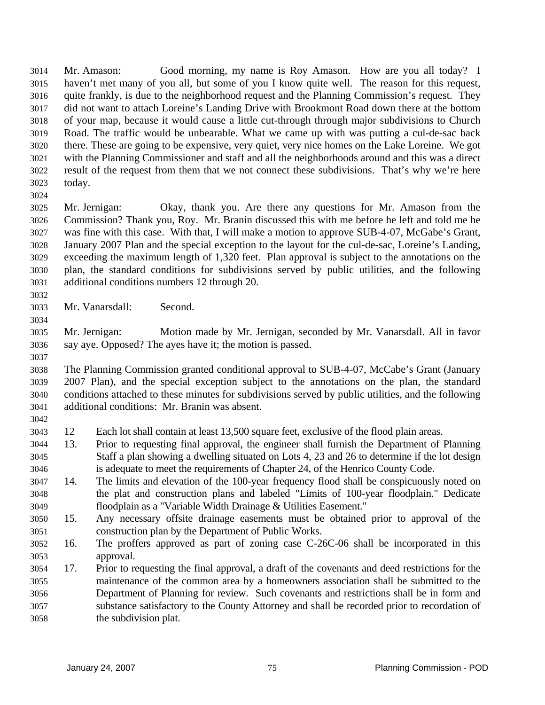Mr. Amason: Good morning, my name is Roy Amason. How are you all today? I haven't met many of you all, but some of you I know quite well. The reason for this request, quite frankly, is due to the neighborhood request and the Planning Commission's request. They did not want to attach Loreine's Landing Drive with Brookmont Road down there at the bottom of your map, because it would cause a little cut-through through major subdivisions to Church Road. The traffic would be unbearable. What we came up with was putting a cul-de-sac back there. These are going to be expensive, very quiet, very nice homes on the Lake Loreine. We got with the Planning Commissioner and staff and all the neighborhoods around and this was a direct result of the request from them that we not connect these subdivisions. That's why we're here today. 3014 3015 3016 3017 3018 3019 3020 3021 3022 3023 3024

- 3025 3026 3027 3028 3029 3030 3031 Mr. Jernigan: Okay, thank you. Are there any questions for Mr. Amason from the Commission? Thank you, Roy. Mr. Branin discussed this with me before he left and told me he was fine with this case. With that, I will make a motion to approve SUB-4-07, McGabe's Grant, January 2007 Plan and the special exception to the layout for the cul-de-sac, Loreine's Landing, exceeding the maximum length of 1,320 feet. Plan approval is subject to the annotations on the plan, the standard conditions for subdivisions served by public utilities, and the following additional conditions numbers 12 through 20.
- 3032

3033 Mr. Vanarsdall: Second.

3035 3036 Mr. Jernigan: Motion made by Mr. Jernigan, seconded by Mr. Vanarsdall. All in favor say aye. Opposed? The ayes have it; the motion is passed.

3037

3042

3034

3038 3039 3040 3041 The Planning Commission granted conditional approval to SUB-4-07, McCabe's Grant (January 2007 Plan), and the special exception subject to the annotations on the plan, the standard conditions attached to these minutes for subdivisions served by public utilities, and the following additional conditions: Mr. Branin was absent.

- 3043 12 Each lot shall contain at least 13,500 square feet, exclusive of the flood plain areas.
- 3044 3045 3046 13. Prior to requesting final approval, the engineer shall furnish the Department of Planning Staff a plan showing a dwelling situated on Lots 4, 23 and 26 to determine if the lot design is adequate to meet the requirements of Chapter 24, of the Henrico County Code.
- 3047 3048 3049 14. The limits and elevation of the 100-year frequency flood shall be conspicuously noted on the plat and construction plans and labeled "Limits of 100-year floodplain." Dedicate floodplain as a "Variable Width Drainage & Utilities Easement."
- 3050 3051 15. Any necessary offsite drainage easements must be obtained prior to approval of the construction plan by the Department of Public Works.
- 3052 3053 16. The proffers approved as part of zoning case C-26C-06 shall be incorporated in this approval.
- 3054 3055 3056 3057 3058 17. Prior to requesting the final approval, a draft of the covenants and deed restrictions for the maintenance of the common area by a homeowners association shall be submitted to the Department of Planning for review. Such covenants and restrictions shall be in form and substance satisfactory to the County Attorney and shall be recorded prior to recordation of the subdivision plat.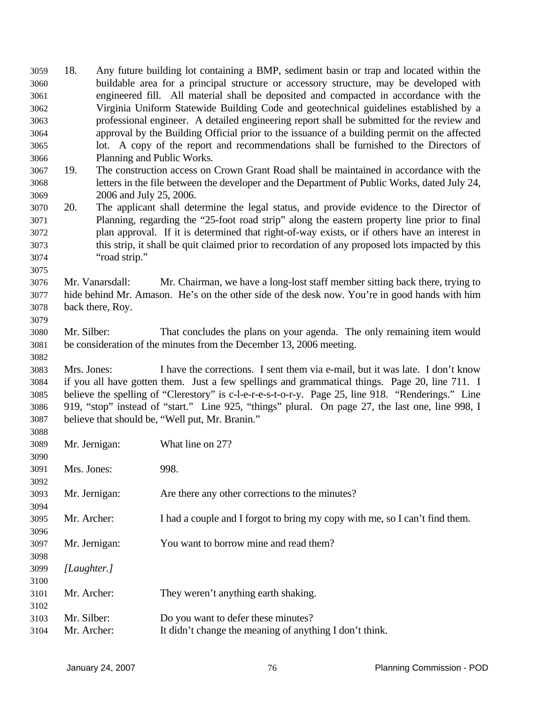18. Any future building lot containing a BMP, sediment basin or trap and located within the buildable area for a principal structure or accessory structure, may be developed with engineered fill. All material shall be deposited and compacted in accordance with the Virginia Uniform Statewide Building Code and geotechnical guidelines established by a professional engineer. A detailed engineering report shall be submitted for the review and approval by the Building Official prior to the issuance of a building permit on the affected lot. A copy of the report and recommendations shall be furnished to the Directors of Planning and Public Works. 3059 3060 3061 3062 3063 3064 3065 3066 3067 3068 3069 3070 3071 3072 3073 3074 3075 3076 3077 3078 3079 3080 3081 3082 3083 3084 3085 3086 3087 3088 3089 3090 3091 3092 3093 3094 3095 3096 3097 3098 3099 3100 3101 3102 3103 3104 19. The construction access on Crown Grant Road shall be maintained in accordance with the letters in the file between the developer and the Department of Public Works, dated July 24, 2006 and July 25, 2006. 20. The applicant shall determine the legal status, and provide evidence to the Director of Planning, regarding the "25-foot road strip" along the eastern property line prior to final plan approval. If it is determined that right-of-way exists, or if others have an interest in this strip, it shall be quit claimed prior to recordation of any proposed lots impacted by this "road strip." Mr. Vanarsdall: Mr. Chairman, we have a long-lost staff member sitting back there, trying to hide behind Mr. Amason. He's on the other side of the desk now. You're in good hands with him back there, Roy. Mr. Silber: That concludes the plans on your agenda. The only remaining item would be consideration of the minutes from the December 13, 2006 meeting. Mrs. Jones: I have the corrections. I sent them via e-mail, but it was late. I don't know if you all have gotten them. Just a few spellings and grammatical things. Page 20, line 711. I believe the spelling of "Clerestory" is c-l-e-r-e-s-t-o-r-y. Page 25, line 918. "Renderings." Line 919, "stop" instead of "start." Line 925, "things" plural. On page 27, the last one, line 998, I believe that should be, "Well put, Mr. Branin." Mr. Jernigan: What line on 27? Mrs. Jones: 998. Mr. Jernigan: Are there any other corrections to the minutes? Mr. Archer: I had a couple and I forgot to bring my copy with me, so I can't find them. Mr. Jernigan: You want to borrow mine and read them? *[Laughter.]* Mr. Archer: They weren't anything earth shaking. Mr. Silber: Do you want to defer these minutes? Mr. Archer: It didn't change the meaning of anything I don't think.